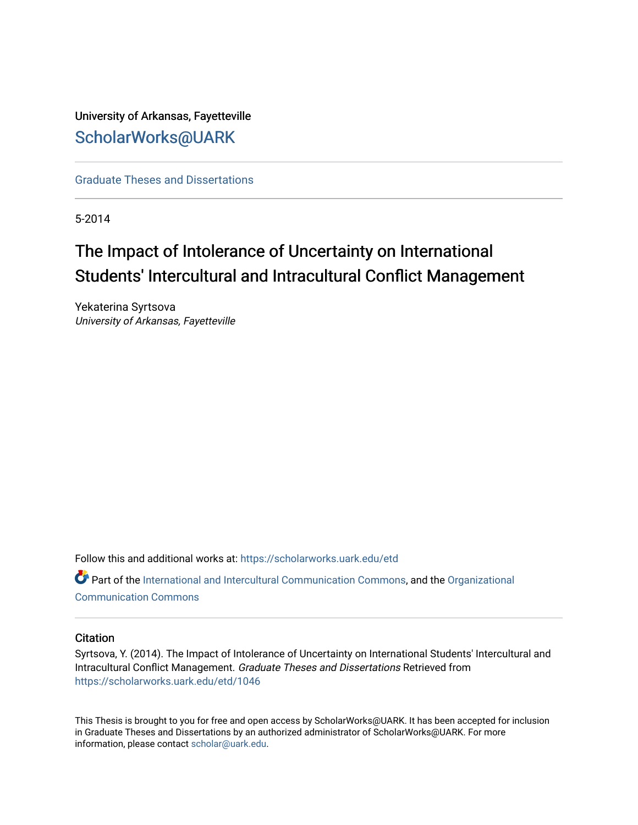# University of Arkansas, Fayetteville [ScholarWorks@UARK](https://scholarworks.uark.edu/)

[Graduate Theses and Dissertations](https://scholarworks.uark.edu/etd) 

5-2014

# The Impact of Intolerance of Uncertainty on International Students' Intercultural and Intracultural Conflict Management

Yekaterina Syrtsova University of Arkansas, Fayetteville

Follow this and additional works at: [https://scholarworks.uark.edu/etd](https://scholarworks.uark.edu/etd?utm_source=scholarworks.uark.edu%2Fetd%2F1046&utm_medium=PDF&utm_campaign=PDFCoverPages)

Part of the [International and Intercultural Communication Commons,](http://network.bepress.com/hgg/discipline/331?utm_source=scholarworks.uark.edu%2Fetd%2F1046&utm_medium=PDF&utm_campaign=PDFCoverPages) and the [Organizational](http://network.bepress.com/hgg/discipline/335?utm_source=scholarworks.uark.edu%2Fetd%2F1046&utm_medium=PDF&utm_campaign=PDFCoverPages)  [Communication Commons](http://network.bepress.com/hgg/discipline/335?utm_source=scholarworks.uark.edu%2Fetd%2F1046&utm_medium=PDF&utm_campaign=PDFCoverPages)

## **Citation**

Syrtsova, Y. (2014). The Impact of Intolerance of Uncertainty on International Students' Intercultural and Intracultural Conflict Management. Graduate Theses and Dissertations Retrieved from [https://scholarworks.uark.edu/etd/1046](https://scholarworks.uark.edu/etd/1046?utm_source=scholarworks.uark.edu%2Fetd%2F1046&utm_medium=PDF&utm_campaign=PDFCoverPages)

This Thesis is brought to you for free and open access by ScholarWorks@UARK. It has been accepted for inclusion in Graduate Theses and Dissertations by an authorized administrator of ScholarWorks@UARK. For more information, please contact [scholar@uark.edu.](mailto:scholar@uark.edu)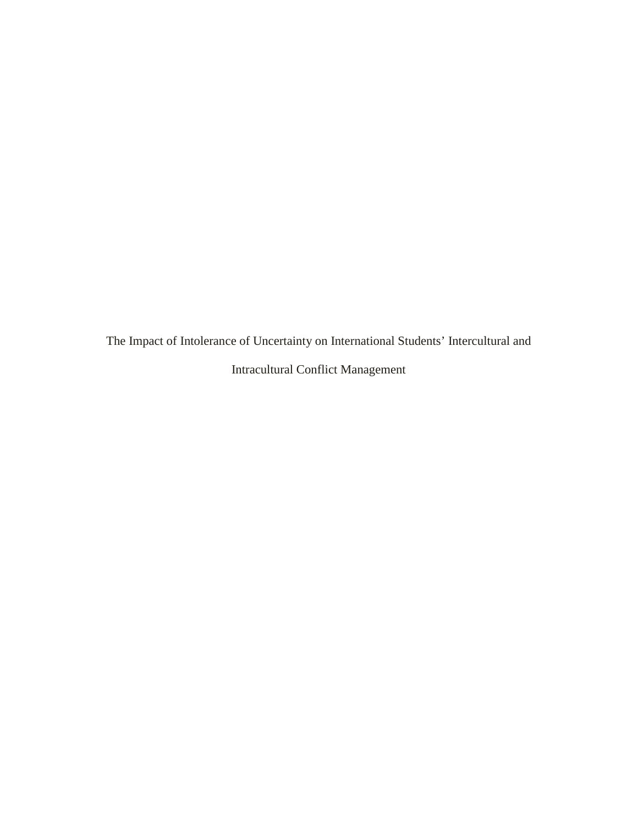The Impact of Intolerance of Uncertainty on International Students' Intercultural and Intracultural Conflict Management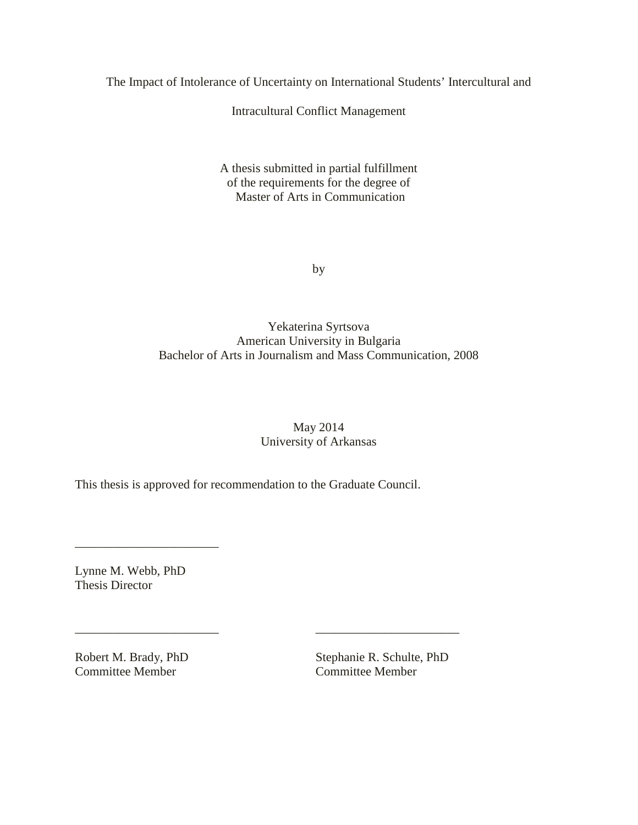The Impact of Intolerance of Uncertainty on International Students' Intercultural and

Intracultural Conflict Management

A thesis submitted in partial fulfillment of the requirements for the degree of Master of Arts in Communication

by

Yekaterina Syrtsova American University in Bulgaria Bachelor of Arts in Journalism and Mass Communication, 2008

> May 2014 University of Arkansas

This thesis is approved for recommendation to the Graduate Council.

\_\_\_\_\_\_\_\_\_\_\_\_\_\_\_\_\_\_\_\_\_\_\_ \_\_\_\_\_\_\_\_\_\_\_\_\_\_\_\_\_\_\_\_\_\_\_

Lynne M. Webb, PhD Thesis Director

\_\_\_\_\_\_\_\_\_\_\_\_\_\_\_\_\_\_\_\_\_\_\_

Committee Member

Robert M. Brady, PhD<br>
Committee Member<br>
Committee Member<br>
Committee Member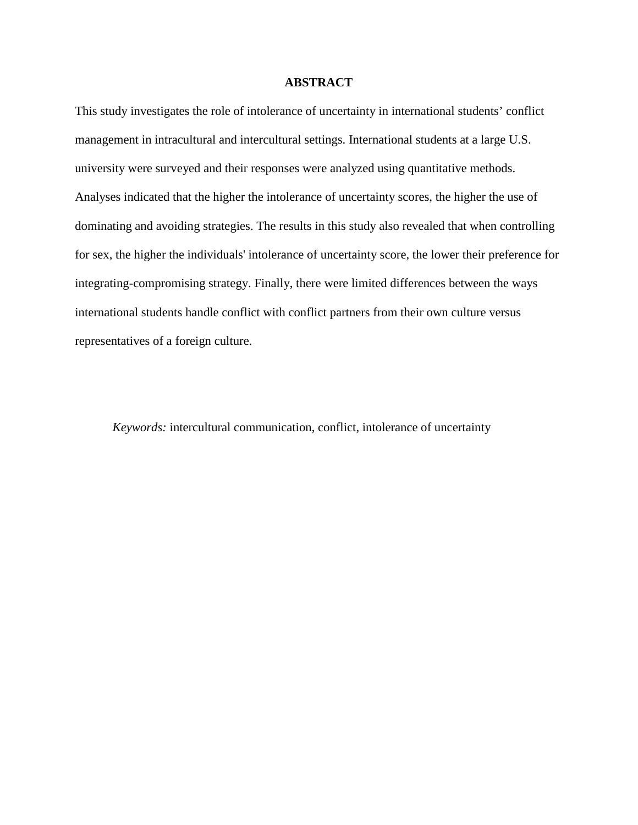# **ABSTRACT**

This study investigates the role of intolerance of uncertainty in international students' conflict management in intracultural and intercultural settings. International students at a large U.S. university were surveyed and their responses were analyzed using quantitative methods. Analyses indicated that the higher the intolerance of uncertainty scores, the higher the use of dominating and avoiding strategies. The results in this study also revealed that when controlling for sex, the higher the individuals' intolerance of uncertainty score, the lower their preference for integrating-compromising strategy. Finally, there were limited differences between the ways international students handle conflict with conflict partners from their own culture versus representatives of a foreign culture.

*Keywords:* intercultural communication, conflict, intolerance of uncertainty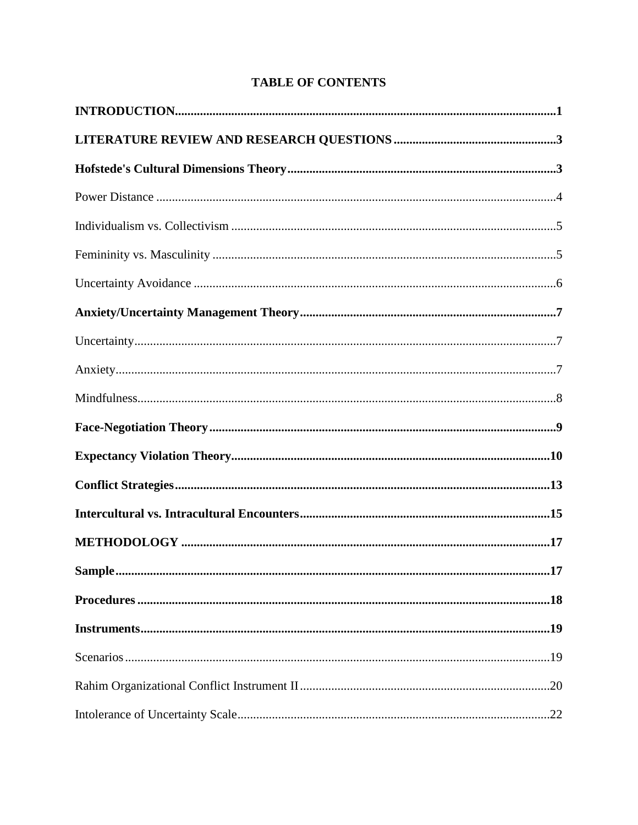# **TABLE OF CONTENTS**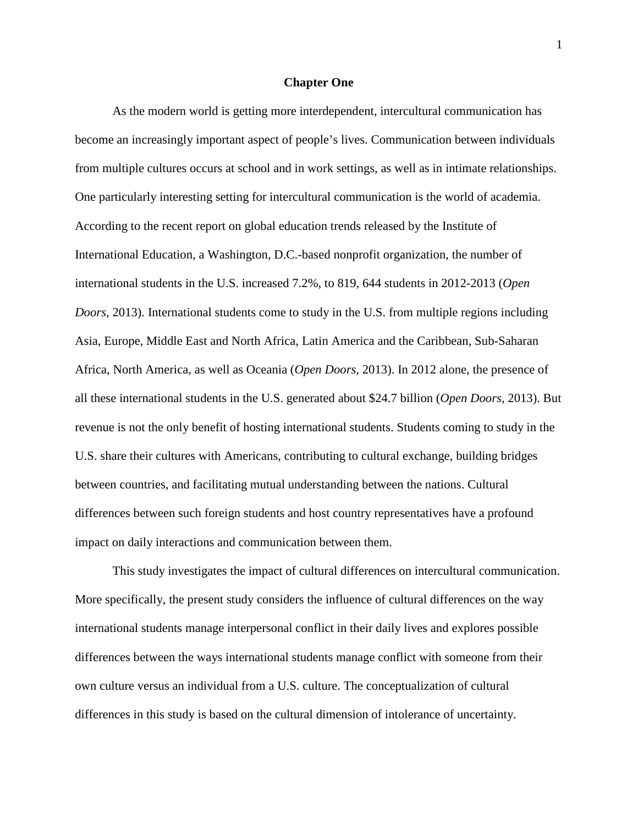#### **Chapter One**

As the modern world is getting more interdependent, intercultural communication has become an increasingly important aspect of people's lives. Communication between individuals from multiple cultures occurs at school and in work settings, as well as in intimate relationships. One particularly interesting setting for intercultural communication is the world of academia. According to the recent report on global education trends released by the Institute of International Education, a Washington, D.C.-based nonprofit organization, the number of international students in the U.S. increased 7.2%, to 819, 644 students in 2012-2013 (*Open Doors*, 2013). International students come to study in the U.S. from multiple regions including Asia, Europe, Middle East and North Africa, Latin America and the Caribbean, Sub-Saharan Africa, North America, as well as Oceania (*Open Doors*, 2013). In 2012 alone, the presence of all these international students in the U.S. generated about \$24.7 billion (*Open Doors*, 2013). But revenue is not the only benefit of hosting international students. Students coming to study in the U.S. share their cultures with Americans, contributing to cultural exchange, building bridges between countries, and facilitating mutual understanding between the nations. Cultural differences between such foreign students and host country representatives have a profound impact on daily interactions and communication between them.

This study investigates the impact of cultural differences on intercultural communication. More specifically, the present study considers the influence of cultural differences on the way international students manage interpersonal conflict in their daily lives and explores possible differences between the ways international students manage conflict with someone from their own culture versus an individual from a U.S. culture. The conceptualization of cultural differences in this study is based on the cultural dimension of intolerance of uncertainty.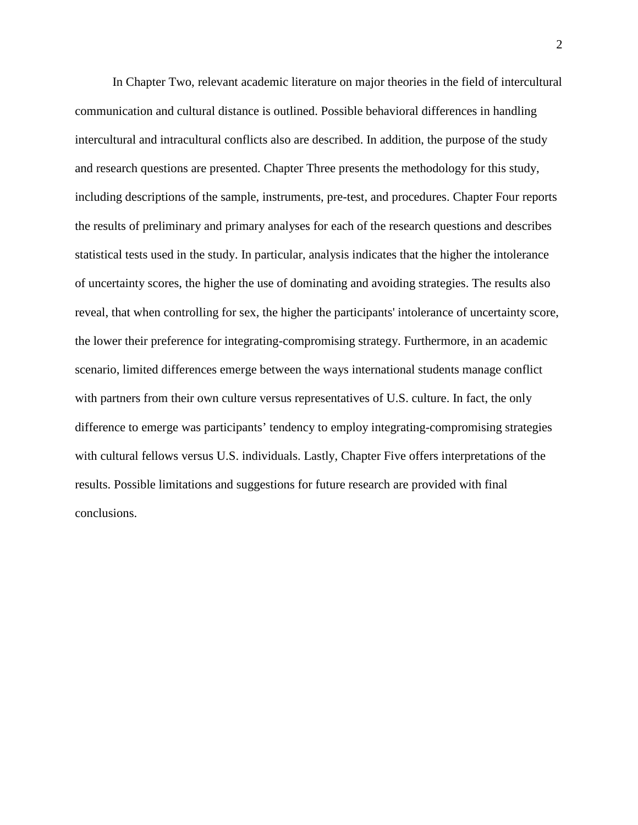In Chapter Two, relevant academic literature on major theories in the field of intercultural communication and cultural distance is outlined. Possible behavioral differences in handling intercultural and intracultural conflicts also are described. In addition, the purpose of the study and research questions are presented. Chapter Three presents the methodology for this study, including descriptions of the sample, instruments, pre-test, and procedures. Chapter Four reports the results of preliminary and primary analyses for each of the research questions and describes statistical tests used in the study. In particular, analysis indicates that the higher the intolerance of uncertainty scores, the higher the use of dominating and avoiding strategies. The results also reveal, that when controlling for sex, the higher the participants' intolerance of uncertainty score, the lower their preference for integrating-compromising strategy. Furthermore, in an academic scenario, limited differences emerge between the ways international students manage conflict with partners from their own culture versus representatives of U.S. culture. In fact, the only difference to emerge was participants' tendency to employ integrating-compromising strategies with cultural fellows versus U.S. individuals. Lastly, Chapter Five offers interpretations of the results. Possible limitations and suggestions for future research are provided with final conclusions.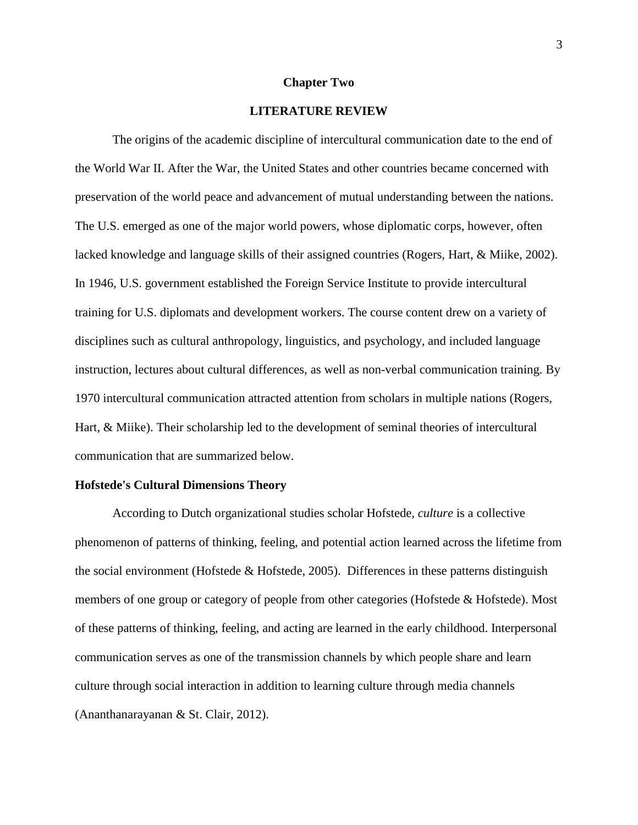#### **Chapter Two**

# **LITERATURE REVIEW**

The origins of the academic discipline of intercultural communication date to the end of the World War II. After the War, the United States and other countries became concerned with preservation of the world peace and advancement of mutual understanding between the nations. The U.S. emerged as one of the major world powers, whose diplomatic corps, however, often lacked knowledge and language skills of their assigned countries (Rogers, Hart, & Miike, 2002). In 1946, U.S. government established the Foreign Service Institute to provide intercultural training for U.S. diplomats and development workers. The course content drew on a variety of disciplines such as cultural anthropology, linguistics, and psychology, and included language instruction, lectures about cultural differences, as well as non-verbal communication training. By 1970 intercultural communication attracted attention from scholars in multiple nations (Rogers, Hart, & Miike). Their scholarship led to the development of seminal theories of intercultural communication that are summarized below.

#### **Hofstede's Cultural Dimensions Theory**

According to Dutch organizational studies scholar Hofstede, *culture* is a collective phenomenon of patterns of thinking, feeling, and potential action learned across the lifetime from the social environment (Hofstede & Hofstede, 2005). Differences in these patterns distinguish members of one group or category of people from other categories (Hofstede & Hofstede). Most of these patterns of thinking, feeling, and acting are learned in the early childhood. Interpersonal communication serves as one of the transmission channels by which people share and learn culture through social interaction in addition to learning culture through media channels (Ananthanarayanan & St. Clair, 2012).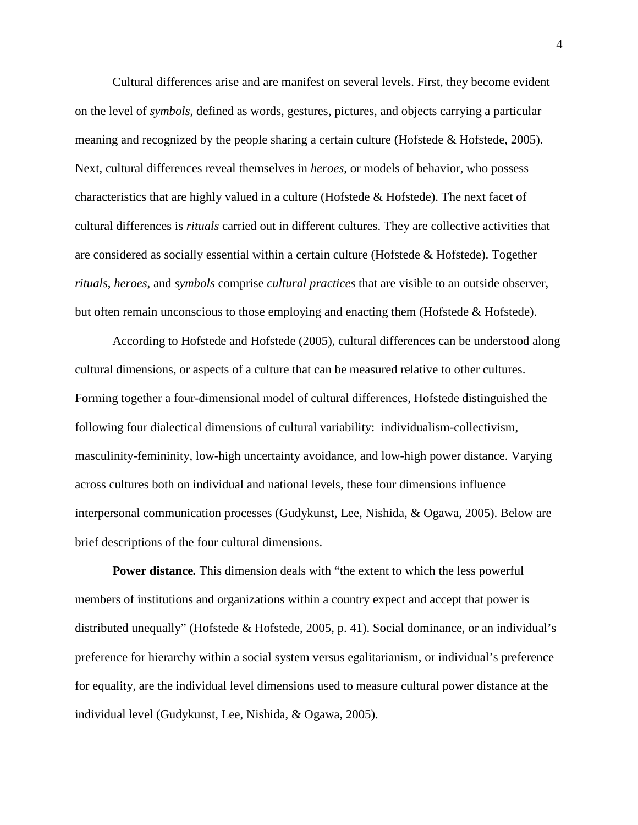Cultural differences arise and are manifest on several levels. First, they become evident on the level of *symbols*, defined as words, gestures, pictures, and objects carrying a particular meaning and recognized by the people sharing a certain culture (Hofstede & Hofstede, 2005). Next, cultural differences reveal themselves in *heroes*, or models of behavior, who possess characteristics that are highly valued in a culture (Hofstede & Hofstede). The next facet of cultural differences is *rituals* carried out in different cultures. They are collective activities that are considered as socially essential within a certain culture (Hofstede  $\&$  Hofstede). Together *rituals*, *heroes*, and *symbols* comprise *cultural practices* that are visible to an outside observer, but often remain unconscious to those employing and enacting them (Hofstede & Hofstede).

According to Hofstede and Hofstede (2005), cultural differences can be understood along cultural dimensions, or aspects of a culture that can be measured relative to other cultures. Forming together a four-dimensional model of cultural differences, Hofstede distinguished the following four dialectical dimensions of cultural variability: individualism-collectivism, masculinity-femininity, low-high uncertainty avoidance, and low-high power distance. Varying across cultures both on individual and national levels, these four dimensions influence interpersonal communication processes (Gudykunst, Lee, Nishida, & Ogawa, 2005). Below are brief descriptions of the four cultural dimensions.

**Power distance***.* This dimension deals with "the extent to which the less powerful members of institutions and organizations within a country expect and accept that power is distributed unequally" (Hofstede & Hofstede, 2005, p. 41). Social dominance, or an individual's preference for hierarchy within a social system versus egalitarianism, or individual's preference for equality, are the individual level dimensions used to measure cultural power distance at the individual level (Gudykunst, Lee, Nishida, & Ogawa, 2005).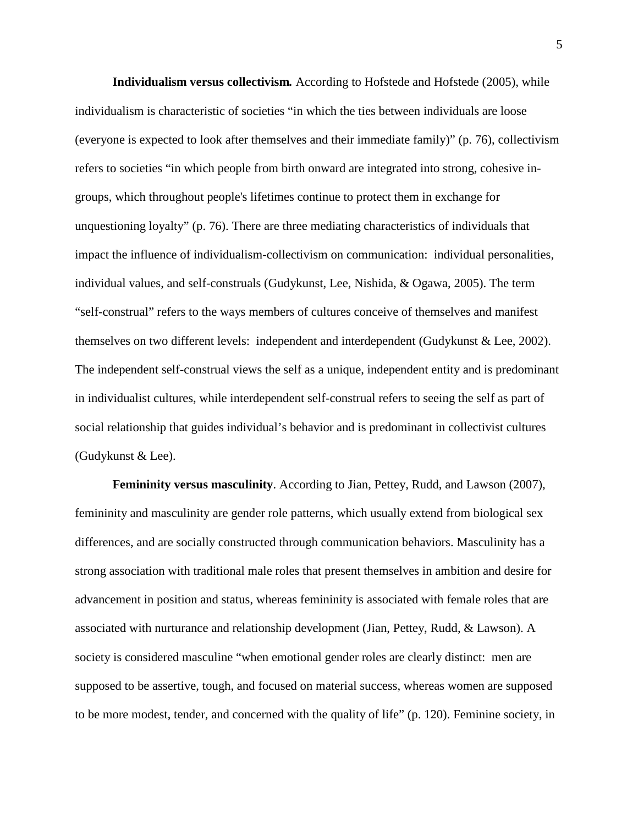**Individualism versus collectivism***.* According to Hofstede and Hofstede (2005), while individualism is characteristic of societies "in which the ties between individuals are loose (everyone is expected to look after themselves and their immediate family)" (p. 76), collectivism refers to societies "in which people from birth onward are integrated into strong, cohesive ingroups, which throughout people's lifetimes continue to protect them in exchange for unquestioning loyalty" (p. 76). There are three mediating characteristics of individuals that impact the influence of individualism-collectivism on communication: individual personalities, individual values, and self-construals (Gudykunst, Lee, Nishida, & Ogawa, 2005). The term "self-construal" refers to the ways members of cultures conceive of themselves and manifest themselves on two different levels: independent and interdependent (Gudykunst & Lee, 2002). The independent self-construal views the self as a unique, independent entity and is predominant in individualist cultures, while interdependent self-construal refers to seeing the self as part of social relationship that guides individual's behavior and is predominant in collectivist cultures (Gudykunst & Lee).

**Femininity versus masculinity**. According to Jian, Pettey, Rudd, and Lawson (2007), femininity and masculinity are gender role patterns, which usually extend from biological sex differences, and are socially constructed through communication behaviors. Masculinity has a strong association with traditional male roles that present themselves in ambition and desire for advancement in position and status, whereas femininity is associated with female roles that are associated with nurturance and relationship development (Jian, Pettey, Rudd, & Lawson). A society is considered masculine "when emotional gender roles are clearly distinct: men are supposed to be assertive, tough, and focused on material success, whereas women are supposed to be more modest, tender, and concerned with the quality of life" (p. 120). Feminine society, in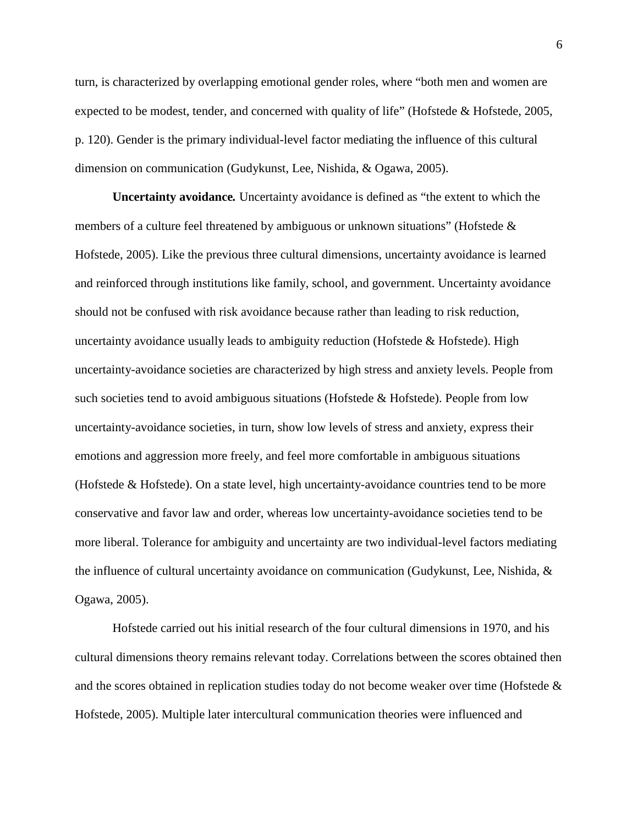turn, is characterized by overlapping emotional gender roles, where "both men and women are expected to be modest, tender, and concerned with quality of life" (Hofstede & Hofstede, 2005, p. 120). Gender is the primary individual-level factor mediating the influence of this cultural dimension on communication (Gudykunst, Lee, Nishida, & Ogawa, 2005).

**Uncertainty avoidance***.* Uncertainty avoidance is defined as "the extent to which the members of a culture feel threatened by ambiguous or unknown situations" (Hofstede & Hofstede, 2005). Like the previous three cultural dimensions, uncertainty avoidance is learned and reinforced through institutions like family, school, and government. Uncertainty avoidance should not be confused with risk avoidance because rather than leading to risk reduction, uncertainty avoidance usually leads to ambiguity reduction (Hofstede  $\&$  Hofstede). High uncertainty-avoidance societies are characterized by high stress and anxiety levels. People from such societies tend to avoid ambiguous situations (Hofstede  $\&$  Hofstede). People from low uncertainty-avoidance societies, in turn, show low levels of stress and anxiety, express their emotions and aggression more freely, and feel more comfortable in ambiguous situations (Hofstede & Hofstede). On a state level, high uncertainty-avoidance countries tend to be more conservative and favor law and order, whereas low uncertainty-avoidance societies tend to be more liberal. Tolerance for ambiguity and uncertainty are two individual-level factors mediating the influence of cultural uncertainty avoidance on communication (Gudykunst, Lee, Nishida, & Ogawa, 2005).

Hofstede carried out his initial research of the four cultural dimensions in 1970, and his cultural dimensions theory remains relevant today. Correlations between the scores obtained then and the scores obtained in replication studies today do not become weaker over time (Hofstede  $\&$ Hofstede, 2005). Multiple later intercultural communication theories were influenced and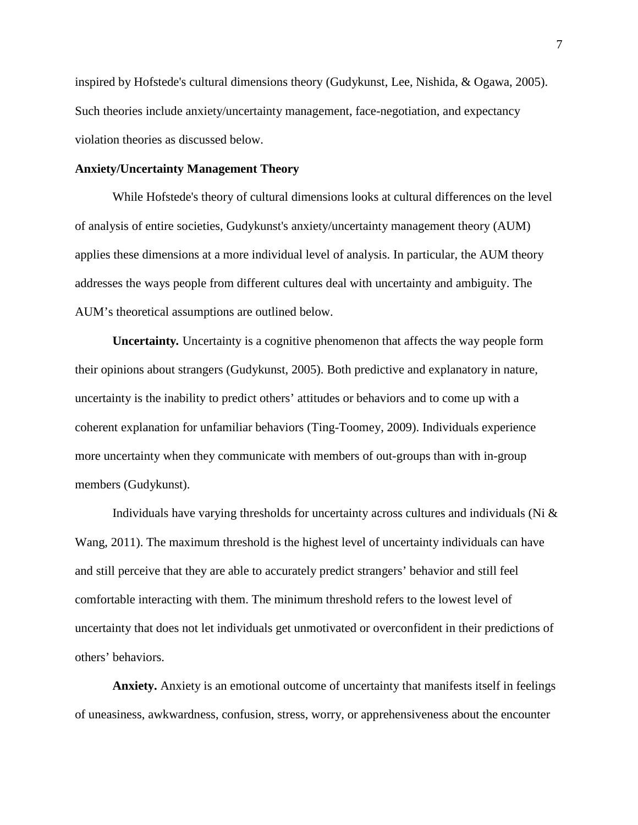inspired by Hofstede's cultural dimensions theory (Gudykunst, Lee, Nishida, & Ogawa, 2005). Such theories include anxiety/uncertainty management, face-negotiation, and expectancy violation theories as discussed below.

## **Anxiety/Uncertainty Management Theory**

While Hofstede's theory of cultural dimensions looks at cultural differences on the level of analysis of entire societies, Gudykunst's anxiety/uncertainty management theory (AUM) applies these dimensions at a more individual level of analysis. In particular, the AUM theory addresses the ways people from different cultures deal with uncertainty and ambiguity. The AUM's theoretical assumptions are outlined below.

**Uncertainty***.* Uncertainty is a cognitive phenomenon that affects the way people form their opinions about strangers (Gudykunst, 2005). Both predictive and explanatory in nature, uncertainty is the inability to predict others' attitudes or behaviors and to come up with a coherent explanation for unfamiliar behaviors (Ting-Toomey, 2009). Individuals experience more uncertainty when they communicate with members of out-groups than with in-group members (Gudykunst).

Individuals have varying thresholds for uncertainty across cultures and individuals (Ni & Wang, 2011). The maximum threshold is the highest level of uncertainty individuals can have and still perceive that they are able to accurately predict strangers' behavior and still feel comfortable interacting with them. The minimum threshold refers to the lowest level of uncertainty that does not let individuals get unmotivated or overconfident in their predictions of others' behaviors.

**Anxiety.** Anxiety is an emotional outcome of uncertainty that manifests itself in feelings of uneasiness, awkwardness, confusion, stress, worry, or apprehensiveness about the encounter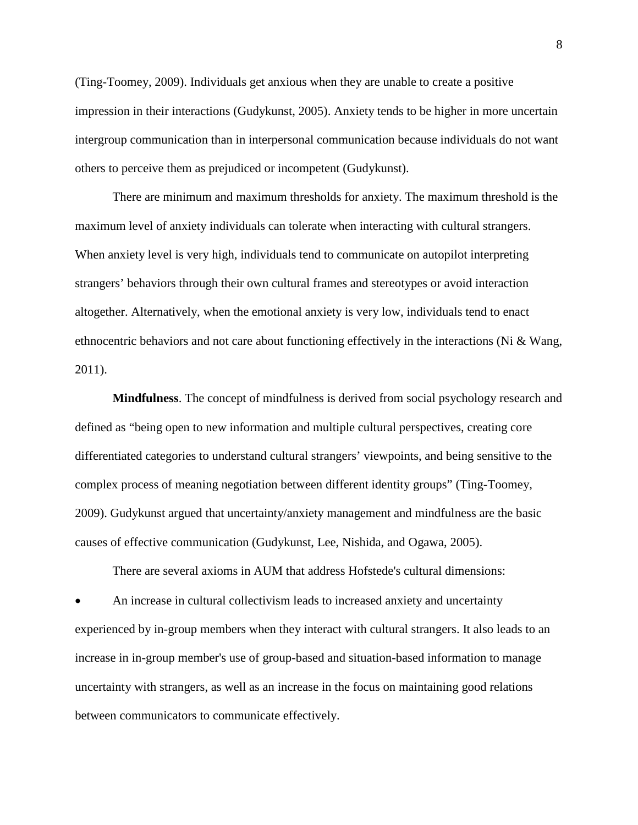(Ting-Toomey, 2009). Individuals get anxious when they are unable to create a positive impression in their interactions (Gudykunst, 2005). Anxiety tends to be higher in more uncertain intergroup communication than in interpersonal communication because individuals do not want others to perceive them as prejudiced or incompetent (Gudykunst).

There are minimum and maximum thresholds for anxiety. The maximum threshold is the maximum level of anxiety individuals can tolerate when interacting with cultural strangers. When anxiety level is very high, individuals tend to communicate on autopilot interpreting strangers' behaviors through their own cultural frames and stereotypes or avoid interaction altogether. Alternatively, when the emotional anxiety is very low, individuals tend to enact ethnocentric behaviors and not care about functioning effectively in the interactions (Ni & Wang, 2011).

**Mindfulness**. The concept of mindfulness is derived from social psychology research and defined as "being open to new information and multiple cultural perspectives, creating core differentiated categories to understand cultural strangers' viewpoints, and being sensitive to the complex process of meaning negotiation between different identity groups" (Ting-Toomey, 2009). Gudykunst argued that uncertainty/anxiety management and mindfulness are the basic causes of effective communication (Gudykunst, Lee, Nishida, and Ogawa, 2005).

There are several axioms in AUM that address Hofstede's cultural dimensions:

• An increase in cultural collectivism leads to increased anxiety and uncertainty experienced by in-group members when they interact with cultural strangers. It also leads to an increase in in-group member's use of group-based and situation-based information to manage uncertainty with strangers, as well as an increase in the focus on maintaining good relations between communicators to communicate effectively.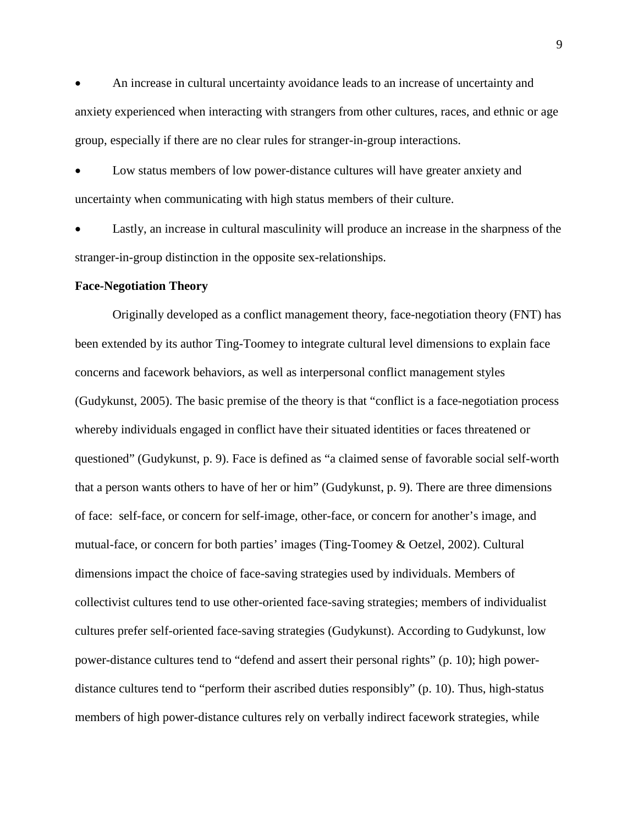• An increase in cultural uncertainty avoidance leads to an increase of uncertainty and anxiety experienced when interacting with strangers from other cultures, races, and ethnic or age group, especially if there are no clear rules for stranger-in-group interactions.

Low status members of low power-distance cultures will have greater anxiety and uncertainty when communicating with high status members of their culture.

Lastly, an increase in cultural masculinity will produce an increase in the sharpness of the stranger-in-group distinction in the opposite sex-relationships.

#### **Face-Negotiation Theory**

Originally developed as a conflict management theory, face-negotiation theory (FNT) has been extended by its author Ting-Toomey to integrate cultural level dimensions to explain face concerns and facework behaviors, as well as interpersonal conflict management styles (Gudykunst, 2005). The basic premise of the theory is that "conflict is a face-negotiation process whereby individuals engaged in conflict have their situated identities or faces threatened or questioned" (Gudykunst, p. 9). Face is defined as "a claimed sense of favorable social self-worth that a person wants others to have of her or him" (Gudykunst, p. 9). There are three dimensions of face: self-face, or concern for self-image, other-face, or concern for another's image, and mutual-face, or concern for both parties' images (Ting-Toomey & Oetzel, 2002). Cultural dimensions impact the choice of face-saving strategies used by individuals. Members of collectivist cultures tend to use other-oriented face-saving strategies; members of individualist cultures prefer self-oriented face-saving strategies (Gudykunst). According to Gudykunst, low power-distance cultures tend to "defend and assert their personal rights" (p. 10); high powerdistance cultures tend to "perform their ascribed duties responsibly" (p. 10). Thus, high-status members of high power-distance cultures rely on verbally indirect facework strategies, while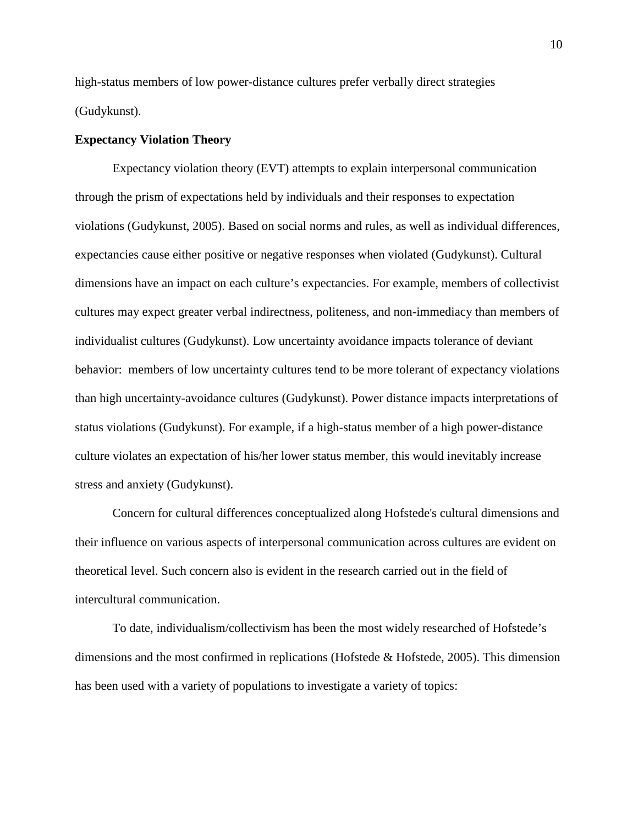high-status members of low power-distance cultures prefer verbally direct strategies (Gudykunst).

#### **Expectancy Violation Theory**

Expectancy violation theory (EVT) attempts to explain interpersonal communication through the prism of expectations held by individuals and their responses to expectation violations (Gudykunst, 2005). Based on social norms and rules, as well as individual differences, expectancies cause either positive or negative responses when violated (Gudykunst). Cultural dimensions have an impact on each culture's expectancies. For example, members of collectivist cultures may expect greater verbal indirectness, politeness, and non-immediacy than members of individualist cultures (Gudykunst). Low uncertainty avoidance impacts tolerance of deviant behavior: members of low uncertainty cultures tend to be more tolerant of expectancy violations than high uncertainty-avoidance cultures (Gudykunst). Power distance impacts interpretations of status violations (Gudykunst). For example, if a high-status member of a high power-distance culture violates an expectation of his/her lower status member, this would inevitably increase stress and anxiety (Gudykunst).

Concern for cultural differences conceptualized along Hofstede's cultural dimensions and their influence on various aspects of interpersonal communication across cultures are evident on theoretical level. Such concern also is evident in the research carried out in the field of intercultural communication.

To date, individualism/collectivism has been the most widely researched of Hofstede's dimensions and the most confirmed in replications (Hofstede & Hofstede, 2005). This dimension has been used with a variety of populations to investigate a variety of topics: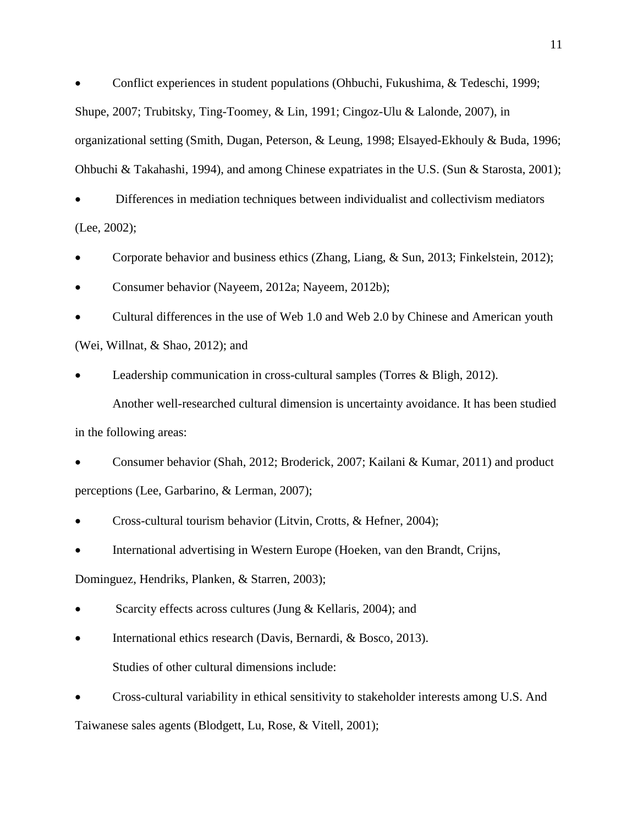• Conflict experiences in student populations (Ohbuchi, Fukushima, & Tedeschi, 1999; Shupe, 2007; Trubitsky, Ting-Toomey, & Lin, 1991; Cingoz-Ulu & Lalonde, 2007), in organizational setting (Smith, Dugan, Peterson, & Leung, 1998; Elsayed-Ekhouly & Buda, 1996; Ohbuchi & Takahashi, 1994), and among Chinese expatriates in the U.S. (Sun & Starosta, 2001);

• Differences in mediation techniques between individualist and collectivism mediators (Lee, 2002);

- Corporate behavior and business ethics (Zhang, Liang, & Sun, 2013; Finkelstein, 2012);
- Consumer behavior (Nayeem, 2012a; Nayeem, 2012b);

• Cultural differences in the use of Web 1.0 and Web 2.0 by Chinese and American youth (Wei, Willnat, & Shao, 2012); and

Leadership communication in cross-cultural samples (Torres & Bligh, 2012). Another well-researched cultural dimension is uncertainty avoidance. It has been studied

in the following areas:

• Consumer behavior (Shah, 2012; Broderick, 2007; Kailani & Kumar, 2011) and product perceptions (Lee, Garbarino, & Lerman, 2007);

- Cross-cultural tourism behavior (Litvin, Crotts, & Hefner, 2004);
- International advertising in Western Europe (Hoeken, van den Brandt, Crijns,

Dominguez, Hendriks, Planken, & Starren, 2003);

Scarcity effects across cultures (Jung & Kellaris, 2004); and

- International ethics research (Davis, Bernardi, & Bosco, 2013). Studies of other cultural dimensions include:
- Cross-cultural variability in ethical sensitivity to stakeholder interests among U.S. And

Taiwanese sales agents (Blodgett, Lu, Rose, & Vitell, 2001);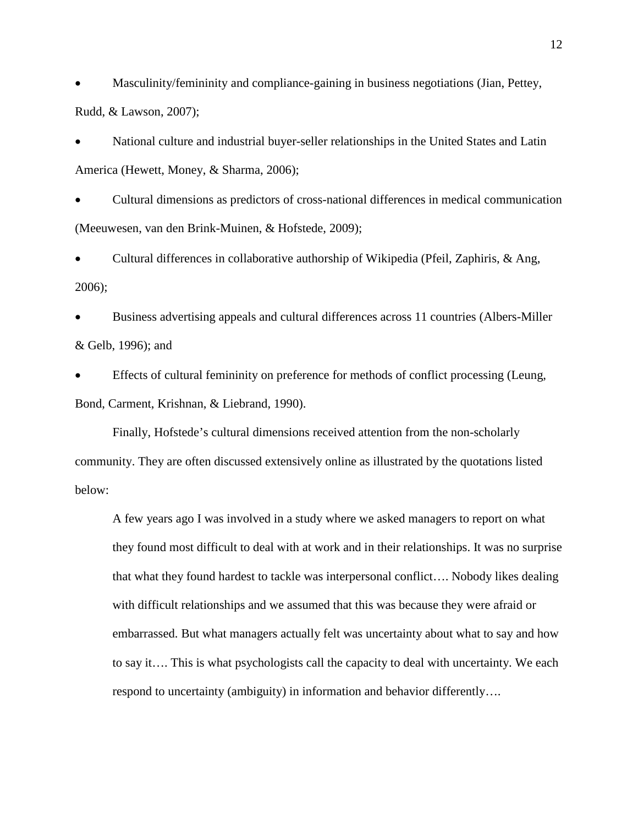• Masculinity/femininity and compliance-gaining in business negotiations (Jian, Pettey, Rudd, & Lawson, 2007);

• National culture and industrial buyer-seller relationships in the United States and Latin America (Hewett, Money, & Sharma, 2006);

• Cultural dimensions as predictors of cross-national differences in medical communication (Meeuwesen, van den Brink-Muinen, & Hofstede, 2009);

• Cultural differences in collaborative authorship of Wikipedia (Pfeil, Zaphiris, & Ang, 2006);

• Business advertising appeals and cultural differences across 11 countries (Albers-Miller & Gelb, 1996); and

• Effects of cultural femininity on preference for methods of conflict processing (Leung, Bond, Carment, Krishnan, & Liebrand, 1990).

Finally, Hofstede's cultural dimensions received attention from the non-scholarly community. They are often discussed extensively online as illustrated by the quotations listed below:

A few years ago I was involved in a study where we asked managers to report on what they found most difficult to deal with at work and in their relationships. It was no surprise that what they found hardest to tackle was interpersonal conflict…. Nobody likes dealing with difficult relationships and we assumed that this was because they were afraid or embarrassed. But what managers actually felt was uncertainty about what to say and how to say it…. This is what psychologists call the capacity to deal with uncertainty. We each respond to uncertainty (ambiguity) in information and behavior differently….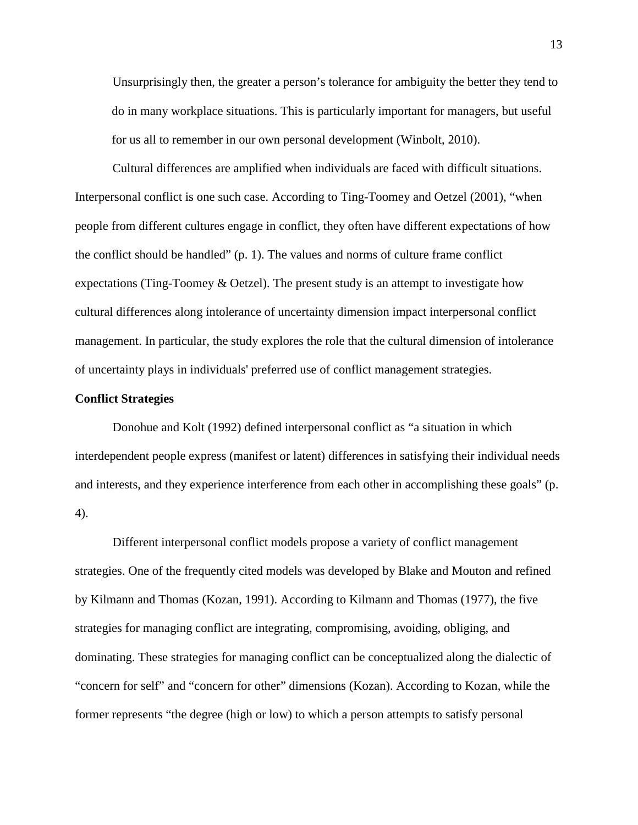Unsurprisingly then, the greater a person's tolerance for ambiguity the better they tend to do in many workplace situations. This is particularly important for managers, but useful for us all to remember in our own personal development (Winbolt, 2010).

Cultural differences are amplified when individuals are faced with difficult situations. Interpersonal conflict is one such case. According to Ting-Toomey and Oetzel (2001), "when people from different cultures engage in conflict, they often have different expectations of how the conflict should be handled" (p. 1). The values and norms of culture frame conflict expectations (Ting-Toomey  $& Oetzel$ ). The present study is an attempt to investigate how cultural differences along intolerance of uncertainty dimension impact interpersonal conflict management. In particular, the study explores the role that the cultural dimension of intolerance of uncertainty plays in individuals' preferred use of conflict management strategies.

#### **Conflict Strategies**

Donohue and Kolt (1992) defined interpersonal conflict as "a situation in which interdependent people express (manifest or latent) differences in satisfying their individual needs and interests, and they experience interference from each other in accomplishing these goals" (p. 4).

Different interpersonal conflict models propose a variety of conflict management strategies. One of the frequently cited models was developed by Blake and Mouton and refined by Kilmann and Thomas (Kozan, 1991). According to Kilmann and Thomas (1977), the five strategies for managing conflict are integrating, compromising, avoiding, obliging, and dominating. These strategies for managing conflict can be conceptualized along the dialectic of "concern for self" and "concern for other" dimensions (Kozan). According to Kozan, while the former represents "the degree (high or low) to which a person attempts to satisfy personal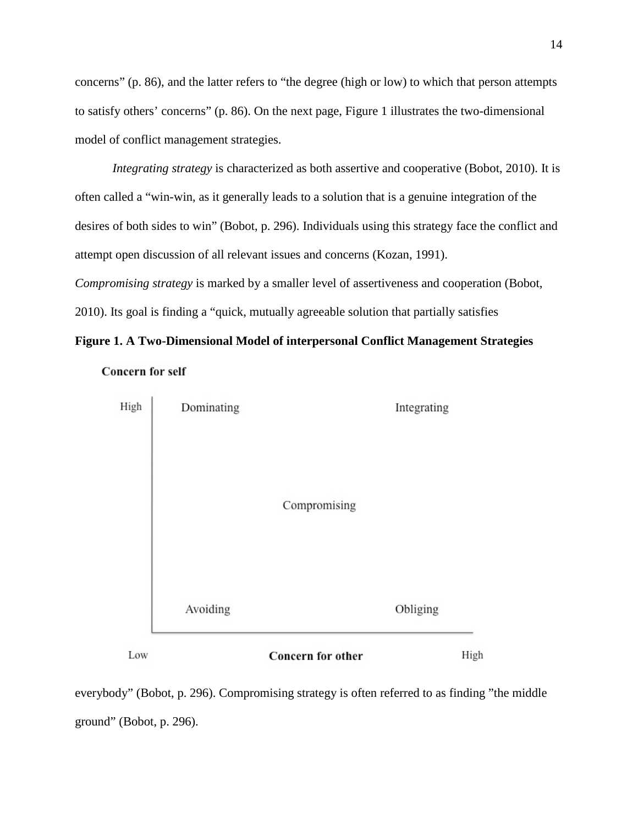concerns" (p. 86), and the latter refers to "the degree (high or low) to which that person attempts to satisfy others' concerns" (p. 86). On the next page, Figure 1 illustrates the two-dimensional model of conflict management strategies.

*Integrating strategy* is characterized as both assertive and cooperative (Bobot, 2010). It is often called a "win-win, as it generally leads to a solution that is a genuine integration of the desires of both sides to win" (Bobot, p. 296). Individuals using this strategy face the conflict and attempt open discussion of all relevant issues and concerns (Kozan, 1991).

*Compromising strategy* is marked by a smaller level of assertiveness and cooperation (Bobot, 2010). Its goal is finding a "quick, mutually agreeable solution that partially satisfies

**Figure 1. A Two-Dimensional Model of interpersonal Conflict Management Strategies**





everybody" (Bobot, p. 296). Compromising strategy is often referred to as finding "the middle ground" (Bobot, p. 296).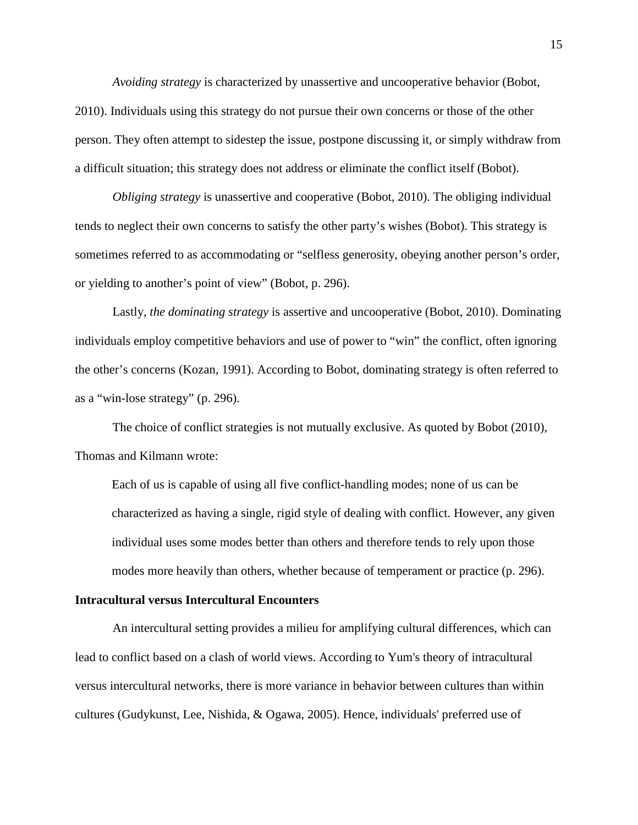*Avoiding strategy* is characterized by unassertive and uncooperative behavior (Bobot, 2010). Individuals using this strategy do not pursue their own concerns or those of the other person. They often attempt to sidestep the issue, postpone discussing it, or simply withdraw from a difficult situation; this strategy does not address or eliminate the conflict itself (Bobot).

*Obliging strategy* is unassertive and cooperative (Bobot, 2010). The obliging individual tends to neglect their own concerns to satisfy the other party's wishes (Bobot). This strategy is sometimes referred to as accommodating or "selfless generosity, obeying another person's order, or yielding to another's point of view" (Bobot, p. 296).

Lastly, *the dominating strategy* is assertive and uncooperative (Bobot, 2010). Dominating individuals employ competitive behaviors and use of power to "win" the conflict, often ignoring the other's concerns (Kozan, 1991). According to Bobot, dominating strategy is often referred to as a "win-lose strategy" (p. 296).

The choice of conflict strategies is not mutually exclusive. As quoted by Bobot (2010), Thomas and Kilmann wrote:

Each of us is capable of using all five conflict-handling modes; none of us can be characterized as having a single, rigid style of dealing with conflict. However, any given individual uses some modes better than others and therefore tends to rely upon those modes more heavily than others, whether because of temperament or practice (p. 296).

#### **Intracultural versus Intercultural Encounters**

An intercultural setting provides a milieu for amplifying cultural differences, which can lead to conflict based on a clash of world views. According to Yum's theory of intracultural versus intercultural networks, there is more variance in behavior between cultures than within cultures (Gudykunst, Lee, Nishida, & Ogawa, 2005). Hence, individuals' preferred use of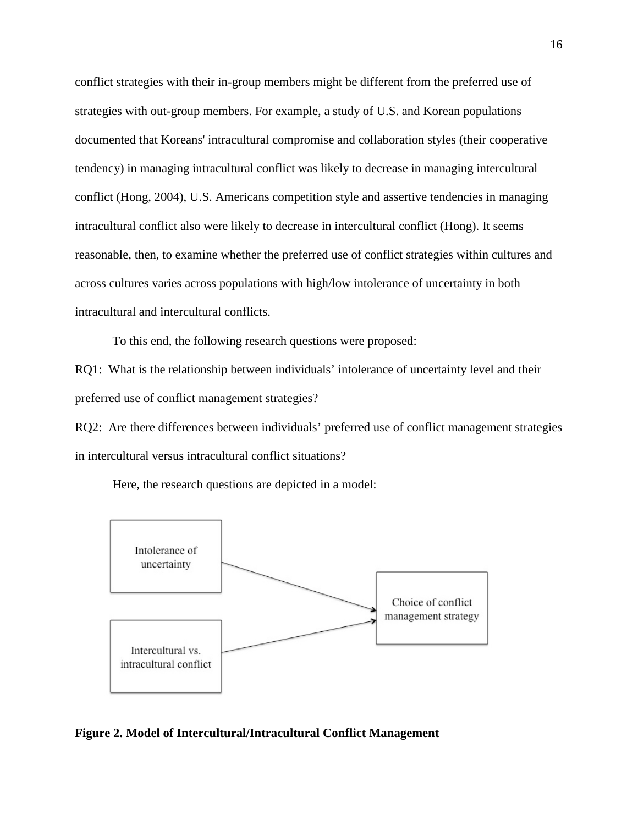conflict strategies with their in-group members might be different from the preferred use of strategies with out-group members. For example, a study of U.S. and Korean populations documented that Koreans' intracultural compromise and collaboration styles (their cooperative tendency) in managing intracultural conflict was likely to decrease in managing intercultural conflict (Hong, 2004), U.S. Americans competition style and assertive tendencies in managing intracultural conflict also were likely to decrease in intercultural conflict (Hong). It seems reasonable, then, to examine whether the preferred use of conflict strategies within cultures and across cultures varies across populations with high/low intolerance of uncertainty in both intracultural and intercultural conflicts.

To this end, the following research questions were proposed:

RQ1: What is the relationship between individuals' intolerance of uncertainty level and their preferred use of conflict management strategies?

RQ2: Are there differences between individuals' preferred use of conflict management strategies in intercultural versus intracultural conflict situations?

Here, the research questions are depicted in a model:



#### **Figure 2. Model of Intercultural/Intracultural Conflict Management**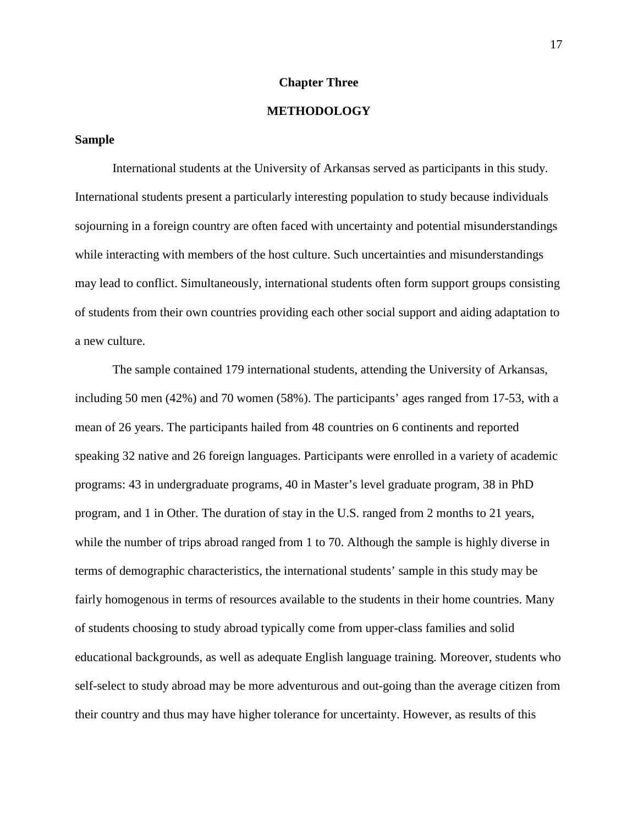#### **Chapter Three**

# **METHODOLOGY**

#### **Sample**

International students at the University of Arkansas served as participants in this study. International students present a particularly interesting population to study because individuals sojourning in a foreign country are often faced with uncertainty and potential misunderstandings while interacting with members of the host culture. Such uncertainties and misunderstandings may lead to conflict. Simultaneously, international students often form support groups consisting of students from their own countries providing each other social support and aiding adaptation to a new culture.

The sample contained 179 international students, attending the University of Arkansas, including 50 men (42%) and 70 women (58%). The participants' ages ranged from 17-53, with a mean of 26 years. The participants hailed from 48 countries on 6 continents and reported speaking 32 native and 26 foreign languages. Participants were enrolled in a variety of academic programs: 43 in undergraduate programs, 40 in Master's level graduate program, 38 in PhD program, and 1 in Other. The duration of stay in the U.S. ranged from 2 months to 21 years, while the number of trips abroad ranged from 1 to 70. Although the sample is highly diverse in terms of demographic characteristics, the international students' sample in this study may be fairly homogenous in terms of resources available to the students in their home countries. Many of students choosing to study abroad typically come from upper-class families and solid educational backgrounds, as well as adequate English language training. Moreover, students who self-select to study abroad may be more adventurous and out-going than the average citizen from their country and thus may have higher tolerance for uncertainty. However, as results of this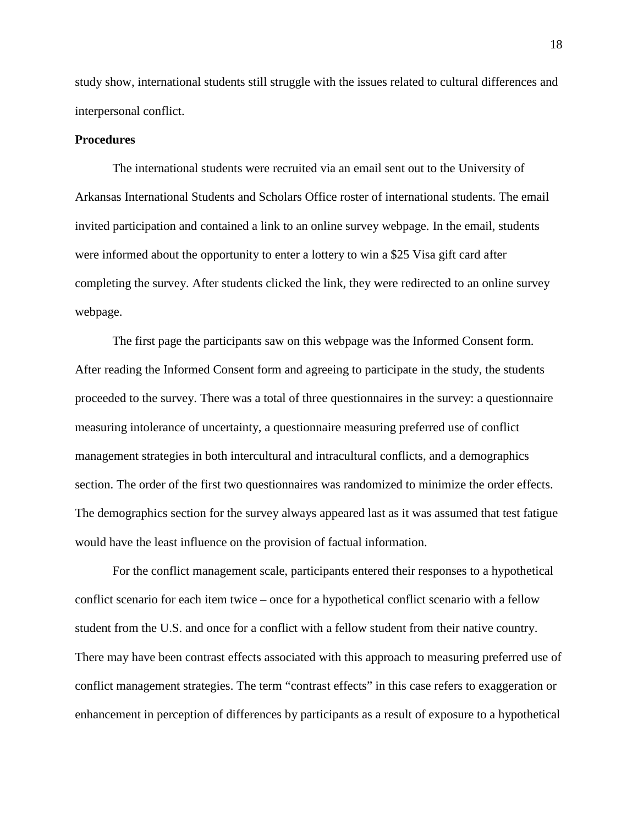study show, international students still struggle with the issues related to cultural differences and interpersonal conflict.

# **Procedures**

The international students were recruited via an email sent out to the University of Arkansas International Students and Scholars Office roster of international students. The email invited participation and contained a link to an online survey webpage. In the email, students were informed about the opportunity to enter a lottery to win a \$25 Visa gift card after completing the survey. After students clicked the link, they were redirected to an online survey webpage.

The first page the participants saw on this webpage was the Informed Consent form. After reading the Informed Consent form and agreeing to participate in the study, the students proceeded to the survey. There was a total of three questionnaires in the survey: a questionnaire measuring intolerance of uncertainty, a questionnaire measuring preferred use of conflict management strategies in both intercultural and intracultural conflicts, and a demographics section. The order of the first two questionnaires was randomized to minimize the order effects. The demographics section for the survey always appeared last as it was assumed that test fatigue would have the least influence on the provision of factual information.

For the conflict management scale, participants entered their responses to a hypothetical conflict scenario for each item twice – once for a hypothetical conflict scenario with a fellow student from the U.S. and once for a conflict with a fellow student from their native country. There may have been contrast effects associated with this approach to measuring preferred use of conflict management strategies. The term "contrast effects" in this case refers to exaggeration or enhancement in perception of differences by participants as a result of exposure to a hypothetical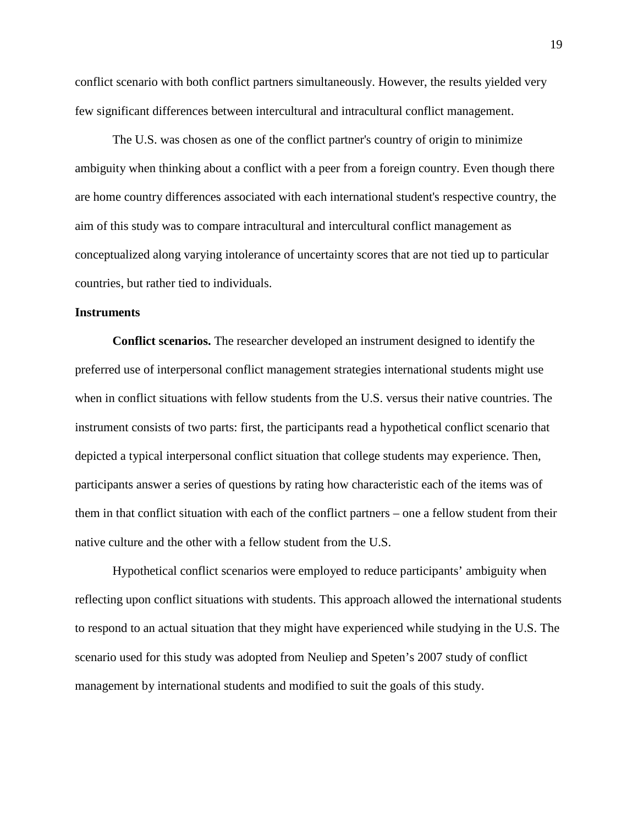conflict scenario with both conflict partners simultaneously. However, the results yielded very few significant differences between intercultural and intracultural conflict management.

The U.S. was chosen as one of the conflict partner's country of origin to minimize ambiguity when thinking about a conflict with a peer from a foreign country. Even though there are home country differences associated with each international student's respective country, the aim of this study was to compare intracultural and intercultural conflict management as conceptualized along varying intolerance of uncertainty scores that are not tied up to particular countries, but rather tied to individuals.

#### **Instruments**

**Conflict scenarios.** The researcher developed an instrument designed to identify the preferred use of interpersonal conflict management strategies international students might use when in conflict situations with fellow students from the U.S. versus their native countries. The instrument consists of two parts: first, the participants read a hypothetical conflict scenario that depicted a typical interpersonal conflict situation that college students may experience. Then, participants answer a series of questions by rating how characteristic each of the items was of them in that conflict situation with each of the conflict partners – one a fellow student from their native culture and the other with a fellow student from the U.S.

Hypothetical conflict scenarios were employed to reduce participants' ambiguity when reflecting upon conflict situations with students. This approach allowed the international students to respond to an actual situation that they might have experienced while studying in the U.S. The scenario used for this study was adopted from Neuliep and Speten's 2007 study of conflict management by international students and modified to suit the goals of this study.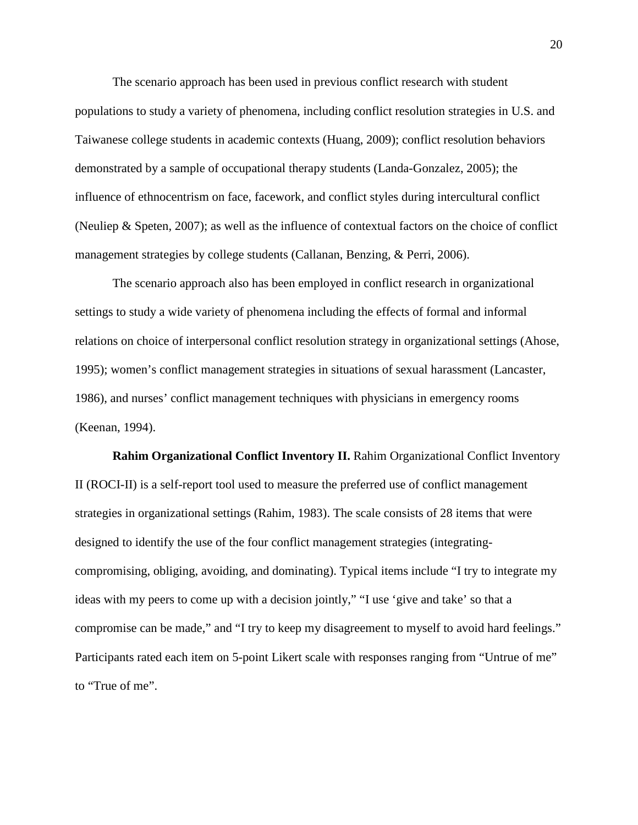The scenario approach has been used in previous conflict research with student populations to study a variety of phenomena, including conflict resolution strategies in U.S. and Taiwanese college students in academic contexts (Huang, 2009); conflict resolution behaviors demonstrated by a sample of occupational therapy students (Landa-Gonzalez, 2005); the influence of ethnocentrism on face, facework, and conflict styles during intercultural conflict (Neuliep & Speten, 2007); as well as the influence of contextual factors on the choice of conflict management strategies by college students (Callanan, Benzing, & Perri, 2006).

The scenario approach also has been employed in conflict research in organizational settings to study a wide variety of phenomena including the effects of formal and informal relations on choice of interpersonal conflict resolution strategy in organizational settings (Ahose, 1995); women's conflict management strategies in situations of sexual harassment (Lancaster, 1986), and nurses' conflict management techniques with physicians in emergency rooms (Keenan, 1994).

**Rahim Organizational Conflict Inventory II.** Rahim Organizational Conflict Inventory II (ROCI-II) is a self-report tool used to measure the preferred use of conflict management strategies in organizational settings (Rahim, 1983). The scale consists of 28 items that were designed to identify the use of the four conflict management strategies (integratingcompromising, obliging, avoiding, and dominating). Typical items include "I try to integrate my ideas with my peers to come up with a decision jointly," "I use 'give and take' so that a compromise can be made," and "I try to keep my disagreement to myself to avoid hard feelings." Participants rated each item on 5-point Likert scale with responses ranging from "Untrue of me" to "True of me".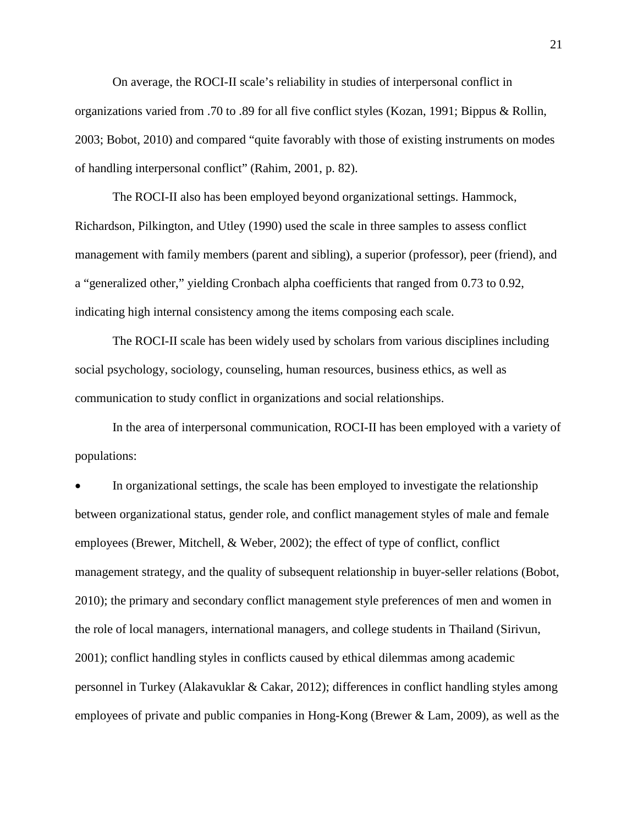On average, the ROCI-II scale's reliability in studies of interpersonal conflict in organizations varied from .70 to .89 for all five conflict styles (Kozan, 1991; Bippus & Rollin, 2003; Bobot, 2010) and compared "quite favorably with those of existing instruments on modes of handling interpersonal conflict" (Rahim, 2001, p. 82).

The ROCI-II also has been employed beyond organizational settings. Hammock, Richardson, Pilkington, and Utley (1990) used the scale in three samples to assess conflict management with family members (parent and sibling), a superior (professor), peer (friend), and a "generalized other," yielding Cronbach alpha coefficients that ranged from 0.73 to 0.92, indicating high internal consistency among the items composing each scale.

The ROCI-II scale has been widely used by scholars from various disciplines including social psychology, sociology, counseling, human resources, business ethics, as well as communication to study conflict in organizations and social relationships.

In the area of interpersonal communication, ROCI-II has been employed with a variety of populations:

In organizational settings, the scale has been employed to investigate the relationship between organizational status, gender role, and conflict management styles of male and female employees (Brewer, Mitchell, & Weber, 2002); the effect of type of conflict, conflict management strategy, and the quality of subsequent relationship in buyer-seller relations (Bobot, 2010); the primary and secondary conflict management style preferences of men and women in the role of local managers, international managers, and college students in Thailand (Sirivun, 2001); conflict handling styles in conflicts caused by ethical dilemmas among academic personnel in Turkey (Alakavuklar & Cakar, 2012); differences in conflict handling styles among employees of private and public companies in Hong-Kong (Brewer & Lam, 2009), as well as the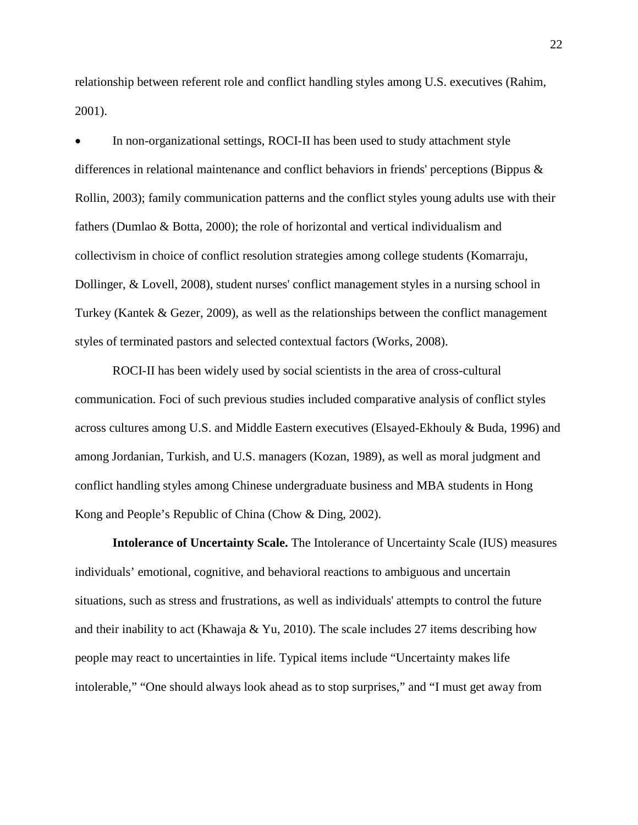relationship between referent role and conflict handling styles among U.S. executives (Rahim, 2001).

• In non-organizational settings, ROCI-II has been used to study attachment style differences in relational maintenance and conflict behaviors in friends' perceptions (Bippus & Rollin, 2003); family communication patterns and the conflict styles young adults use with their fathers (Dumlao & Botta, 2000); the role of horizontal and vertical individualism and collectivism in choice of conflict resolution strategies among college students (Komarraju, Dollinger, & Lovell, 2008), student nurses' conflict management styles in a nursing school in Turkey (Kantek & Gezer, 2009), as well as the relationships between the conflict management styles of terminated pastors and selected contextual factors (Works, 2008).

ROCI-II has been widely used by social scientists in the area of cross-cultural communication. Foci of such previous studies included comparative analysis of conflict styles across cultures among U.S. and Middle Eastern executives (Elsayed-Ekhouly & Buda, 1996) and among Jordanian, Turkish, and U.S. managers (Kozan, 1989), as well as moral judgment and conflict handling styles among Chinese undergraduate business and MBA students in Hong Kong and People's Republic of China (Chow & Ding, 2002).

**Intolerance of Uncertainty Scale.** The Intolerance of Uncertainty Scale (IUS) measures individuals' emotional, cognitive, and behavioral reactions to ambiguous and uncertain situations, such as stress and frustrations, as well as individuals' attempts to control the future and their inability to act (Khawaja & Yu, 2010). The scale includes 27 items describing how people may react to uncertainties in life. Typical items include "Uncertainty makes life intolerable," "One should always look ahead as to stop surprises," and "I must get away from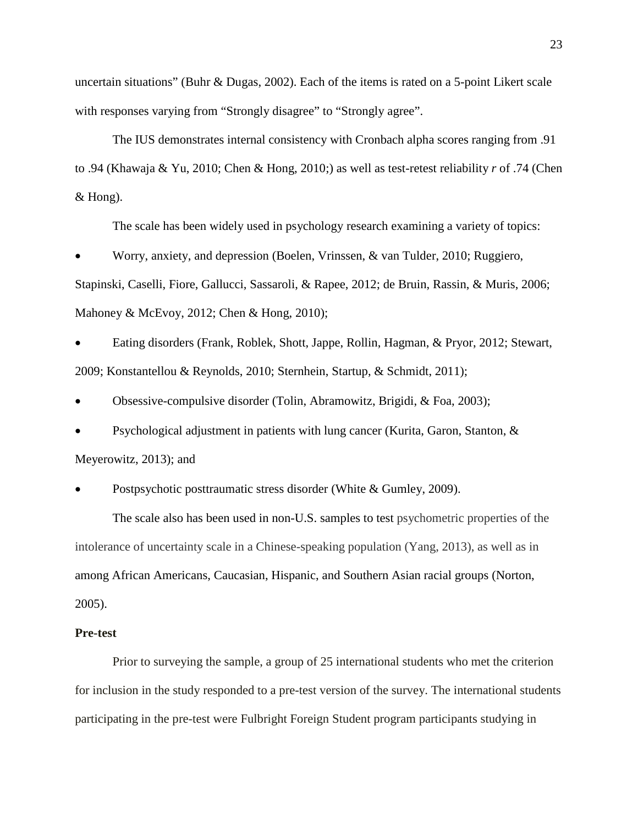uncertain situations" (Buhr & Dugas, 2002). Each of the items is rated on a 5-point Likert scale with responses varying from "Strongly disagree" to "Strongly agree".

The IUS demonstrates internal consistency with Cronbach alpha scores ranging from .91 to .94 (Khawaja & Yu, 2010; Chen & Hong, 2010;) as well as test-retest reliability *r* of .74 (Chen & Hong).

The scale has been widely used in psychology research examining a variety of topics:

• Worry, anxiety, and depression (Boelen, Vrinssen, & van Tulder, 2010; Ruggiero, Stapinski, Caselli, Fiore, Gallucci, Sassaroli, & Rapee, 2012; de Bruin, Rassin, & Muris, 2006; Mahoney & McEvoy, 2012; Chen & Hong, 2010);

• Eating disorders (Frank, Roblek, Shott, Jappe, Rollin, Hagman, & Pryor, 2012; Stewart, 2009; Konstantellou & Reynolds, 2010; Sternhein, Startup, & Schmidt, 2011);

• Obsessive-compulsive disorder (Tolin, Abramowitz, Brigidi, & Foa, 2003);

• Psychological adjustment in patients with lung cancer (Kurita, Garon, Stanton, & Meyerowitz, 2013); and

• Postpsychotic posttraumatic stress disorder (White & Gumley, 2009).

The scale also has been used in non-U.S. samples to test psychometric properties of the intolerance of uncertainty scale in a Chinese-speaking population (Yang, 2013), as well as in among African Americans, Caucasian, Hispanic, and Southern Asian racial groups (Norton, 2005).

#### **Pre-test**

Prior to surveying the sample, a group of 25 international students who met the criterion for inclusion in the study responded to a pre-test version of the survey. The international students participating in the pre-test were Fulbright Foreign Student program participants studying in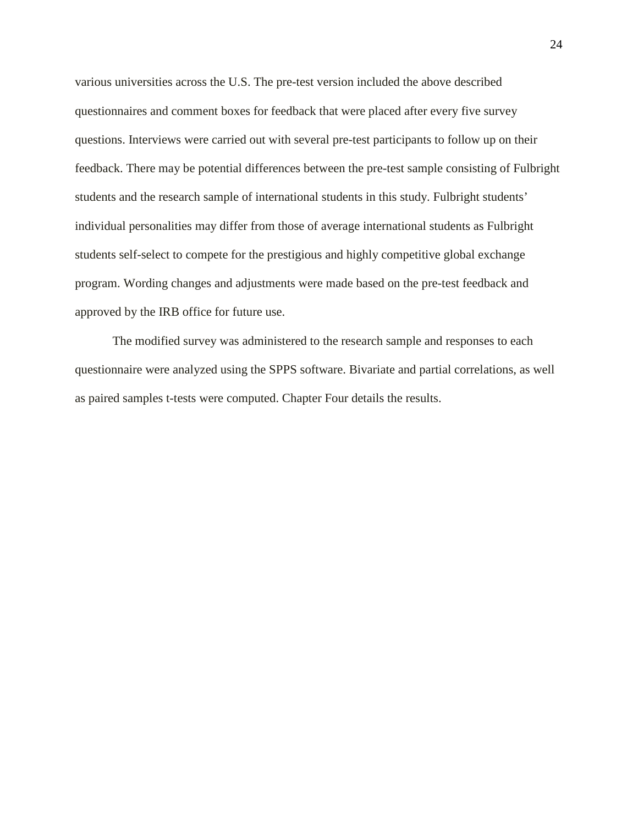various universities across the U.S. The pre-test version included the above described questionnaires and comment boxes for feedback that were placed after every five survey questions. Interviews were carried out with several pre-test participants to follow up on their feedback. There may be potential differences between the pre-test sample consisting of Fulbright students and the research sample of international students in this study. Fulbright students' individual personalities may differ from those of average international students as Fulbright students self-select to compete for the prestigious and highly competitive global exchange program. Wording changes and adjustments were made based on the pre-test feedback and approved by the IRB office for future use.

The modified survey was administered to the research sample and responses to each questionnaire were analyzed using the SPPS software. Bivariate and partial correlations, as well as paired samples t-tests were computed. Chapter Four details the results.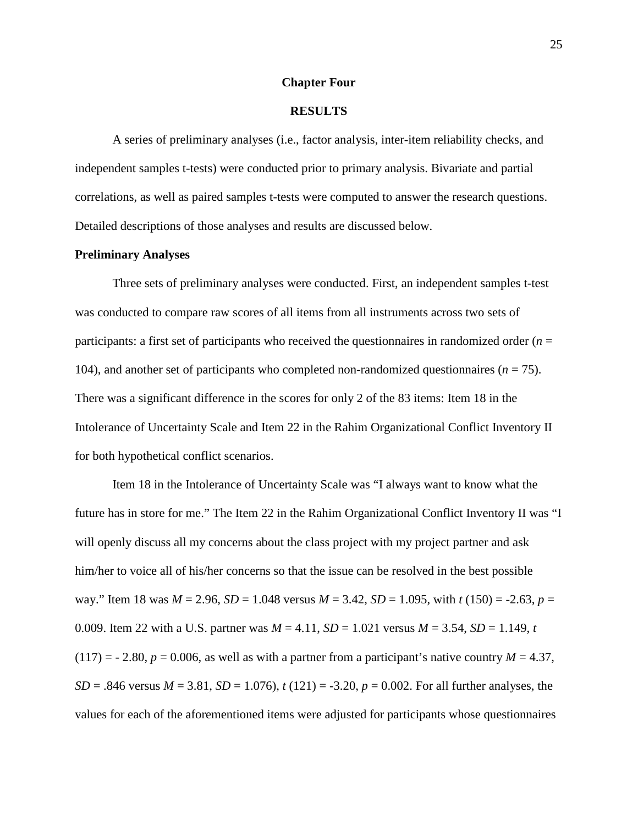#### **Chapter Four**

#### **RESULTS**

A series of preliminary analyses (i.e., factor analysis, inter-item reliability checks, and independent samples t-tests) were conducted prior to primary analysis. Bivariate and partial correlations, as well as paired samples t-tests were computed to answer the research questions. Detailed descriptions of those analyses and results are discussed below.

#### **Preliminary Analyses**

Three sets of preliminary analyses were conducted. First, an independent samples t-test was conducted to compare raw scores of all items from all instruments across two sets of participants: a first set of participants who received the questionnaires in randomized order (*n* = 104), and another set of participants who completed non-randomized questionnaires  $(n = 75)$ . There was a significant difference in the scores for only 2 of the 83 items: Item 18 in the Intolerance of Uncertainty Scale and Item 22 in the Rahim Organizational Conflict Inventory II for both hypothetical conflict scenarios.

Item 18 in the Intolerance of Uncertainty Scale was "I always want to know what the future has in store for me." The Item 22 in the Rahim Organizational Conflict Inventory II was "I will openly discuss all my concerns about the class project with my project partner and ask him/her to voice all of his/her concerns so that the issue can be resolved in the best possible way." Item 18 was *M* = 2.96, *SD* = 1.048 versus *M* = 3.42, *SD* = 1.095, with *t* (150) = -2.63, *p* = 0.009. Item 22 with a U.S. partner was  $M = 4.11$ ,  $SD = 1.021$  versus  $M = 3.54$ ,  $SD = 1.149$ , *t*  $(117) = -2.80$ ,  $p = 0.006$ , as well as with a partner from a participant's native country  $M = 4.37$ , *SD* = .846 versus *M* = 3.81, *SD* = 1.076), *t* (121) = -3.20, *p* = 0.002. For all further analyses, the values for each of the aforementioned items were adjusted for participants whose questionnaires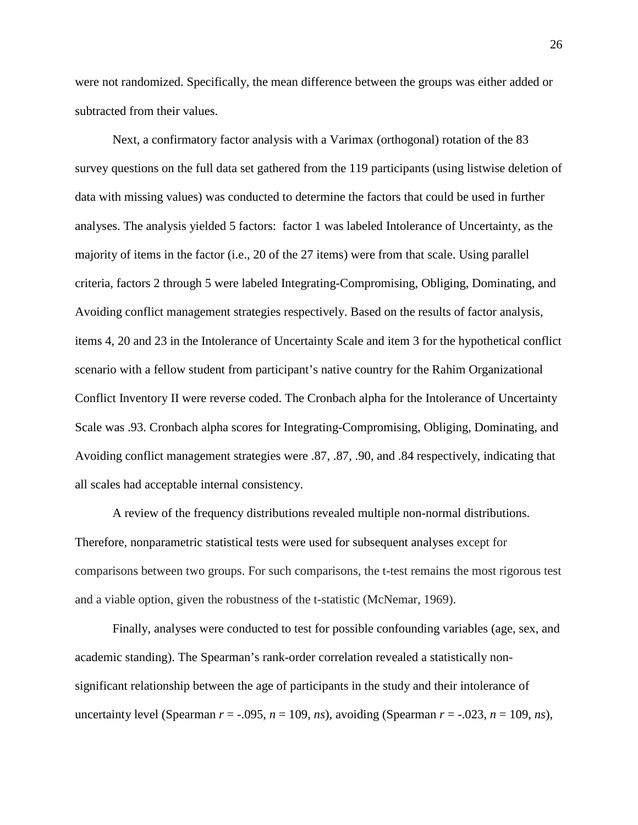were not randomized. Specifically, the mean difference between the groups was either added or subtracted from their values.

Next, a confirmatory factor analysis with a Varimax (orthogonal) rotation of the 83 survey questions on the full data set gathered from the 119 participants (using listwise deletion of data with missing values) was conducted to determine the factors that could be used in further analyses. The analysis yielded 5 factors: factor 1 was labeled Intolerance of Uncertainty, as the majority of items in the factor (i.e., 20 of the 27 items) were from that scale. Using parallel criteria, factors 2 through 5 were labeled Integrating-Compromising, Obliging, Dominating, and Avoiding conflict management strategies respectively. Based on the results of factor analysis, items 4, 20 and 23 in the Intolerance of Uncertainty Scale and item 3 for the hypothetical conflict scenario with a fellow student from participant's native country for the Rahim Organizational Conflict Inventory II were reverse coded. The Cronbach alpha for the Intolerance of Uncertainty Scale was .93. Cronbach alpha scores for Integrating-Compromising, Obliging, Dominating, and Avoiding conflict management strategies were .87, .87, .90, and .84 respectively, indicating that all scales had acceptable internal consistency.

A review of the frequency distributions revealed multiple non-normal distributions. Therefore, nonparametric statistical tests were used for subsequent analyses except for comparisons between two groups. For such comparisons, the t-test remains the most rigorous test and a viable option, given the robustness of the t-statistic (McNemar, 1969).

Finally, analyses were conducted to test for possible confounding variables (age, sex, and academic standing). The Spearman's rank-order correlation revealed a statistically nonsignificant relationship between the age of participants in the study and their intolerance of uncertainty level (Spearman  $r = -0.095$ ,  $n = 109$ ,  $ns$ ), avoiding (Spearman  $r = -0.023$ ,  $n = 109$ ,  $ns$ ),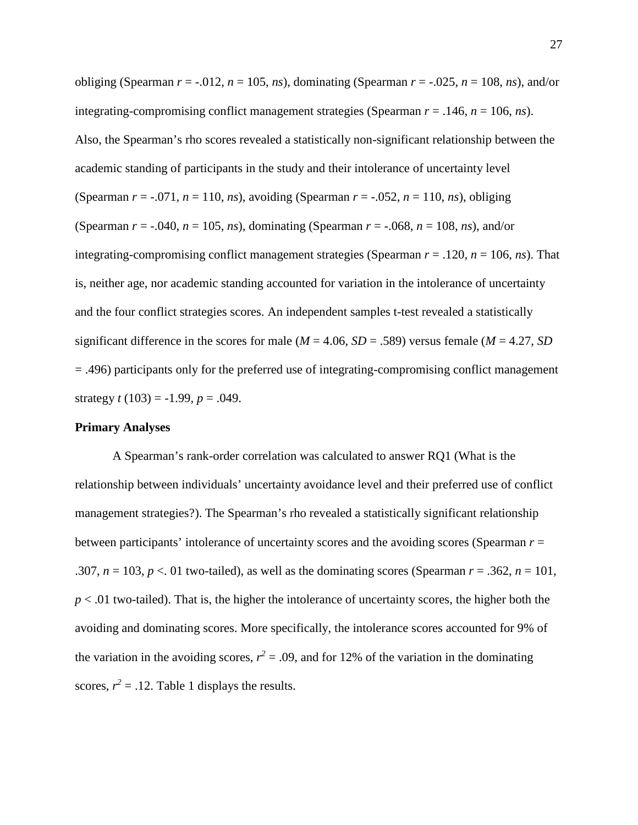obliging (Spearman  $r = -0.012$ ,  $n = 105$ ,  $n_s$ ), dominating (Spearman  $r = -0.025$ ,  $n = 108$ ,  $n_s$ ), and/or integrating-compromising conflict management strategies (Spearman *r* = .146, *n* = 106, *ns*). Also, the Spearman's rho scores revealed a statistically non-significant relationship between the academic standing of participants in the study and their intolerance of uncertainty level (Spearman  $r = -.071$ ,  $n = 110$ ,  $ns$ ), avoiding (Spearman  $r = -.052$ ,  $n = 110$ ,  $ns$ ), obliging (Spearman  $r = -.040$ ,  $n = 105$ ,  $ns$ ), dominating (Spearman  $r = -.068$ ,  $n = 108$ ,  $ns$ ), and/or integrating-compromising conflict management strategies (Spearman *r* = .120, *n* = 106, *ns*). That is, neither age, nor academic standing accounted for variation in the intolerance of uncertainty and the four conflict strategies scores. An independent samples t-test revealed a statistically significant difference in the scores for male ( $M = 4.06$ ,  $SD = .589$ ) versus female ( $M = 4.27$ ,  $SD$ = .496) participants only for the preferred use of integrating-compromising conflict management strategy  $t(103) = -1.99$ ,  $p = .049$ .

#### **Primary Analyses**

A Spearman's rank-order correlation was calculated to answer RQ1 (What is the relationship between individuals' uncertainty avoidance level and their preferred use of conflict management strategies?). The Spearman's rho revealed a statistically significant relationship between participants' intolerance of uncertainty scores and the avoiding scores (Spearman *r* = .307,  $n = 103$ ,  $p < 01$  two-tailed), as well as the dominating scores (Spearman  $r = .362$ ,  $n = 101$ , *p* < .01 two-tailed). That is, the higher the intolerance of uncertainty scores, the higher both the avoiding and dominating scores. More specifically, the intolerance scores accounted for 9% of the variation in the avoiding scores,  $r^2 = .09$ , and for 12% of the variation in the dominating scores,  $r^2 = .12$ . Table 1 displays the results.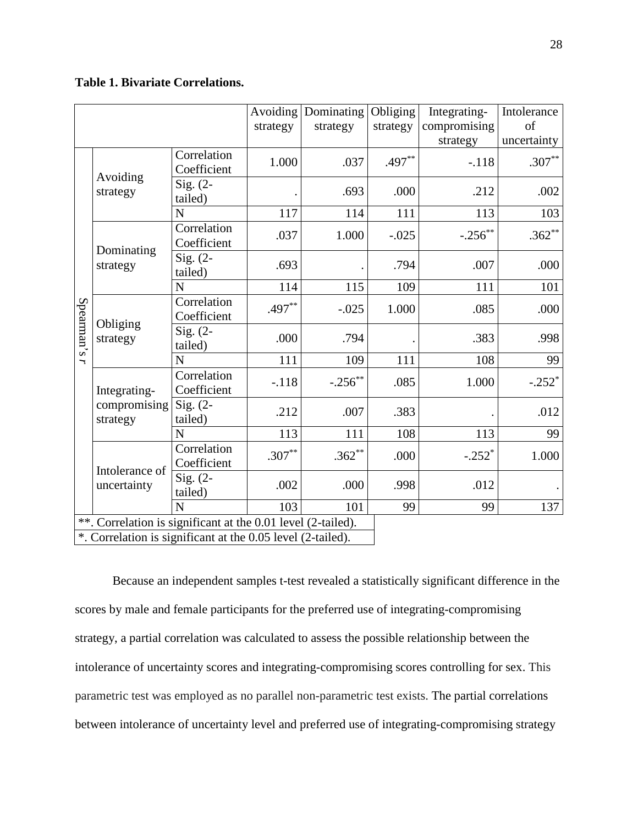# **Table 1. Bivariate Correlations.**

|            |                                                              | strategy                   | Avoiding Dominating<br>strategy | Obliging<br>strategy | Integrating-<br>compromising | Intolerance<br>of |          |
|------------|--------------------------------------------------------------|----------------------------|---------------------------------|----------------------|------------------------------|-------------------|----------|
|            |                                                              |                            |                                 |                      | strategy                     | uncertainty       |          |
| Spearman's | Avoiding<br>strategy                                         | Correlation<br>Coefficient | 1.000                           | .037                 | $.497**$                     | $-.118$           | $.307**$ |
|            |                                                              | Sig. $(2-$<br>tailed)      |                                 | .693                 | .000                         | .212              | .002     |
|            |                                                              | $\mathbf N$                | 117                             | 114                  | 111                          | 113               | 103      |
|            | Dominating<br>strategy                                       | Correlation<br>Coefficient | .037                            | 1.000                | $-.025$                      | $-.256$ **        | $.362**$ |
|            |                                                              | Sig. $(2-$<br>tailed)      | .693                            |                      | .794                         | .007              | .000     |
|            |                                                              | N                          | 114                             | 115                  | 109                          | 111               | 101      |
|            | Obliging<br>strategy                                         | Correlation<br>Coefficient | $.497**$                        | $-.025$              | 1.000                        | .085              | .000     |
|            |                                                              | Sig. $(2-$<br>tailed)      | .000                            | .794                 |                              | .383              | .998     |
| ╮          |                                                              | N                          | 111                             | 109                  | 111                          | 108               | 99       |
|            | Integrating-<br>compromising<br>strategy                     | Correlation<br>Coefficient | $-.118$                         | $-.256$ **           | .085                         | 1.000             | $-.252*$ |
|            |                                                              | $Sig. (2-$<br>tailed)      | .212                            | .007                 | .383                         |                   | .012     |
|            |                                                              | N                          | 113                             | 111                  | 108                          | 113               | 99       |
|            | Intolerance of<br>uncertainty                                | Correlation<br>Coefficient | $.307***$                       | $.362**$             | .000                         | $-.252*$          | 1.000    |
|            |                                                              | $Sig. (2-$<br>tailed)      | .002                            | .000                 | .998                         | .012              |          |
|            |                                                              | N                          | 103                             | 101                  | 99                           | 99                | 137      |
|            | **. Correlation is significant at the 0.01 level (2-tailed). |                            |                                 |                      |                              |                   |          |
|            | *. Correlation is significant at the 0.05 level (2-tailed).  |                            |                                 |                      |                              |                   |          |

Because an independent samples t-test revealed a statistically significant difference in the scores by male and female participants for the preferred use of integrating-compromising strategy, a partial correlation was calculated to assess the possible relationship between the intolerance of uncertainty scores and integrating-compromising scores controlling for sex. This parametric test was employed as no parallel non-parametric test exists. The partial correlations between intolerance of uncertainty level and preferred use of integrating-compromising strategy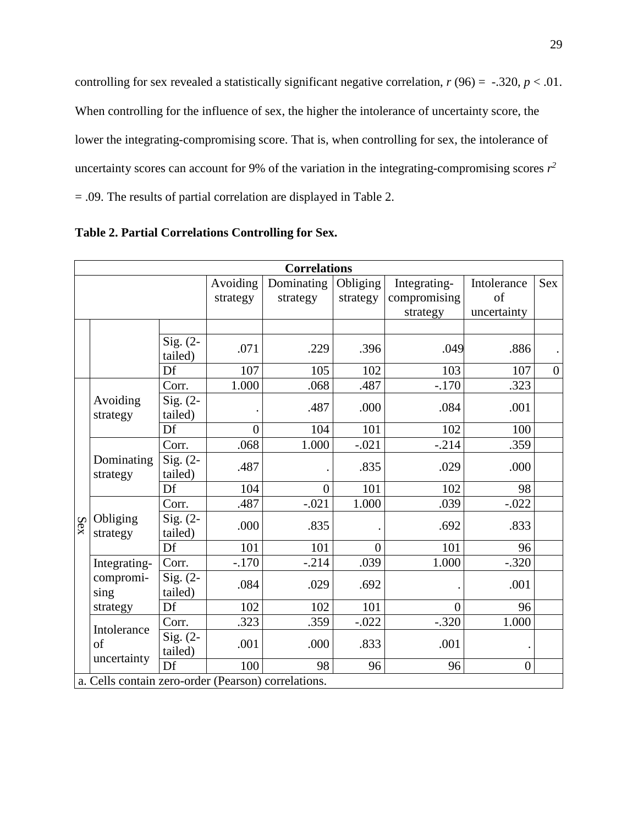controlling for sex revealed a statistically significant negative correlation,  $r(96) = -.320, p < .01$ . When controlling for the influence of sex, the higher the intolerance of uncertainty score, the lower the integrating-compromising score. That is, when controlling for sex, the intolerance of uncertainty scores can account for 9% of the variation in the integrating-compromising scores  $r^2$ = .09. The results of partial correlation are displayed in Table 2.

| <b>Correlations</b> |                                                     |                       |          |                |                |                |                |                |
|---------------------|-----------------------------------------------------|-----------------------|----------|----------------|----------------|----------------|----------------|----------------|
|                     |                                                     |                       | Avoiding | Dominating     | Obliging       | Integrating-   | Intolerance    | Sex            |
|                     |                                                     | strategy<br>strategy  |          | strategy       | compromising   | of             |                |                |
|                     |                                                     |                       |          |                | strategy       | uncertainty    |                |                |
|                     |                                                     |                       |          |                |                |                |                |                |
|                     |                                                     | Sig. $(2-$<br>tailed) | .071     | .229           | .396           | .049           | .886           |                |
|                     |                                                     | Df                    | 107      | 105            | 102            | 103            | 107            | $\overline{0}$ |
| Sex                 | Avoiding<br>strategy                                | Corr.                 | 1.000    | .068           | .487           | $-.170$        | .323           |                |
|                     |                                                     | Sig. $(2-$<br>tailed) |          | .487           | .000           | .084           | .001           |                |
|                     |                                                     | Df                    | $\theta$ | 104            | 101            | 102            | 100            |                |
|                     | Dominating<br>strategy                              | Corr.                 | .068     | 1.000          | $-.021$        | $-.214$        | .359           |                |
|                     |                                                     | Sig. $(2-$<br>tailed) | .487     |                | .835           | .029           | .000           |                |
|                     |                                                     | Df                    | 104      | $\overline{0}$ | 101            | 102            | 98             |                |
|                     | Obliging<br>strategy                                | Corr.                 | .487     | $-.021$        | 1.000          | .039           | $-.022$        |                |
|                     |                                                     | Sig. $(2-$<br>tailed) | .000     | .835           |                | .692           | .833           |                |
|                     |                                                     | Df                    | 101      | 101            | $\overline{0}$ | 101            | 96             |                |
|                     | Integrating-                                        | Corr.                 | $-.170$  | $-.214$        | .039           | 1.000          | $-.320$        |                |
|                     | compromi-<br>sing                                   | $Sig. (2-$<br>tailed) | .084     | .029           | .692           |                | .001           |                |
|                     | strategy                                            | Df                    | 102      | 102            | 101            | $\overline{0}$ | 96             |                |
|                     | Intolerance                                         | Corr.                 | .323     | .359           | $-.022$        | $-.320$        | 1.000          |                |
|                     | of<br>uncertainty                                   | Sig. $(2-$<br>tailed) | .001     | .000           | .833           | .001           |                |                |
|                     |                                                     | Df                    | 100      | 98             | 96             | 96             | $\overline{0}$ |                |
|                     | a. Cells contain zero-order (Pearson) correlations. |                       |          |                |                |                |                |                |

**Table 2. Partial Correlations Controlling for Sex.**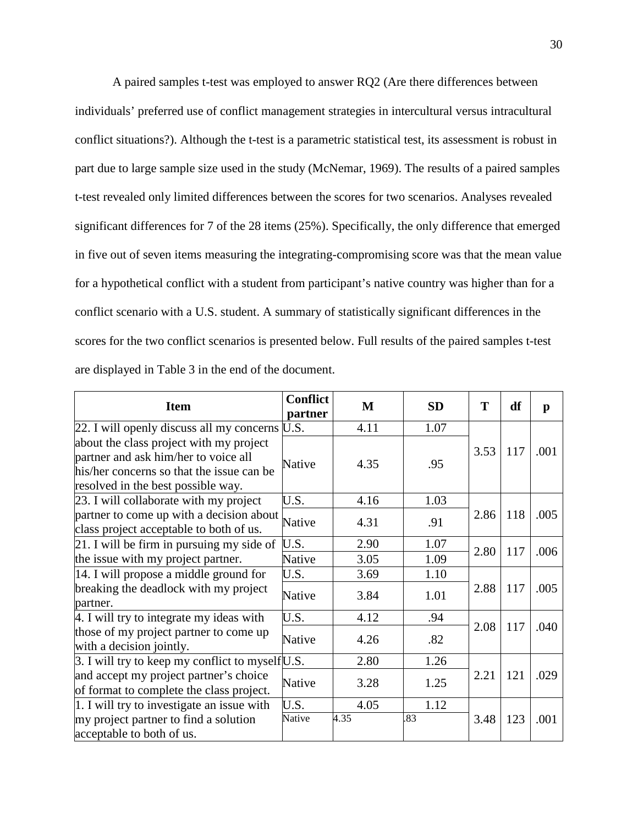A paired samples t-test was employed to answer RQ2 (Are there differences between individuals' preferred use of conflict management strategies in intercultural versus intracultural conflict situations?). Although the t-test is a parametric statistical test, its assessment is robust in part due to large sample size used in the study (McNemar, 1969). The results of a paired samples t-test revealed only limited differences between the scores for two scenarios. Analyses revealed significant differences for 7 of the 28 items (25%). Specifically, the only difference that emerged in five out of seven items measuring the integrating-compromising score was that the mean value for a hypothetical conflict with a student from participant's native country was higher than for a conflict scenario with a U.S. student. A summary of statistically significant differences in the scores for the two conflict scenarios is presented below. Full results of the paired samples t-test are displayed in Table 3 in the end of the document.

| <b>Item</b>                                                                                                                                                        | <b>Conflict</b><br>partner | M    | <b>SD</b> | T    | df  | p    |
|--------------------------------------------------------------------------------------------------------------------------------------------------------------------|----------------------------|------|-----------|------|-----|------|
| 22. I will openly discuss all my concerns U.S.                                                                                                                     |                            | 4.11 | 1.07      |      |     |      |
| about the class project with my project<br>partner and ask him/her to voice all<br>his/her concerns so that the issue can be<br>resolved in the best possible way. | Native                     | 4.35 | .95       | 3.53 | 117 | .001 |
| 23. I will collaborate with my project                                                                                                                             | U.S.                       | 4.16 | 1.03      |      |     |      |
| partner to come up with a decision about<br>class project acceptable to both of us.                                                                                | Native                     | 4.31 | .91       | 2.86 | 118 | .005 |
| 21. I will be firm in pursuing my side of                                                                                                                          | U.S.                       | 2.90 | 1.07      |      |     |      |
| the issue with my project partner.                                                                                                                                 | Native                     | 3.05 | 1.09      | 2.80 | 117 | .006 |
| 14. I will propose a middle ground for                                                                                                                             | U.S.                       | 3.69 | 1.10      |      |     |      |
| breaking the deadlock with my project<br>partner.                                                                                                                  | Native                     | 3.84 | 1.01      | 2.88 | 117 | .005 |
| 4. I will try to integrate my ideas with                                                                                                                           | U.S.                       | 4.12 | .94       |      |     |      |
| those of my project partner to come up<br>with a decision jointly.                                                                                                 | Native                     | 4.26 | .82       | 2.08 | 117 | .040 |
| $\beta$ . I will try to keep my conflict to myself U.S.                                                                                                            |                            | 2.80 | 1.26      |      |     |      |
| and accept my project partner's choice<br>of format to complete the class project.                                                                                 | Native                     | 3.28 | 1.25      | 2.21 | 121 | .029 |
| 1. I will try to investigate an issue with                                                                                                                         | U.S.                       | 4.05 | 1.12      |      |     |      |
| my project partner to find a solution<br>acceptable to both of us.                                                                                                 | Native                     | 4.35 | .83       | 3.48 | 123 | .001 |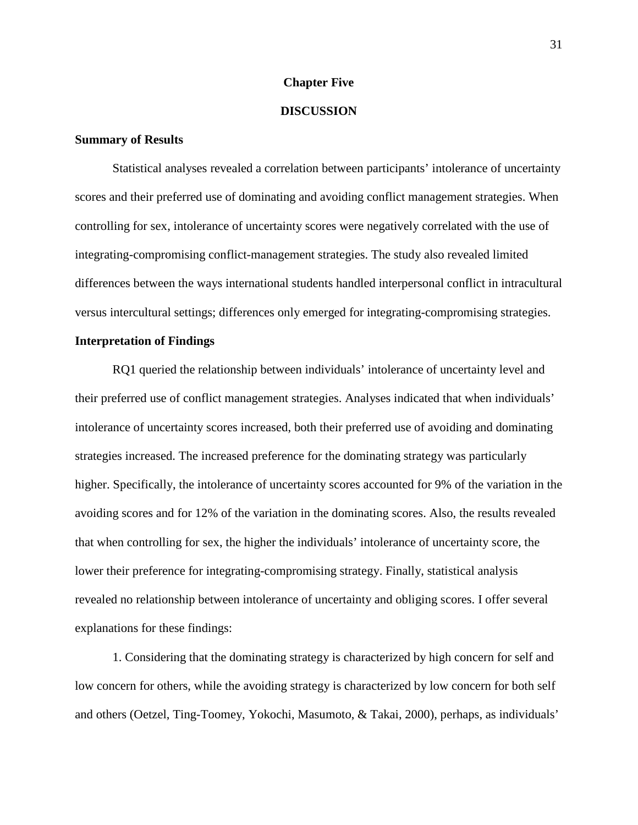#### **Chapter Five**

#### **DISCUSSION**

#### **Summary of Results**

Statistical analyses revealed a correlation between participants' intolerance of uncertainty scores and their preferred use of dominating and avoiding conflict management strategies. When controlling for sex, intolerance of uncertainty scores were negatively correlated with the use of integrating-compromising conflict-management strategies. The study also revealed limited differences between the ways international students handled interpersonal conflict in intracultural versus intercultural settings; differences only emerged for integrating-compromising strategies.

### **Interpretation of Findings**

RQ1 queried the relationship between individuals' intolerance of uncertainty level and their preferred use of conflict management strategies. Analyses indicated that when individuals' intolerance of uncertainty scores increased, both their preferred use of avoiding and dominating strategies increased. The increased preference for the dominating strategy was particularly higher. Specifically, the intolerance of uncertainty scores accounted for 9% of the variation in the avoiding scores and for 12% of the variation in the dominating scores. Also, the results revealed that when controlling for sex, the higher the individuals' intolerance of uncertainty score, the lower their preference for integrating-compromising strategy. Finally, statistical analysis revealed no relationship between intolerance of uncertainty and obliging scores. I offer several explanations for these findings:

1. Considering that the dominating strategy is characterized by high concern for self and low concern for others, while the avoiding strategy is characterized by low concern for both self and others (Oetzel, Ting-Toomey, Yokochi, Masumoto, & Takai, 2000), perhaps, as individuals'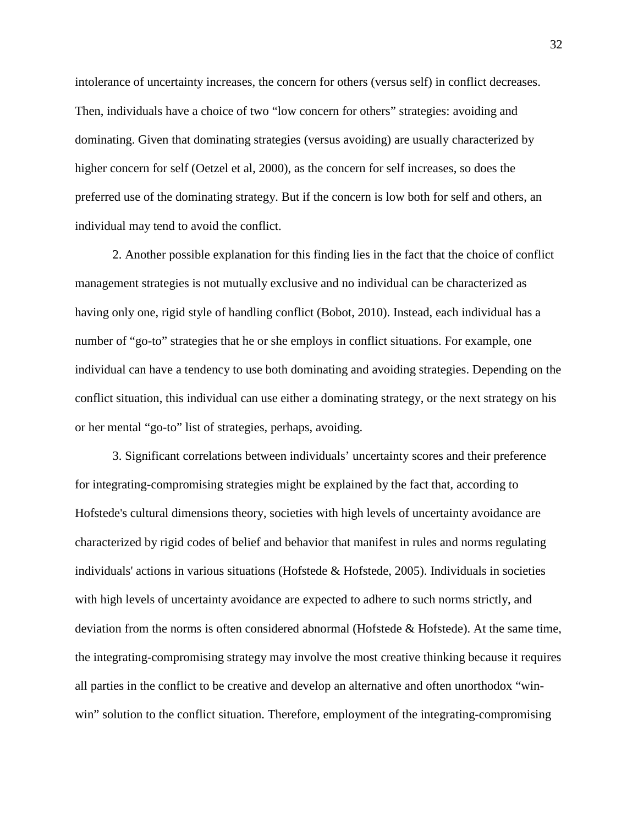intolerance of uncertainty increases, the concern for others (versus self) in conflict decreases. Then, individuals have a choice of two "low concern for others" strategies: avoiding and dominating. Given that dominating strategies (versus avoiding) are usually characterized by higher concern for self (Oetzel et al, 2000), as the concern for self increases, so does the preferred use of the dominating strategy. But if the concern is low both for self and others, an individual may tend to avoid the conflict.

2. Another possible explanation for this finding lies in the fact that the choice of conflict management strategies is not mutually exclusive and no individual can be characterized as having only one, rigid style of handling conflict (Bobot, 2010). Instead, each individual has a number of "go-to" strategies that he or she employs in conflict situations. For example, one individual can have a tendency to use both dominating and avoiding strategies. Depending on the conflict situation, this individual can use either a dominating strategy, or the next strategy on his or her mental "go-to" list of strategies, perhaps, avoiding.

3. Significant correlations between individuals' uncertainty scores and their preference for integrating-compromising strategies might be explained by the fact that, according to Hofstede's cultural dimensions theory, societies with high levels of uncertainty avoidance are characterized by rigid codes of belief and behavior that manifest in rules and norms regulating individuals' actions in various situations (Hofstede  $\&$  Hofstede, 2005). Individuals in societies with high levels of uncertainty avoidance are expected to adhere to such norms strictly, and deviation from the norms is often considered abnormal (Hofstede & Hofstede). At the same time, the integrating-compromising strategy may involve the most creative thinking because it requires all parties in the conflict to be creative and develop an alternative and often unorthodox "winwin" solution to the conflict situation. Therefore, employment of the integrating-compromising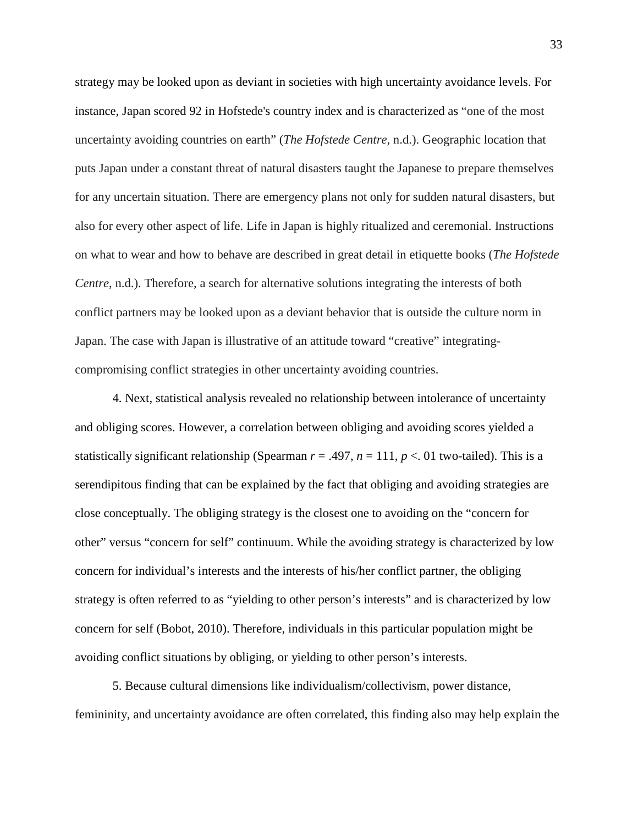strategy may be looked upon as deviant in societies with high uncertainty avoidance levels. For instance, Japan scored 92 in Hofstede's country index and is characterized as "one of the most uncertainty avoiding countries on earth" (*The Hofstede Centre*, n.d.). Geographic location that puts Japan under a constant threat of natural disasters taught the Japanese to prepare themselves for any uncertain situation. There are emergency plans not only for sudden natural disasters, but also for every other aspect of life. Life in Japan is highly ritualized and ceremonial. Instructions on what to wear and how to behave are described in great detail in etiquette books (*The Hofstede Centre*, n.d.). Therefore, a search for alternative solutions integrating the interests of both conflict partners may be looked upon as a deviant behavior that is outside the culture norm in Japan. The case with Japan is illustrative of an attitude toward "creative" integratingcompromising conflict strategies in other uncertainty avoiding countries.

4. Next, statistical analysis revealed no relationship between intolerance of uncertainty and obliging scores. However, a correlation between obliging and avoiding scores yielded a statistically significant relationship (Spearman  $r = .497$ ,  $n = 111$ ,  $p < .01$  two-tailed). This is a serendipitous finding that can be explained by the fact that obliging and avoiding strategies are close conceptually. The obliging strategy is the closest one to avoiding on the "concern for other" versus "concern for self" continuum. While the avoiding strategy is characterized by low concern for individual's interests and the interests of his/her conflict partner, the obliging strategy is often referred to as "yielding to other person's interests" and is characterized by low concern for self (Bobot, 2010). Therefore, individuals in this particular population might be avoiding conflict situations by obliging, or yielding to other person's interests.

5. Because cultural dimensions like individualism/collectivism, power distance, femininity, and uncertainty avoidance are often correlated, this finding also may help explain the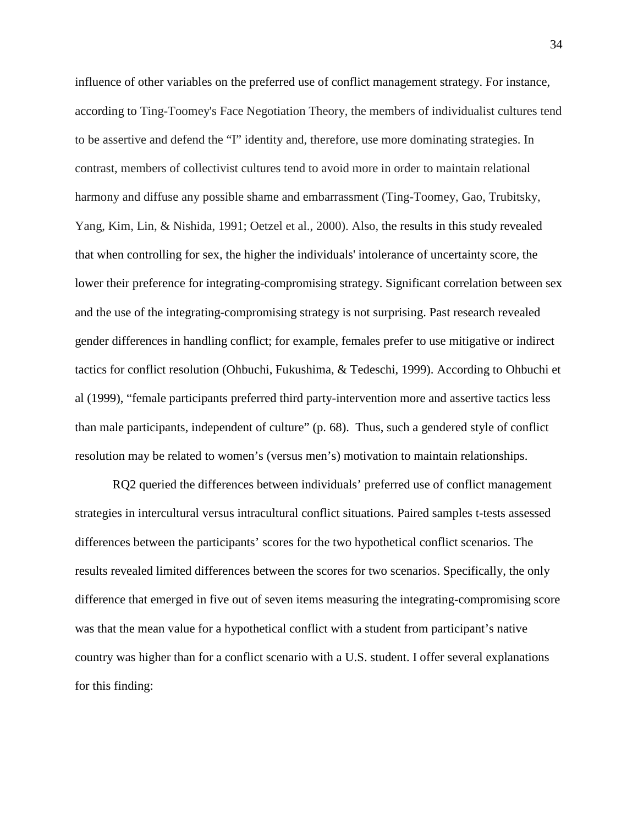influence of other variables on the preferred use of conflict management strategy. For instance, according to Ting-Toomey's Face Negotiation Theory, the members of individualist cultures tend to be assertive and defend the "I" identity and, therefore, use more dominating strategies. In contrast, members of collectivist cultures tend to avoid more in order to maintain relational harmony and diffuse any possible shame and embarrassment (Ting-Toomey, Gao, Trubitsky, Yang, Kim, Lin, & Nishida, 1991; Oetzel et al., 2000). Also, the results in this study revealed that when controlling for sex, the higher the individuals' intolerance of uncertainty score, the lower their preference for integrating-compromising strategy. Significant correlation between sex and the use of the integrating-compromising strategy is not surprising. Past research revealed gender differences in handling conflict; for example, females prefer to use mitigative or indirect tactics for conflict resolution (Ohbuchi, Fukushima, & Tedeschi, 1999). According to Ohbuchi et al (1999), "female participants preferred third party-intervention more and assertive tactics less than male participants, independent of culture" (p. 68). Thus, such a gendered style of conflict resolution may be related to women's (versus men's) motivation to maintain relationships.

RQ2 queried the differences between individuals' preferred use of conflict management strategies in intercultural versus intracultural conflict situations. Paired samples t-tests assessed differences between the participants' scores for the two hypothetical conflict scenarios. The results revealed limited differences between the scores for two scenarios. Specifically, the only difference that emerged in five out of seven items measuring the integrating-compromising score was that the mean value for a hypothetical conflict with a student from participant's native country was higher than for a conflict scenario with a U.S. student. I offer several explanations for this finding: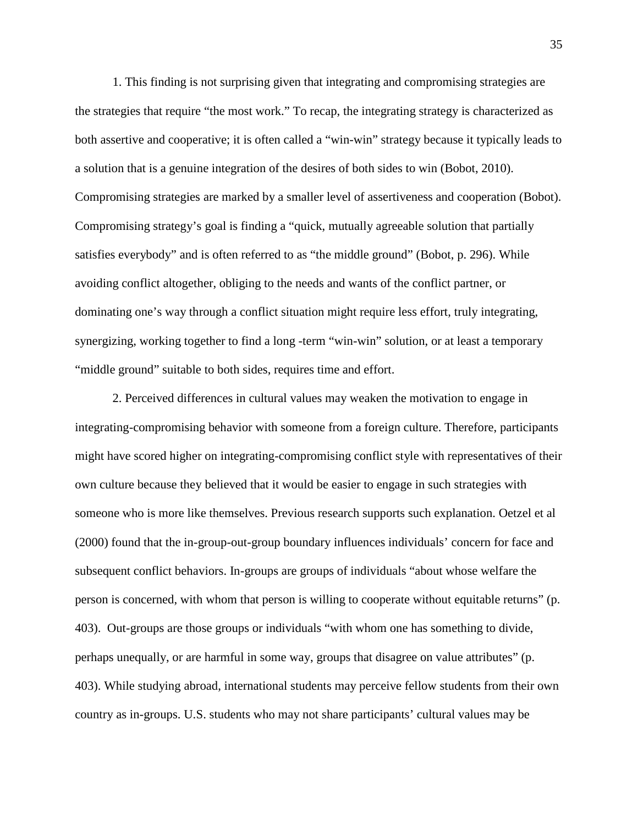1. This finding is not surprising given that integrating and compromising strategies are the strategies that require "the most work." To recap, the integrating strategy is characterized as both assertive and cooperative; it is often called a "win-win" strategy because it typically leads to a solution that is a genuine integration of the desires of both sides to win (Bobot, 2010). Compromising strategies are marked by a smaller level of assertiveness and cooperation (Bobot). Compromising strategy's goal is finding a "quick, mutually agreeable solution that partially satisfies everybody" and is often referred to as "the middle ground" (Bobot, p. 296). While avoiding conflict altogether, obliging to the needs and wants of the conflict partner, or dominating one's way through a conflict situation might require less effort, truly integrating, synergizing, working together to find a long -term "win-win" solution, or at least a temporary "middle ground" suitable to both sides, requires time and effort.

2. Perceived differences in cultural values may weaken the motivation to engage in integrating-compromising behavior with someone from a foreign culture. Therefore, participants might have scored higher on integrating-compromising conflict style with representatives of their own culture because they believed that it would be easier to engage in such strategies with someone who is more like themselves. Previous research supports such explanation. Oetzel et al (2000) found that the in-group-out-group boundary influences individuals' concern for face and subsequent conflict behaviors. In-groups are groups of individuals "about whose welfare the person is concerned, with whom that person is willing to cooperate without equitable returns" (p. 403). Out-groups are those groups or individuals "with whom one has something to divide, perhaps unequally, or are harmful in some way, groups that disagree on value attributes" (p. 403). While studying abroad, international students may perceive fellow students from their own country as in-groups. U.S. students who may not share participants' cultural values may be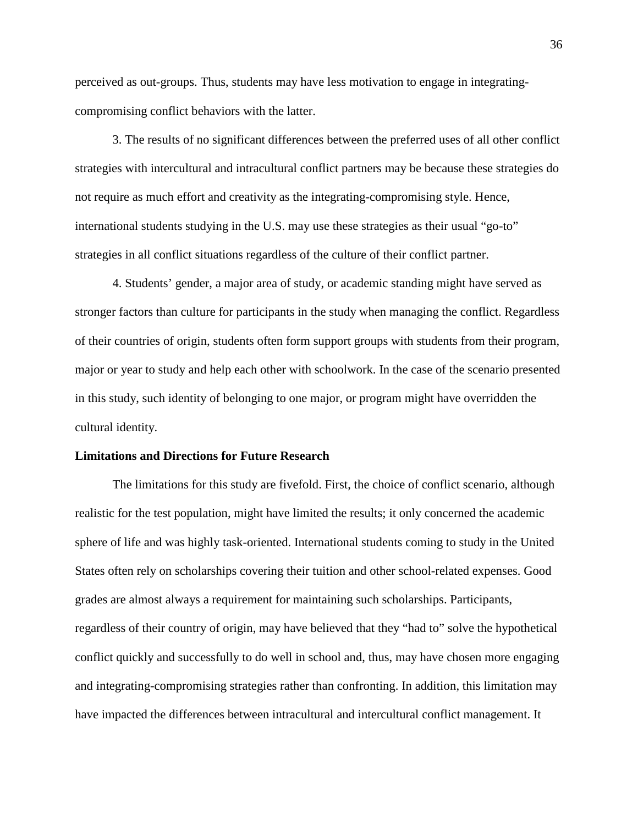perceived as out-groups. Thus, students may have less motivation to engage in integratingcompromising conflict behaviors with the latter.

3. The results of no significant differences between the preferred uses of all other conflict strategies with intercultural and intracultural conflict partners may be because these strategies do not require as much effort and creativity as the integrating-compromising style. Hence, international students studying in the U.S. may use these strategies as their usual "go-to" strategies in all conflict situations regardless of the culture of their conflict partner.

4. Students' gender, a major area of study, or academic standing might have served as stronger factors than culture for participants in the study when managing the conflict. Regardless of their countries of origin, students often form support groups with students from their program, major or year to study and help each other with schoolwork. In the case of the scenario presented in this study, such identity of belonging to one major, or program might have overridden the cultural identity.

#### **Limitations and Directions for Future Research**

The limitations for this study are fivefold. First, the choice of conflict scenario, although realistic for the test population, might have limited the results; it only concerned the academic sphere of life and was highly task-oriented. International students coming to study in the United States often rely on scholarships covering their tuition and other school-related expenses. Good grades are almost always a requirement for maintaining such scholarships. Participants, regardless of their country of origin, may have believed that they "had to" solve the hypothetical conflict quickly and successfully to do well in school and, thus, may have chosen more engaging and integrating-compromising strategies rather than confronting. In addition, this limitation may have impacted the differences between intracultural and intercultural conflict management. It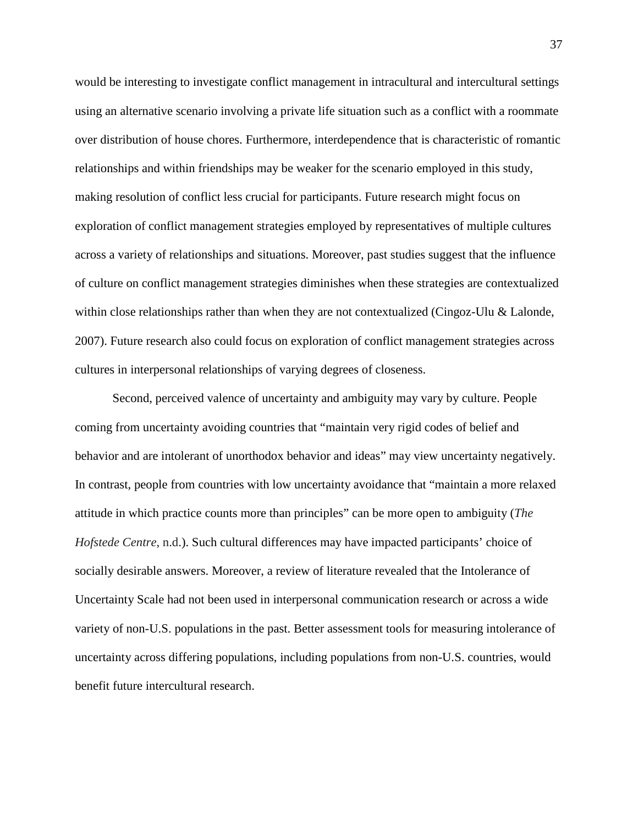would be interesting to investigate conflict management in intracultural and intercultural settings using an alternative scenario involving a private life situation such as a conflict with a roommate over distribution of house chores. Furthermore, interdependence that is characteristic of romantic relationships and within friendships may be weaker for the scenario employed in this study, making resolution of conflict less crucial for participants. Future research might focus on exploration of conflict management strategies employed by representatives of multiple cultures across a variety of relationships and situations. Moreover, past studies suggest that the influence of culture on conflict management strategies diminishes when these strategies are contextualized within close relationships rather than when they are not contextualized (Cingoz-Ulu & Lalonde, 2007). Future research also could focus on exploration of conflict management strategies across cultures in interpersonal relationships of varying degrees of closeness.

Second, perceived valence of uncertainty and ambiguity may vary by culture. People coming from uncertainty avoiding countries that "maintain very rigid codes of belief and behavior and are intolerant of unorthodox behavior and ideas" may view uncertainty negatively. In contrast, people from countries with low uncertainty avoidance that "maintain a more relaxed attitude in which practice counts more than principles" can be more open to ambiguity (*The Hofstede Centre*, n.d.). Such cultural differences may have impacted participants' choice of socially desirable answers. Moreover, a review of literature revealed that the Intolerance of Uncertainty Scale had not been used in interpersonal communication research or across a wide variety of non-U.S. populations in the past. Better assessment tools for measuring intolerance of uncertainty across differing populations, including populations from non-U.S. countries, would benefit future intercultural research.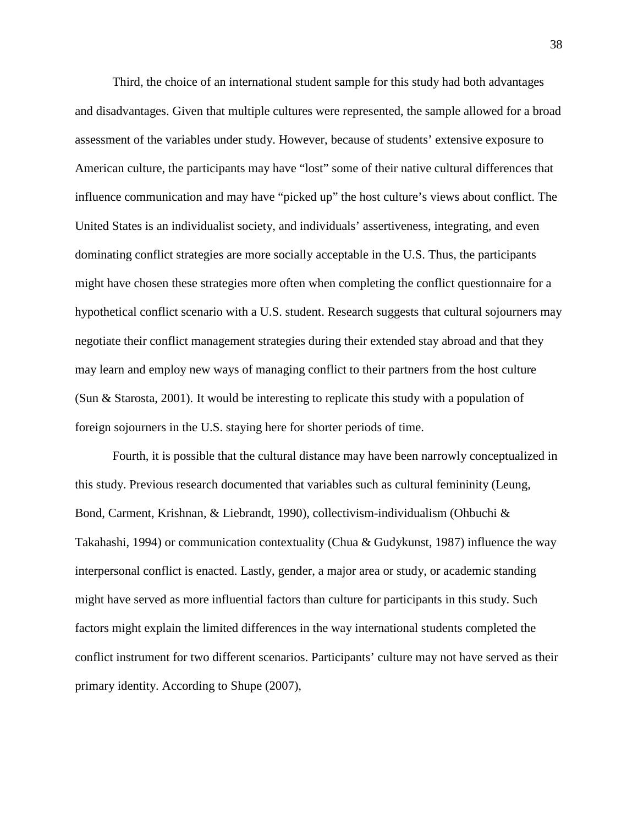Third, the choice of an international student sample for this study had both advantages and disadvantages. Given that multiple cultures were represented, the sample allowed for a broad assessment of the variables under study. However, because of students' extensive exposure to American culture, the participants may have "lost" some of their native cultural differences that influence communication and may have "picked up" the host culture's views about conflict. The United States is an individualist society, and individuals' assertiveness, integrating, and even dominating conflict strategies are more socially acceptable in the U.S. Thus, the participants might have chosen these strategies more often when completing the conflict questionnaire for a hypothetical conflict scenario with a U.S. student. Research suggests that cultural sojourners may negotiate their conflict management strategies during their extended stay abroad and that they may learn and employ new ways of managing conflict to their partners from the host culture (Sun & Starosta, 2001). It would be interesting to replicate this study with a population of foreign sojourners in the U.S. staying here for shorter periods of time.

Fourth, it is possible that the cultural distance may have been narrowly conceptualized in this study. Previous research documented that variables such as cultural femininity (Leung, Bond, Carment, Krishnan, & Liebrandt, 1990), collectivism-individualism (Ohbuchi & Takahashi, 1994) or communication contextuality (Chua & Gudykunst, 1987) influence the way interpersonal conflict is enacted. Lastly, gender, a major area or study, or academic standing might have served as more influential factors than culture for participants in this study. Such factors might explain the limited differences in the way international students completed the conflict instrument for two different scenarios. Participants' culture may not have served as their primary identity. According to Shupe (2007),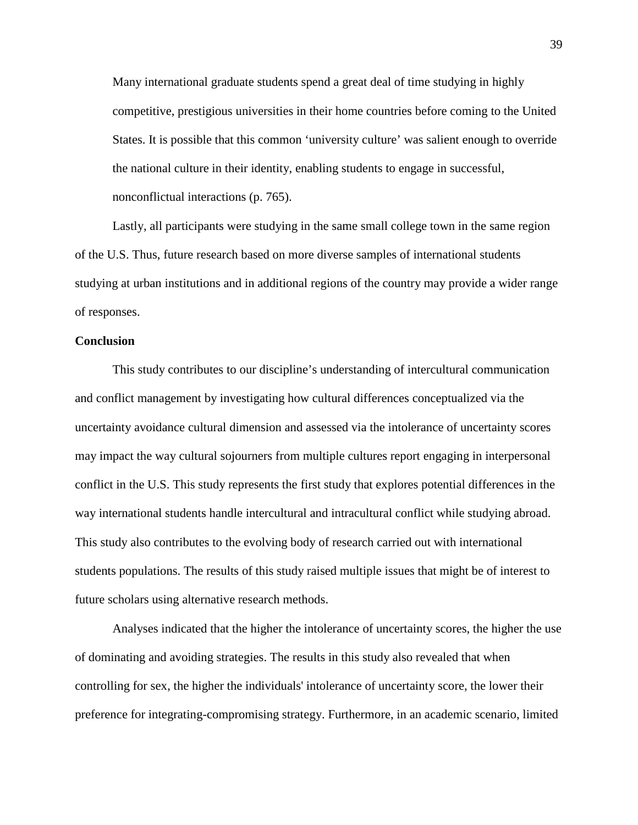Many international graduate students spend a great deal of time studying in highly competitive, prestigious universities in their home countries before coming to the United States. It is possible that this common 'university culture' was salient enough to override the national culture in their identity, enabling students to engage in successful, nonconflictual interactions (p. 765).

Lastly, all participants were studying in the same small college town in the same region of the U.S. Thus, future research based on more diverse samples of international students studying at urban institutions and in additional regions of the country may provide a wider range of responses.

### **Conclusion**

This study contributes to our discipline's understanding of intercultural communication and conflict management by investigating how cultural differences conceptualized via the uncertainty avoidance cultural dimension and assessed via the intolerance of uncertainty scores may impact the way cultural sojourners from multiple cultures report engaging in interpersonal conflict in the U.S. This study represents the first study that explores potential differences in the way international students handle intercultural and intracultural conflict while studying abroad. This study also contributes to the evolving body of research carried out with international students populations. The results of this study raised multiple issues that might be of interest to future scholars using alternative research methods.

Analyses indicated that the higher the intolerance of uncertainty scores, the higher the use of dominating and avoiding strategies. The results in this study also revealed that when controlling for sex, the higher the individuals' intolerance of uncertainty score, the lower their preference for integrating-compromising strategy. Furthermore, in an academic scenario, limited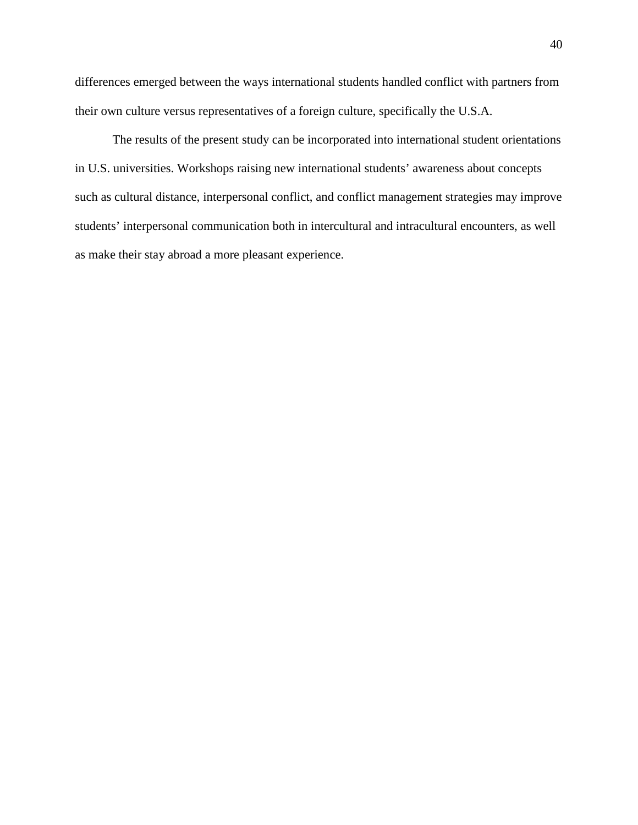differences emerged between the ways international students handled conflict with partners from their own culture versus representatives of a foreign culture, specifically the U.S.A.

The results of the present study can be incorporated into international student orientations in U.S. universities. Workshops raising new international students' awareness about concepts such as cultural distance, interpersonal conflict, and conflict management strategies may improve students' interpersonal communication both in intercultural and intracultural encounters, as well as make their stay abroad a more pleasant experience.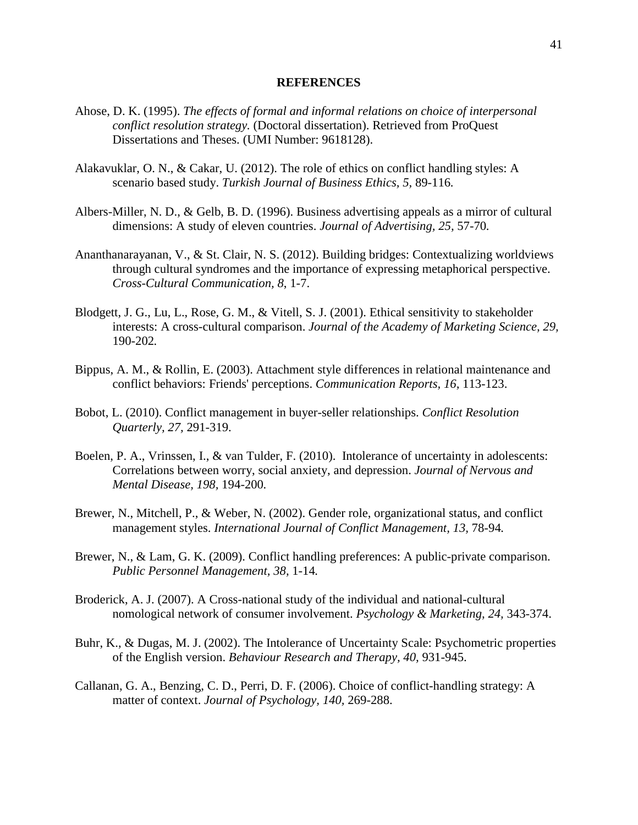#### **REFERENCES**

- Ahose, D. K. (1995). *The effects of formal and informal relations on choice of interpersonal conflict resolution strategy.* (Doctoral dissertation). Retrieved from ProQuest Dissertations and Theses. (UMI Number: 9618128).
- Alakavuklar, O. N., & Cakar, U. (2012). The role of ethics on conflict handling styles: A scenario based study. *Turkish Journal of Business Ethics, 5,* 89-116*.*
- Albers-Miller, N. D., & Gelb, B. D. (1996). Business advertising appeals as a mirror of cultural dimensions: A study of eleven countries. *Journal of Advertising, 25,* 57-70*.*
- Ananthanarayanan, V., & St. Clair, N. S. (2012). Building bridges: Contextualizing worldviews through cultural syndromes and the importance of expressing metaphorical perspective. *Cross-Cultural Communication, 8*, 1-7.
- Blodgett, J. G., Lu, L., Rose, G. M., & Vitell, S. J. (2001). Ethical sensitivity to stakeholder interests: A cross-cultural comparison. *Journal of the Academy of Marketing Science, 29,*  190-202*.*
- Bippus, A. M., & Rollin, E. (2003). Attachment style differences in relational maintenance and conflict behaviors: Friends' perceptions. *Communication Reports, 16,* 113-123.
- Bobot, L. (2010). Conflict management in buyer-seller relationships. *Conflict Resolution Quarterly, 27,* 291-319.
- Boelen, P. A., Vrinssen, I., & van Tulder, F. (2010). Intolerance of uncertainty in adolescents: Correlations between worry, social anxiety, and depression. *Journal of Nervous and Mental Disease, 198,* 194-200*.*
- Brewer, N., Mitchell, P., & Weber, N. (2002). Gender role, organizational status, and conflict management styles. *International Journal of Conflict Management, 13, 78-94.*
- Brewer, N., & Lam, G. K. (2009). Conflict handling preferences: A public-private comparison. *Public Personnel Management, 38,* 1-14*.*
- Broderick, A. J. (2007). A Cross-national study of the individual and national-cultural nomological network of consumer involvement. *Psychology & Marketing, 24,* 343-374.
- Buhr, K., & Dugas, M. J. (2002). The Intolerance of Uncertainty Scale: Psychometric properties of the English version. *Behaviour Research and Therapy, 40,* 931-945.
- Callanan, G. A., Benzing, C. D., Perri, D. F. (2006). Choice of conflict-handling strategy: A matter of context. *Journal of Psychology, 140,* 269-288.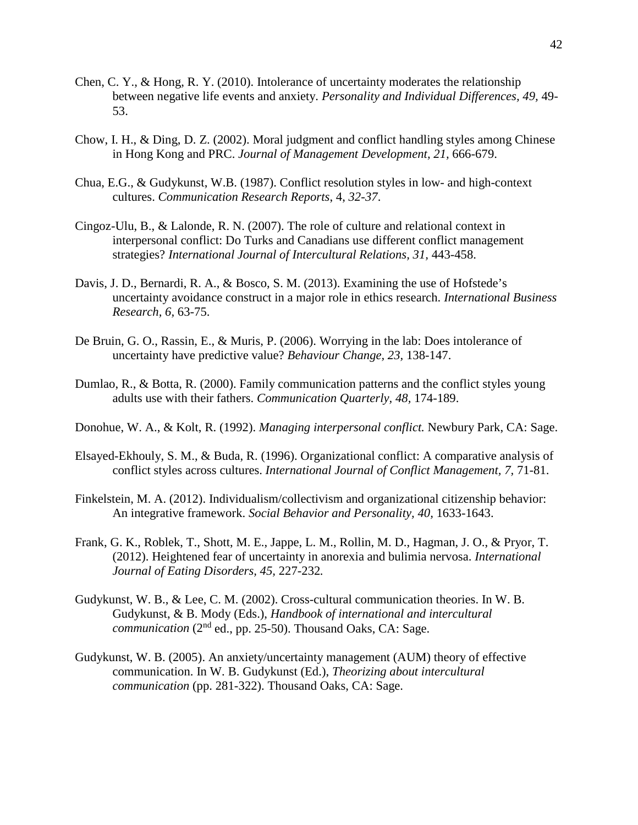- Chen, C. Y., & Hong, R. Y. (2010). Intolerance of uncertainty moderates the relationship between negative life events and anxiety. *Personality and Individual Differences, 49,* 49- 53.
- Chow, I. H., & Ding, D. Z. (2002). Moral judgment and conflict handling styles among Chinese in Hong Kong and PRC. *Journal of Management Development, 21,* 666-679.
- Chua, E.G., & Gudykunst, W.B. (1987). Conflict resolution styles in low- and high-context cultures. *Communication Research Reports*, 4, *32-37*.
- Cingoz-Ulu, B., & Lalonde, R. N. (2007). The role of culture and relational context in interpersonal conflict: Do Turks and Canadians use different conflict management strategies? *International Journal of Intercultural Relations, 31,* 443-458.
- Davis, J. D., Bernardi, R. A., & Bosco, S. M. (2013). Examining the use of Hofstede's uncertainty avoidance construct in a major role in ethics research. *International Business Research, 6,* 63-75.
- De Bruin, G. O., Rassin, E., & Muris, P. (2006). Worrying in the lab: Does intolerance of uncertainty have predictive value? *Behaviour Change, 23,* 138-147.
- Dumlao, R., & Botta, R. (2000). Family communication patterns and the conflict styles young adults use with their fathers. *Communication Quarterly, 48,* 174-189.
- Donohue, W. A., & Kolt, R. (1992). *Managing interpersonal conflict.* Newbury Park, CA: Sage.
- Elsayed-Ekhouly, S. M., & Buda, R. (1996). Organizational conflict: A comparative analysis of conflict styles across cultures. *International Journal of Conflict Management, 7,* 71-81.
- Finkelstein, M. A. (2012). Individualism/collectivism and organizational citizenship behavior: An integrative framework. *Social Behavior and Personality, 40,* 1633-1643.
- Frank, G. K., Roblek, T., Shott, M. E., Jappe, L. M., Rollin, M. D., Hagman, J. O., & Pryor, T. (2012). Heightened fear of uncertainty in anorexia and bulimia nervosa. *International Journal of Eating Disorders, 45,* 227-232*.*
- Gudykunst, W. B., & Lee, C. M. (2002). Cross-cultural communication theories. In W. B. Gudykunst, & B. Mody (Eds.), *Handbook of international and intercultural communication* (2<sup>nd</sup> ed., pp. 25-50). Thousand Oaks, CA: Sage.
- Gudykunst, W. B. (2005). An anxiety/uncertainty management (AUM) theory of effective communication. In W. B. Gudykunst (Ed.), *Theorizing about intercultural communication* (pp. 281-322). Thousand Oaks, CA: Sage.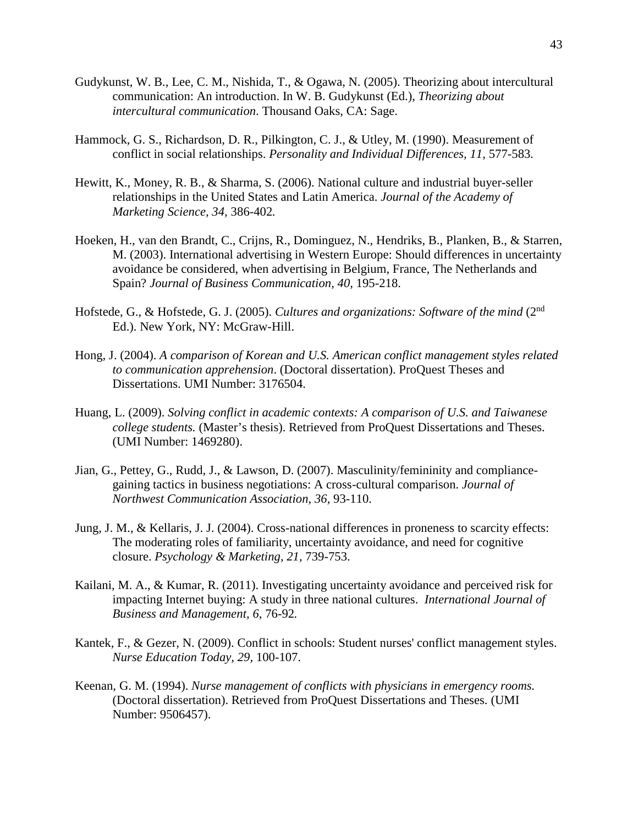- Gudykunst, W. B., Lee, C. M., Nishida, T., & Ogawa, N. (2005). Theorizing about intercultural communication: An introduction. In W. B. Gudykunst (Ed.), *Theorizing about intercultural communication*. Thousand Oaks, CA: Sage.
- Hammock, G. S., Richardson, D. R., Pilkington, C. J., & Utley, M. (1990). Measurement of conflict in social relationships. *Personality and Individual Differences, 11,* 577-583*.*
- Hewitt, K., Money, R. B., & Sharma, S. (2006). National culture and industrial buyer-seller relationships in the United States and Latin America. *Journal of the Academy of Marketing Science, 34,* 386-402*.*
- Hoeken, H., van den Brandt, C., Crijns, R., Dominguez, N., Hendriks, B., Planken, B., & Starren, M. (2003). International advertising in Western Europe: Should differences in uncertainty avoidance be considered, when advertising in Belgium, France, The Netherlands and Spain? *Journal of Business Communication, 40,* 195-218.
- Hofstede, G., & Hofstede, G. J. (2005). *Cultures and organizations: Software of the mind* (2nd Ed.). New York, NY: McGraw-Hill.
- Hong, J. (2004). *A comparison of Korean and U.S. American conflict management styles related to communication apprehension*. (Doctoral dissertation). ProQuest Theses and Dissertations. UMI Number: 3176504.
- Huang, L. (2009). *Solving conflict in academic contexts: A comparison of U.S. and Taiwanese college students.* (Master's thesis). Retrieved from ProQuest Dissertations and Theses. (UMI Number: 1469280).
- Jian, G., Pettey, G., Rudd, J., & Lawson, D. (2007). Masculinity/femininity and compliancegaining tactics in business negotiations: A cross-cultural comparison. *Journal of Northwest Communication Association, 36,* 93-110.
- Jung, J. M., & Kellaris, J. J. (2004). Cross-national differences in proneness to scarcity effects: The moderating roles of familiarity, uncertainty avoidance, and need for cognitive closure. *Psychology & Marketing, 21,* 739-753.
- Kailani, M. A., & Kumar, R. (2011). Investigating uncertainty avoidance and perceived risk for impacting Internet buying: A study in three national cultures. *International Journal of Business and Management, 6,* 76-92*.*
- Kantek, F., & Gezer, N. (2009). Conflict in schools: Student nurses' conflict management styles. *Nurse Education Today, 29,* 100-107.
- Keenan, G. M. (1994). *Nurse management of conflicts with physicians in emergency rooms.* (Doctoral dissertation). Retrieved from ProQuest Dissertations and Theses. (UMI Number: 9506457).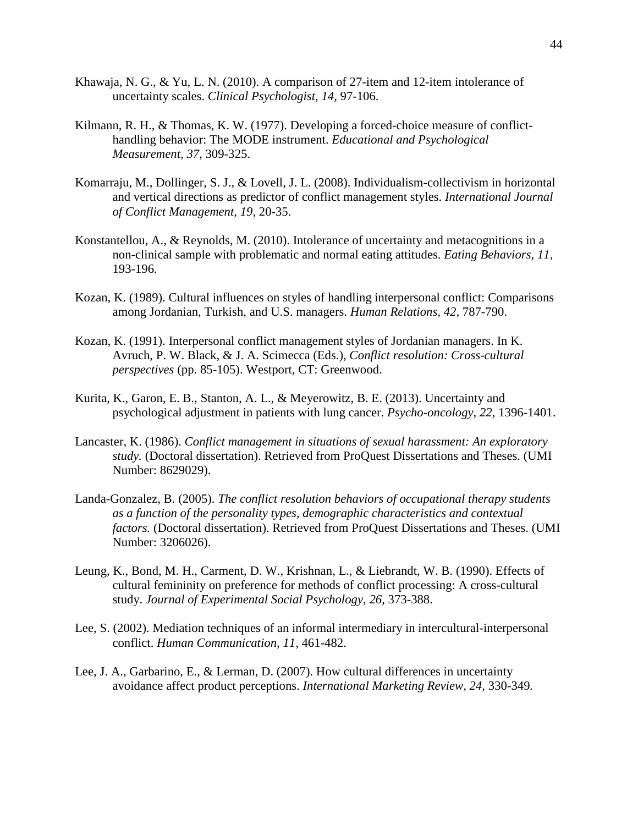- Khawaja, N. G., & Yu, L. N. (2010). A comparison of 27-item and 12-item intolerance of uncertainty scales. *Clinical Psychologist, 14,* 97-106.
- Kilmann, R. H., & Thomas, K. W. (1977). Developing a forced-choice measure of conflicthandling behavior: The MODE instrument. *Educational and Psychological Measurement, 37*, 309-325.
- Komarraju, M., Dollinger, S. J., & Lovell, J. L. (2008). Individualism-collectivism in horizontal and vertical directions as predictor of conflict management styles. *International Journal of Conflict Management, 19,* 20-35.
- Konstantellou, A., & Reynolds, M. (2010). Intolerance of uncertainty and metacognitions in a non-clinical sample with problematic and normal eating attitudes. *Eating Behaviors, 11,*  193-196*.*
- Kozan, K. (1989). Cultural influences on styles of handling interpersonal conflict: Comparisons among Jordanian, Turkish, and U.S. managers. *Human Relations, 42,* 787-790.
- Kozan, K. (1991). Interpersonal conflict management styles of Jordanian managers. In K. Avruch, P. W. Black, & J. A. Scimecca (Eds.), *Conflict resolution: Cross-cultural perspectives* (pp. 85-105). Westport, CT: Greenwood.
- Kurita, K., Garon, E. B., Stanton, A. L., & Meyerowitz, B. E. (2013). Uncertainty and psychological adjustment in patients with lung cancer. *Psycho-oncology, 22,* 1396-1401.
- Lancaster, K. (1986). *Conflict management in situations of sexual harassment: An exploratory study.* (Doctoral dissertation). Retrieved from ProQuest Dissertations and Theses. (UMI Number: 8629029).
- Landa-Gonzalez, B. (2005). *The conflict resolution behaviors of occupational therapy students as a function of the personality types, demographic characteristics and contextual factors.* (Doctoral dissertation). Retrieved from ProQuest Dissertations and Theses. (UMI Number: 3206026).
- Leung, K., Bond, M. H., Carment, D. W., Krishnan, L., & Liebrandt, W. B. (1990). Effects of cultural femininity on preference for methods of conflict processing: A cross-cultural study. *Journal of Experimental Social Psychology, 26,* 373-388.
- Lee, S. (2002). Mediation techniques of an informal intermediary in intercultural-interpersonal conflict. *Human Communication, 11,* 461-482.
- Lee, J. A., Garbarino, E., & Lerman, D. (2007). How cultural differences in uncertainty avoidance affect product perceptions. *International Marketing Review, 24,* 330-349*.*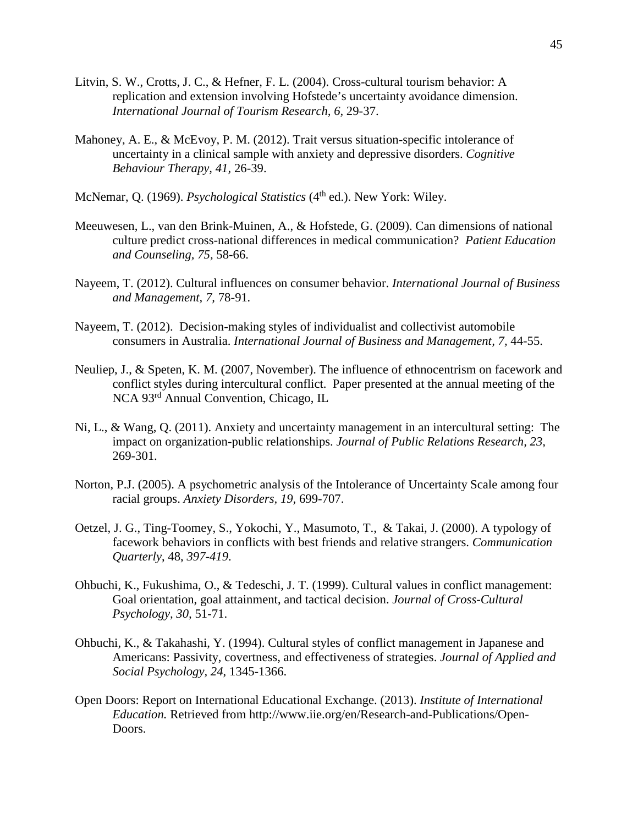- Litvin, S. W., Crotts, J. C., & Hefner, F. L. (2004). Cross-cultural tourism behavior: A replication and extension involving Hofstede's uncertainty avoidance dimension. *International Journal of Tourism Research, 6,* 29-37.
- Mahoney, A. E., & McEvoy, P. M. (2012). Trait versus situation-specific intolerance of uncertainty in a clinical sample with anxiety and depressive disorders. *Cognitive Behaviour Therapy, 41,* 26-39.
- McNemar, Q. (1969). *Psychological Statistics* (4<sup>th</sup> ed.). New York: Wiley.
- Meeuwesen, L., van den Brink-Muinen, A., & Hofstede, G. (2009). Can dimensions of national culture predict cross-national differences in medical communication? *Patient Education and Counseling, 75,* 58-66.
- Nayeem, T. (2012). Cultural influences on consumer behavior. *International Journal of Business and Management, 7,* 78-91*.*
- Nayeem, T. (2012). Decision-making styles of individualist and collectivist automobile consumers in Australia. *International Journal of Business and Management, 7,* 44-55.
- Neuliep, J., & Speten, K. M. (2007, November). The influence of ethnocentrism on facework and conflict styles during intercultural conflict. Paper presented at the annual meeting of the NCA 93rd Annual Convention, Chicago, IL
- Ni, L., & Wang, Q. (2011). Anxiety and uncertainty management in an intercultural setting: The impact on organization-public relationships. *Journal of Public Relations Research, 23,* 269-301.
- Norton, P.J. (2005). A psychometric analysis of the Intolerance of Uncertainty Scale among four racial groups. *Anxiety Disorders, 19,* 699-707.
- Oetzel, J. G., Ting-Toomey, S., Yokochi, Y., Masumoto, T., & Takai, J. (2000). A typology of facework behaviors in conflicts with best friends and relative strangers. *Communication Quarterly*, 48, *397-419*.
- Ohbuchi, K., Fukushima, O., & Tedeschi, J. T. (1999). Cultural values in conflict management: Goal orientation, goal attainment, and tactical decision. *Journal of Cross-Cultural Psychology, 30,* 51-71.
- Ohbuchi, K., & Takahashi, Y. (1994). Cultural styles of conflict management in Japanese and Americans: Passivity, covertness, and effectiveness of strategies. *Journal of Applied and Social Psychology, 24*, 1345-1366.
- Open Doors: Report on International Educational Exchange. (2013). *Institute of International Education.* Retrieved from http://www.iie.org/en/Research-and-Publications/Open-Doors.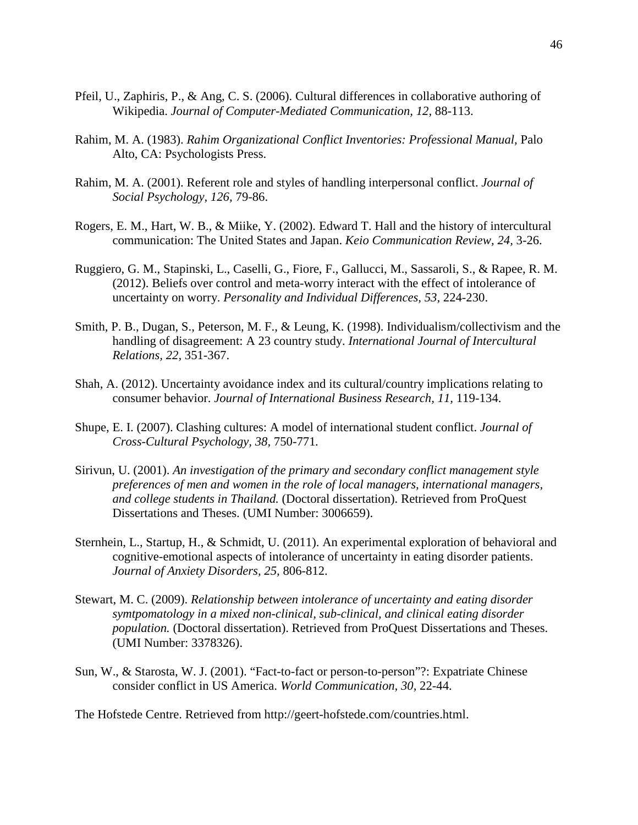- Pfeil, U., Zaphiris, P., & Ang, C. S. (2006). Cultural differences in collaborative authoring of Wikipedia. *Journal of Computer-Mediated Communication, 12,* 88-113.
- Rahim, M. A. (1983). *Rahim Organizational Conflict Inventories: Professional Manual,* Palo Alto, CA: Psychologists Press.
- Rahim, M. A. (2001). Referent role and styles of handling interpersonal conflict. *Journal of Social Psychology, 126,* 79-86.
- Rogers, E. M., Hart, W. B., & Miike, Y. (2002). Edward T. Hall and the history of intercultural communication: The United States and Japan. *Keio Communication Review, 24,* 3-26.
- Ruggiero, G. M., Stapinski, L., Caselli, G., Fiore, F., Gallucci, M., Sassaroli, S., & Rapee, R. M. (2012). Beliefs over control and meta-worry interact with the effect of intolerance of uncertainty on worry. *Personality and Individual Differences, 53,* 224-230.
- Smith, P. B., Dugan, S., Peterson, M. F., & Leung, K. (1998). Individualism/collectivism and the handling of disagreement: A 23 country study. *International Journal of Intercultural Relations, 22,* 351-367.
- Shah, A. (2012). Uncertainty avoidance index and its cultural/country implications relating to consumer behavior. *Journal of International Business Research, 11,* 119-134.
- Shupe, E. I. (2007). Clashing cultures: A model of international student conflict. *Journal of Cross-Cultural Psychology, 38,* 750-771*.*
- Sirivun, U. (2001). *An investigation of the primary and secondary conflict management style preferences of men and women in the role of local managers, international managers, and college students in Thailand.* (Doctoral dissertation). Retrieved from ProQuest Dissertations and Theses. (UMI Number: 3006659).
- Sternhein, L., Startup, H., & Schmidt, U. (2011). An experimental exploration of behavioral and cognitive-emotional aspects of intolerance of uncertainty in eating disorder patients. *Journal of Anxiety Disorders, 25,* 806-812.
- Stewart, M. C. (2009). *Relationship between intolerance of uncertainty and eating disorder symtpomatology in a mixed non-clinical, sub-clinical, and clinical eating disorder population.* (Doctoral dissertation). Retrieved from ProQuest Dissertations and Theses. (UMI Number: 3378326).
- Sun, W., & Starosta, W. J. (2001). "Fact-to-fact or person-to-person"?: Expatriate Chinese consider conflict in US America. *World Communication, 30,* 22-44.

The Hofstede Centre. Retrieved from http://geert-hofstede.com/countries.html.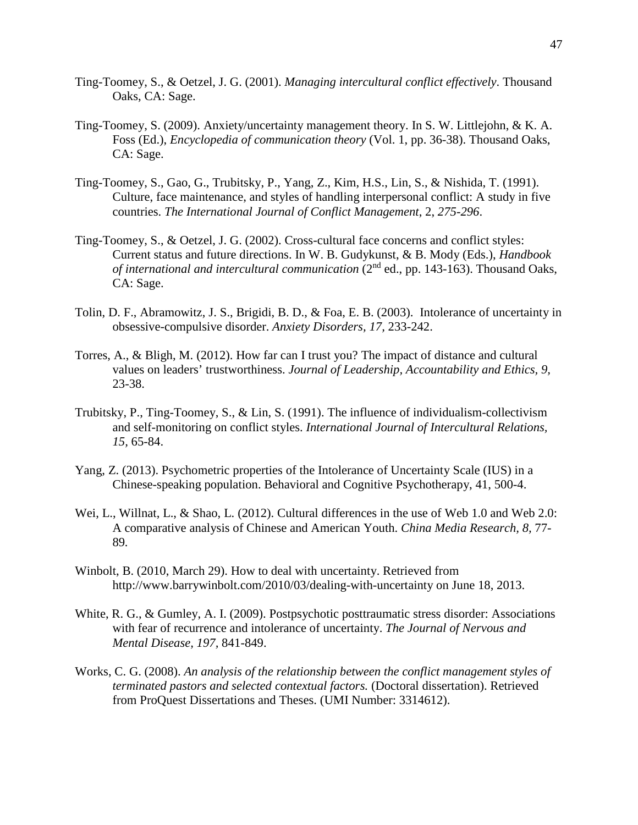- Ting-Toomey, S., & Oetzel, J. G. (2001). *Managing intercultural conflict effectively*. Thousand Oaks, CA: Sage.
- Ting-Toomey, S. (2009). Anxiety/uncertainty management theory. In S. W. Littlejohn, & K. A. Foss (Ed.), *Encyclopedia of communication theory* (Vol. 1, pp. 36-38). Thousand Oaks, CA: Sage.
- Ting-Toomey, S., Gao, G., Trubitsky, P., Yang, Z., Kim, H.S., Lin, S., & Nishida, T. (1991). Culture, face maintenance, and styles of handling interpersonal conflict: A study in five countries. *The International Journal of Conflict Management*, 2, *275-296*.
- Ting-Toomey, S., & Oetzel, J. G. (2002). Cross-cultural face concerns and conflict styles: Current status and future directions. In W. B. Gudykunst, & B. Mody (Eds.), *Handbook of international and intercultural communication* (2<sup>nd</sup> ed., pp. 143-163). Thousand Oaks, CA: Sage.
- Tolin, D. F., Abramowitz, J. S., Brigidi, B. D., & Foa, E. B. (2003). Intolerance of uncertainty in obsessive-compulsive disorder. *Anxiety Disorders, 17,* 233-242.
- Torres, A., & Bligh, M. (2012). How far can I trust you? The impact of distance and cultural values on leaders' trustworthiness. *Journal of Leadership, Accountability and Ethics, 9,*  23-38.
- Trubitsky, P., Ting-Toomey, S., & Lin, S. (1991). The influence of individualism-collectivism and self-monitoring on conflict styles. *International Journal of Intercultural Relations, 15,* 65-84.
- Yang, Z. (2013). Psychometric properties of the Intolerance of Uncertainty Scale (IUS) in a Chinese-speaking population. Behavioral and Cognitive Psychotherapy, 41, 500-4.
- Wei, L., Willnat, L., & Shao, L. (2012). Cultural differences in the use of Web 1.0 and Web 2.0: A comparative analysis of Chinese and American Youth. *China Media Research, 8,* 77- 89*.*
- Winbolt, B. (2010, March 29). How to deal with uncertainty. Retrieved from http://www.barrywinbolt.com/2010/03/dealing-with-uncertainty on June 18, 2013.
- White, R. G., & Gumley, A. I. (2009). Postpsychotic posttraumatic stress disorder: Associations with fear of recurrence and intolerance of uncertainty. *The Journal of Nervous and Mental Disease, 197,* 841-849.
- Works, C. G. (2008). *An analysis of the relationship between the conflict management styles of terminated pastors and selected contextual factors.* (Doctoral dissertation). Retrieved from ProQuest Dissertations and Theses. (UMI Number: 3314612).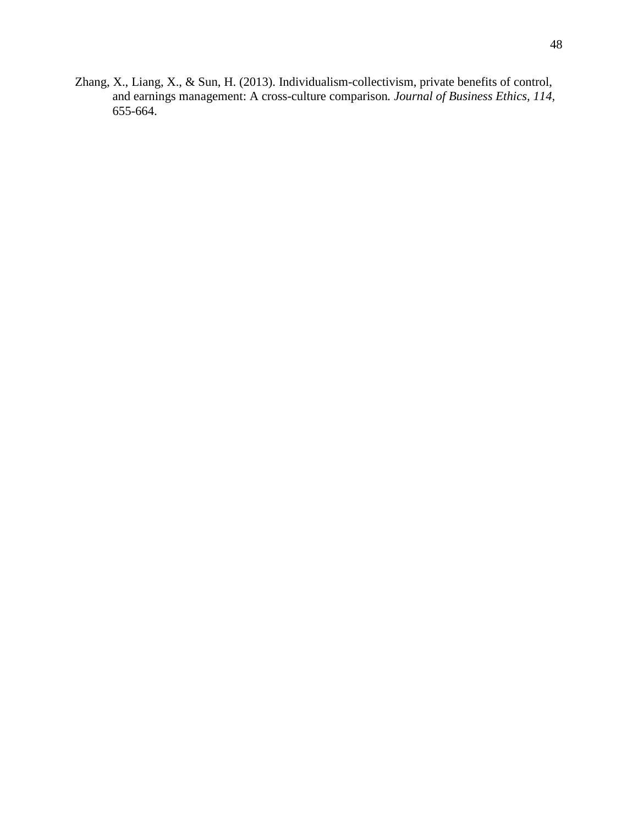Zhang, X., Liang, X., & Sun, H. (2013). Individualism-collectivism, private benefits of control, and earnings management: A cross-culture comparison*. Journal of Business Ethics, 114,*  655-664.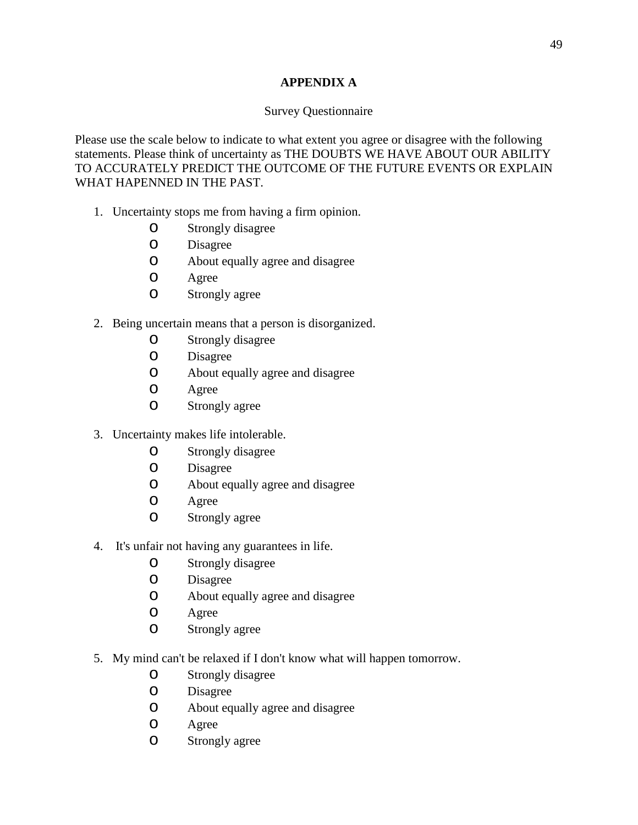## **APPENDIX A**

## Survey Questionnaire

Please use the scale below to indicate to what extent you agree or disagree with the following statements. Please think of uncertainty as THE DOUBTS WE HAVE ABOUT OUR ABILITY TO ACCURATELY PREDICT THE OUTCOME OF THE FUTURE EVENTS OR EXPLAIN WHAT HAPENNED IN THE PAST.

- 1. Uncertainty stops me from having a firm opinion.
	- o Strongly disagree
	- o Disagree
	- o About equally agree and disagree
	- O Agree<br>O Strong
	- Strongly agree
- 2. Being uncertain means that a person is disorganized.
	- o Strongly disagree
	- **Disagree**
	- o About equally agree and disagree
	- O Agree<br>O Strong
	- Strongly agree
- 3. Uncertainty makes life intolerable.
	- o Strongly disagree
	- o Disagree
	- o About equally agree and disagree
	- O Agree<br>O Strong
	- Strongly agree
- 4. It's unfair not having any guarantees in life.
	- o Strongly disagree
	- O Disagree<br>O About eq
	- About equally agree and disagree
	- O Agree<br>O Strong
	- Strongly agree
- 5. My mind can't be relaxed if I don't know what will happen tomorrow.
	- o Strongly disagree
	- **Disagree**
	- o About equally agree and disagree
	- Agree
	- o Strongly agree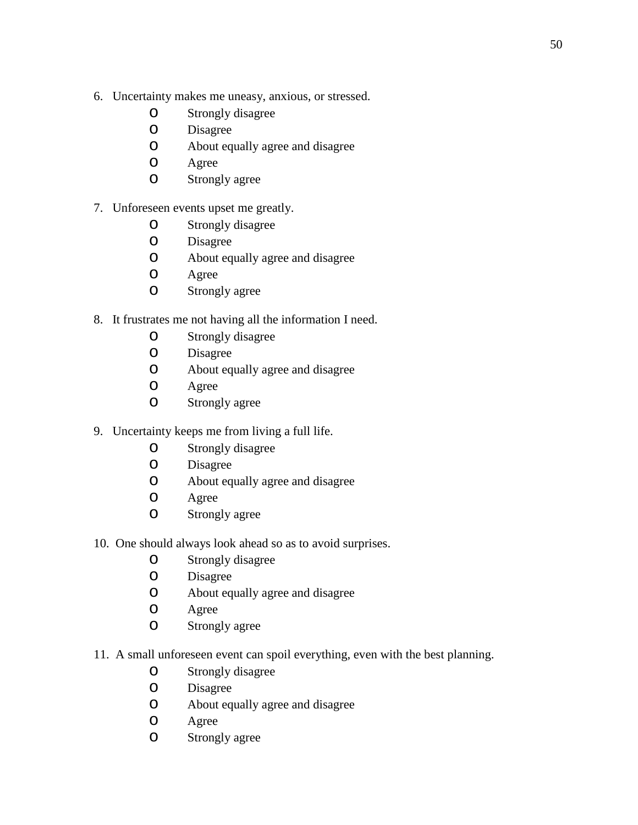- 6. Uncertainty makes me uneasy, anxious, or stressed.
	- o Strongly disagree
	- O Disagree<br>O About eq
	- About equally agree and disagree
	- O Agree<br>O Strong
	- Strongly agree

# 7. Unforeseen events upset me greatly.

- o Strongly disagree
- O Disagree<br>O About eq
- About equally agree and disagree
- O Agree<br>O Strong
- Strongly agree
- 8. It frustrates me not having all the information I need.
	- o Strongly disagree
	- O Disagree<br>O About eq
	- About equally agree and disagree
	- O Agree<br>O Strong
	- Strongly agree
- 9. Uncertainty keeps me from living a full life.
	- o Strongly disagree
	- O Disagree<br>O About eq
	- o About equally agree and disagree
	- Agree
	- o Strongly agree
- 10. One should always look ahead so as to avoid surprises.
	- o Strongly disagree
	- O Disagree<br>O About eq
	- o About equally agree and disagree
	- Agree
	- o Strongly agree
- 11. A small unforeseen event can spoil everything, even with the best planning.
	- O Strongly disagree<br>O Disagree
	- O Disagree<br>O About eq
	- o About equally agree and disagree
	- O Agree<br>O Strong
	- Strongly agree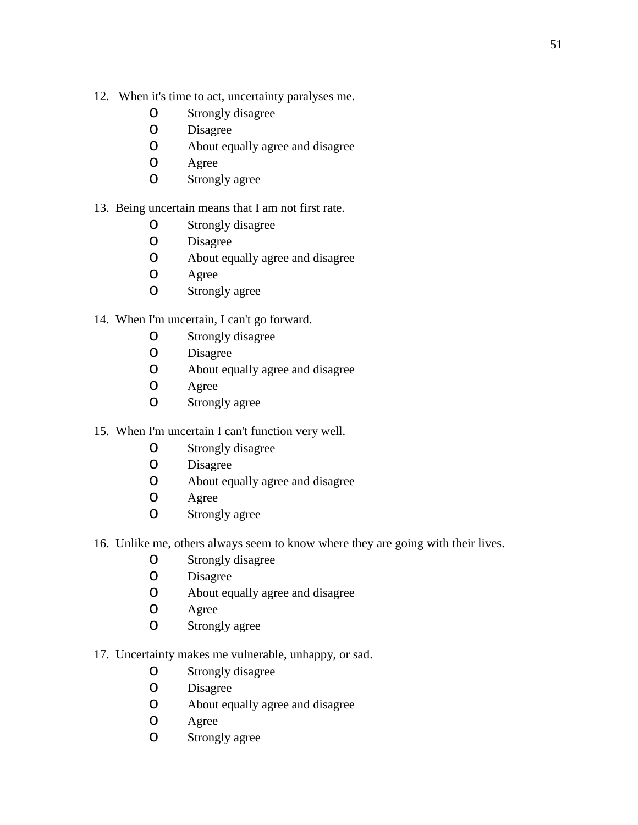- 12. When it's time to act, uncertainty paralyses me.
	- o Strongly disagree
	- O Disagree<br>O About eq
	- About equally agree and disagree
	- O Agree<br>O Strong
	- Strongly agree

## 13. Being uncertain means that I am not first rate.

- O Strongly disagree<br>O Disagree
- O Disagree<br>O About eq
- About equally agree and disagree
- O Agree<br>O Strong
- Strongly agree
- 14. When I'm uncertain, I can't go forward.
	- o Strongly disagree
	- O Disagree<br>O About eq
	- About equally agree and disagree
	- O Agree<br>O Strong
	- Strongly agree
- 15. When I'm uncertain I can't function very well.
	- o Strongly disagree
	- O Disagree<br>O About eq
	- o About equally agree and disagree
	- Agree
	- o Strongly agree
- 16. Unlike me, others always seem to know where they are going with their lives.
	- o Strongly disagree
	- O Disagree<br>O About eq
	- o About equally agree and disagree
	- Agree
	- o Strongly agree
- 17. Uncertainty makes me vulnerable, unhappy, or sad.
	- o Strongly disagree
	- O Disagree<br>O About eq
	- o About equally agree and disagree
	- O Agree<br>O Strong
	- Strongly agree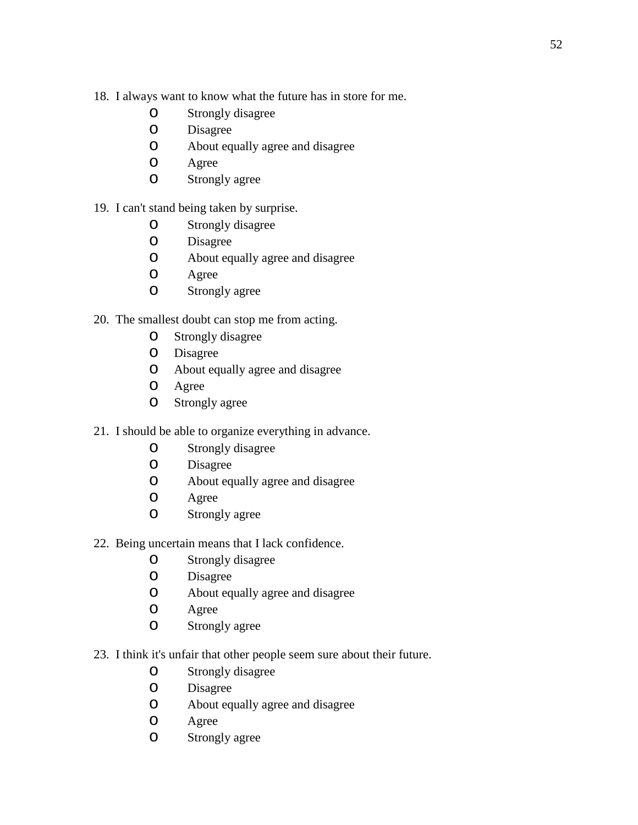- 18. I always want to know what the future has in store for me.
	- o Strongly disagree
	- O Disagree<br>O About eq
	- About equally agree and disagree
	- O Agree<br>O Strong
	- Strongly agree

## 19. I can't stand being taken by surprise.

- o Strongly disagree
- O Disagree<br>O About eq
- About equally agree and disagree
- O Agree<br>O Strong
- Strongly agree
- 20. The smallest doubt can stop me from acting.
	- o Strongly disagree
	- O Disagree<br>O About eq
	- About equally agree and disagree
	- O Agree<br>O Strong
	- Strongly agree
- 21. I should be able to organize everything in advance.
	- o Strongly disagree
	- O Disagree<br>O About eq
	- o About equally agree and disagree
	- Agree
	- o Strongly agree
- 22. Being uncertain means that I lack confidence.
	- o Strongly disagree
	- O Disagree<br>O About eq
	- o About equally agree and disagree
	- Agree
	- o Strongly agree
- 23. I think it's unfair that other people seem sure about their future.
	- O Strongly disagree<br>O Disagree
	- O Disagree<br>O About eq
	- o About equally agree and disagree
	- O Agree<br>O Strong
	- Strongly agree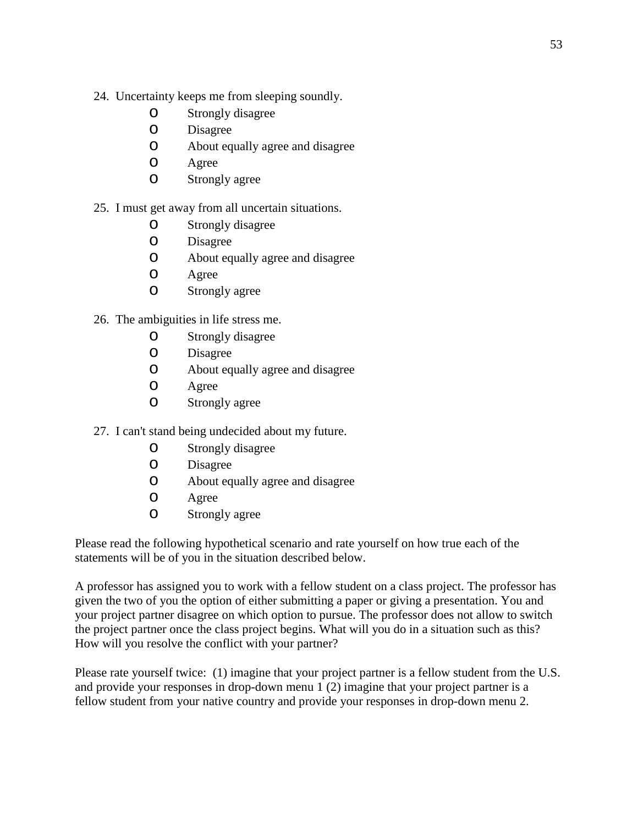- 24. Uncertainty keeps me from sleeping soundly.
	- O Strongly disagree<br>O Disagree
	- O Disagree<br>O About eq
	- About equally agree and disagree
	- O Agree<br>O Strong
	- Strongly agree

## 25. I must get away from all uncertain situations.

- o Strongly disagree
- O Disagree<br>O About eq
- About equally agree and disagree
- O Agree<br>O Strong
- Strongly agree
- 26. The ambiguities in life stress me.
	- o Strongly disagree
	- o Disagree
	- o About equally agree and disagree
	- O Agree<br>O Strong
	- Strongly agree
- 27. I can't stand being undecided about my future.
	- o Strongly disagree
	- O Disagree<br>O About eq
	- o About equally agree and disagree
	- Agree
	- o Strongly agree

Please read the following hypothetical scenario and rate yourself on how true each of the statements will be of you in the situation described below.

A professor has assigned you to work with a fellow student on a class project. The professor has given the two of you the option of either submitting a paper or giving a presentation. You and your project partner disagree on which option to pursue. The professor does not allow to switch the project partner once the class project begins. What will you do in a situation such as this? How will you resolve the conflict with your partner?

Please rate yourself twice: (1) imagine that your project partner is a fellow student from the U.S. and provide your responses in drop-down menu 1 (2) imagine that your project partner is a fellow student from your native country and provide your responses in drop-down menu 2.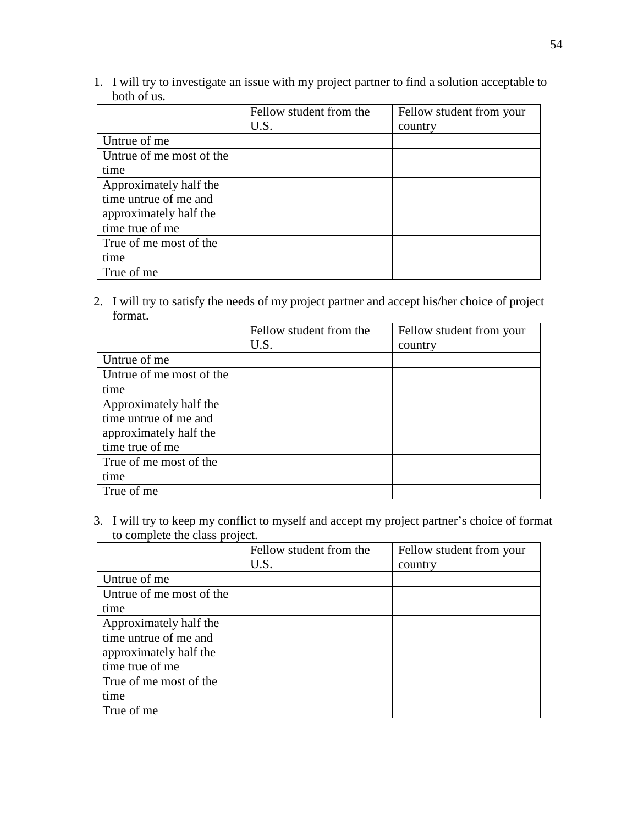1. I will try to investigate an issue with my project partner to find a solution acceptable to both of us.

|                          | Fellow student from the | Fellow student from your |
|--------------------------|-------------------------|--------------------------|
|                          | U.S.                    | country                  |
| Untrue of me             |                         |                          |
| Untrue of me most of the |                         |                          |
| time                     |                         |                          |
| Approximately half the   |                         |                          |
| time untrue of me and    |                         |                          |
| approximately half the   |                         |                          |
| time true of me          |                         |                          |
| True of me most of the   |                         |                          |
| time                     |                         |                          |
| True of me               |                         |                          |

2. I will try to satisfy the needs of my project partner and accept his/her choice of project format.

|                          | Fellow student from the | Fellow student from your |
|--------------------------|-------------------------|--------------------------|
|                          | U.S.                    | country                  |
| Untrue of me             |                         |                          |
| Untrue of me most of the |                         |                          |
| time                     |                         |                          |
| Approximately half the   |                         |                          |
| time untrue of me and    |                         |                          |
| approximately half the   |                         |                          |
| time true of me          |                         |                          |
| True of me most of the   |                         |                          |
| time                     |                         |                          |
| True of me               |                         |                          |

3. I will try to keep my conflict to myself and accept my project partner's choice of format to complete the class project.

|                          | Fellow student from the | Fellow student from your |
|--------------------------|-------------------------|--------------------------|
|                          | U.S.                    | country                  |
| Untrue of me             |                         |                          |
| Untrue of me most of the |                         |                          |
| time                     |                         |                          |
| Approximately half the   |                         |                          |
| time untrue of me and    |                         |                          |
| approximately half the   |                         |                          |
| time true of me          |                         |                          |
| True of me most of the   |                         |                          |
| time                     |                         |                          |
| True of me               |                         |                          |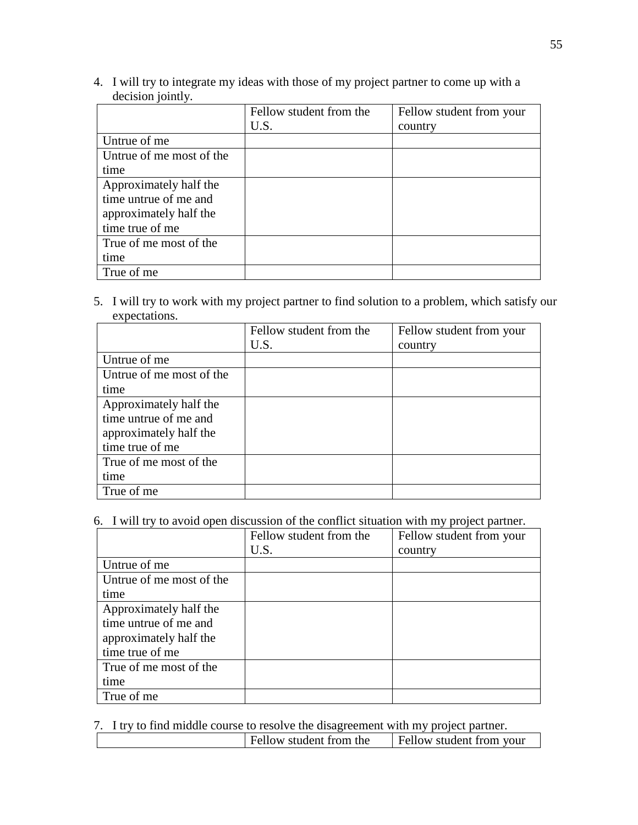4. I will try to integrate my ideas with those of my project partner to come up with a decision jointly.

|                          | Fellow student from the | Fellow student from your |
|--------------------------|-------------------------|--------------------------|
|                          | U.S.                    | country                  |
| Untrue of me             |                         |                          |
| Untrue of me most of the |                         |                          |
| time                     |                         |                          |
| Approximately half the   |                         |                          |
| time untrue of me and    |                         |                          |
| approximately half the   |                         |                          |
| time true of me          |                         |                          |
| True of me most of the   |                         |                          |
| time                     |                         |                          |
| True of me               |                         |                          |

5. I will try to work with my project partner to find solution to a problem, which satisfy our expectations.

|                          | Fellow student from the | Fellow student from your |
|--------------------------|-------------------------|--------------------------|
|                          | U.S.                    | country                  |
| Untrue of me             |                         |                          |
| Untrue of me most of the |                         |                          |
| time                     |                         |                          |
| Approximately half the   |                         |                          |
| time untrue of me and    |                         |                          |
| approximately half the   |                         |                          |
| time true of me          |                         |                          |
| True of me most of the   |                         |                          |
| time                     |                         |                          |
| True of me               |                         |                          |

6. I will try to avoid open discussion of the conflict situation with my project partner.

|                          | Fellow student from the | Fellow student from your |
|--------------------------|-------------------------|--------------------------|
|                          | U.S.                    | country                  |
| Untrue of me             |                         |                          |
| Untrue of me most of the |                         |                          |
| time                     |                         |                          |
| Approximately half the   |                         |                          |
| time untrue of me and    |                         |                          |
| approximately half the   |                         |                          |
| time true of me          |                         |                          |
| True of me most of the   |                         |                          |
| time                     |                         |                          |
| True of me               |                         |                          |

|  |  | 7. I try to find middle course to resolve the disagreement with my project partner. |  |  |  |  |  |
|--|--|-------------------------------------------------------------------------------------|--|--|--|--|--|
|--|--|-------------------------------------------------------------------------------------|--|--|--|--|--|

| Fellow student from the | <b>Fellow student from your</b> |
|-------------------------|---------------------------------|
|                         |                                 |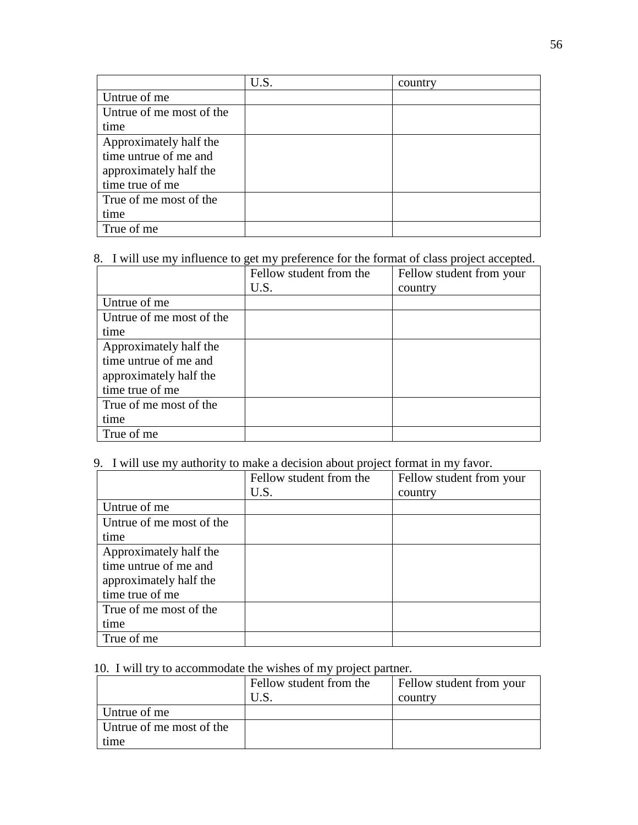|                          | U.S. | country |
|--------------------------|------|---------|
| Untrue of me             |      |         |
| Untrue of me most of the |      |         |
| time                     |      |         |
| Approximately half the   |      |         |
| time untrue of me and    |      |         |
| approximately half the   |      |         |
| time true of me          |      |         |
| True of me most of the   |      |         |
| time                     |      |         |
| True of me               |      |         |

# 8. I will use my influence to get my preference for the format of class project accepted.

|                          | Fellow student from the | Fellow student from your |
|--------------------------|-------------------------|--------------------------|
|                          | U.S.                    | country                  |
| Untrue of me             |                         |                          |
| Untrue of me most of the |                         |                          |
| time                     |                         |                          |
| Approximately half the   |                         |                          |
| time untrue of me and    |                         |                          |
| approximately half the   |                         |                          |
| time true of me          |                         |                          |
| True of me most of the   |                         |                          |
| time                     |                         |                          |
| True of me               |                         |                          |

# 9. I will use my authority to make a decision about project format in my favor.

|                          | Fellow student from the | Fellow student from your |
|--------------------------|-------------------------|--------------------------|
|                          | U.S.                    | country                  |
| Untrue of me             |                         |                          |
| Untrue of me most of the |                         |                          |
| time                     |                         |                          |
| Approximately half the   |                         |                          |
| time untrue of me and    |                         |                          |
| approximately half the   |                         |                          |
| time true of me          |                         |                          |
| True of me most of the   |                         |                          |
| time                     |                         |                          |
| True of me               |                         |                          |

# 10. I will try to accommodate the wishes of my project partner.

|                          | Fellow student from the | Fellow student from your |
|--------------------------|-------------------------|--------------------------|
|                          |                         | country                  |
| Untrue of me             |                         |                          |
| Untrue of me most of the |                         |                          |
| time                     |                         |                          |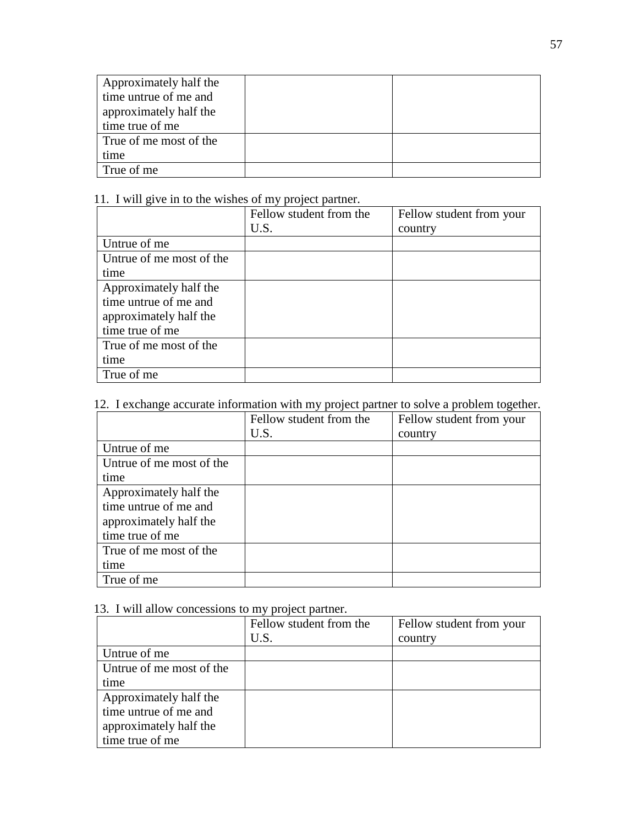| Approximately half the |  |
|------------------------|--|
| time untrue of me and  |  |
| approximately half the |  |
| time true of me        |  |
| True of me most of the |  |
| time                   |  |
| True of me             |  |

11. I will give in to the wishes of my project partner.

|                          | Fellow student from the | Fellow student from your |
|--------------------------|-------------------------|--------------------------|
|                          | U.S.                    | country                  |
| Untrue of me             |                         |                          |
| Untrue of me most of the |                         |                          |
| time                     |                         |                          |
| Approximately half the   |                         |                          |
| time untrue of me and    |                         |                          |
| approximately half the   |                         |                          |
| time true of me          |                         |                          |
| True of me most of the   |                         |                          |
| time                     |                         |                          |
| True of me               |                         |                          |

# 12. I exchange accurate information with my project partner to solve a problem together.

|                          | Fellow student from the | Fellow student from your |
|--------------------------|-------------------------|--------------------------|
|                          | U.S.                    | country                  |
| Untrue of me             |                         |                          |
| Untrue of me most of the |                         |                          |
| time                     |                         |                          |
| Approximately half the   |                         |                          |
| time untrue of me and    |                         |                          |
| approximately half the   |                         |                          |
| time true of me          |                         |                          |
| True of me most of the   |                         |                          |
| time                     |                         |                          |
| True of me               |                         |                          |

# 13. I will allow concessions to my project partner.

|                          | Fellow student from the | Fellow student from your |
|--------------------------|-------------------------|--------------------------|
|                          | U.S.                    | country                  |
| Untrue of me             |                         |                          |
| Untrue of me most of the |                         |                          |
| time                     |                         |                          |
| Approximately half the   |                         |                          |
| time untrue of me and    |                         |                          |
| approximately half the   |                         |                          |
| time true of me          |                         |                          |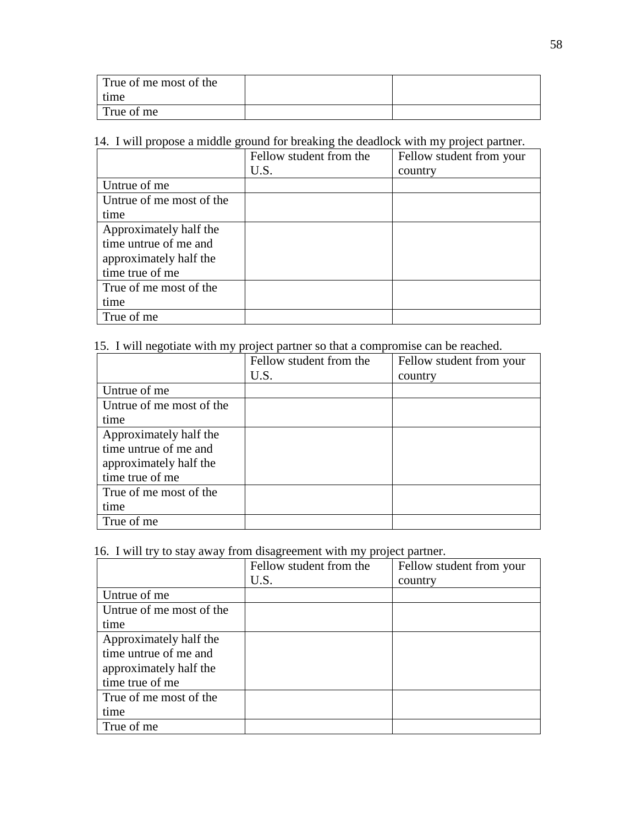| True of me most of the |  |
|------------------------|--|
| time                   |  |
| True of me             |  |

# 14. I will propose a middle ground for breaking the deadlock with my project partner.

|                          | Fellow student from the | Fellow student from your |
|--------------------------|-------------------------|--------------------------|
|                          | U.S.                    | country                  |
| Untrue of me             |                         |                          |
| Untrue of me most of the |                         |                          |
| time                     |                         |                          |
| Approximately half the   |                         |                          |
| time untrue of me and    |                         |                          |
| approximately half the   |                         |                          |
| time true of me          |                         |                          |
| True of me most of the   |                         |                          |
| time                     |                         |                          |
| True of me               |                         |                          |

# 15. I will negotiate with my project partner so that a compromise can be reached.

|                          | Fellow student from the | Fellow student from your |
|--------------------------|-------------------------|--------------------------|
|                          | U.S.                    | country                  |
| Untrue of me             |                         |                          |
| Untrue of me most of the |                         |                          |
| time                     |                         |                          |
| Approximately half the   |                         |                          |
| time untrue of me and    |                         |                          |
| approximately half the   |                         |                          |
| time true of me          |                         |                          |
| True of me most of the   |                         |                          |
| time                     |                         |                          |
| True of me               |                         |                          |

# 16. I will try to stay away from disagreement with my project partner.

|                          | Fellow student from the | Fellow student from your |
|--------------------------|-------------------------|--------------------------|
|                          | U.S.                    | country                  |
| Untrue of me             |                         |                          |
| Untrue of me most of the |                         |                          |
| time                     |                         |                          |
| Approximately half the   |                         |                          |
| time untrue of me and    |                         |                          |
| approximately half the   |                         |                          |
| time true of me          |                         |                          |
| True of me most of the   |                         |                          |
| time                     |                         |                          |
| True of me               |                         |                          |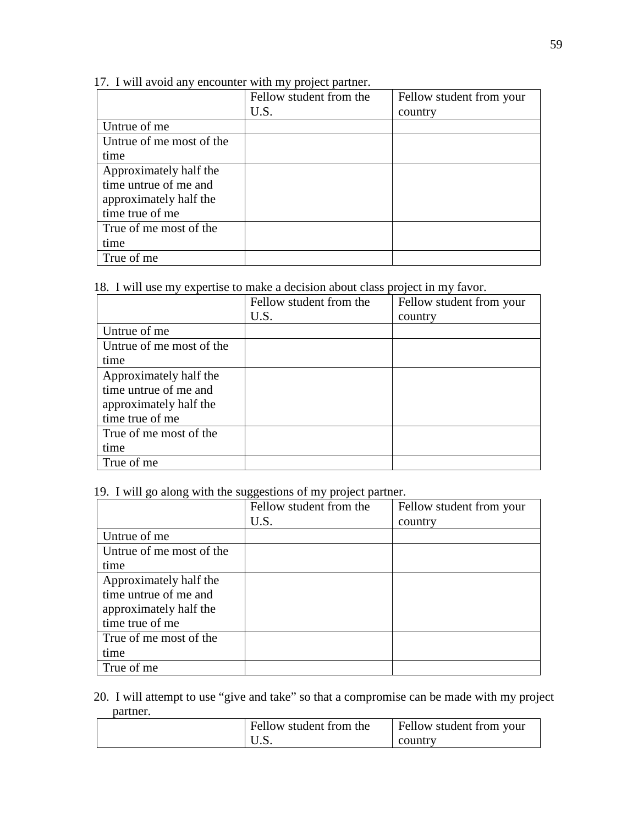# 17. I will avoid any encounter with my project partner.

|                          | Fellow student from the | Fellow student from your |
|--------------------------|-------------------------|--------------------------|
|                          | U.S.                    | country                  |
| Untrue of me             |                         |                          |
| Untrue of me most of the |                         |                          |
| time                     |                         |                          |
| Approximately half the   |                         |                          |
| time untrue of me and    |                         |                          |
| approximately half the   |                         |                          |
| time true of me          |                         |                          |
| True of me most of the   |                         |                          |
| time                     |                         |                          |
| True of me               |                         |                          |

## 18. I will use my expertise to make a decision about class project in my favor.

|                          | Fellow student from the | Fellow student from your |
|--------------------------|-------------------------|--------------------------|
|                          | U.S.                    | country                  |
| Untrue of me             |                         |                          |
| Untrue of me most of the |                         |                          |
| time                     |                         |                          |
| Approximately half the   |                         |                          |
| time untrue of me and    |                         |                          |
| approximately half the   |                         |                          |
| time true of me          |                         |                          |
| True of me most of the   |                         |                          |
| time                     |                         |                          |
| True of me               |                         |                          |

# 19. I will go along with the suggestions of my project partner.

|                          | Fellow student from the | Fellow student from your |
|--------------------------|-------------------------|--------------------------|
|                          | U.S.                    | country                  |
| Untrue of me             |                         |                          |
| Untrue of me most of the |                         |                          |
| time                     |                         |                          |
| Approximately half the   |                         |                          |
| time untrue of me and    |                         |                          |
| approximately half the   |                         |                          |
| time true of me          |                         |                          |
| True of me most of the   |                         |                          |
| time                     |                         |                          |
| True of me               |                         |                          |

## 20. I will attempt to use "give and take" so that a compromise can be made with my project partner.

| Fellow student from the | Fellow student from your |
|-------------------------|--------------------------|
| ∪.ມ.                    | country                  |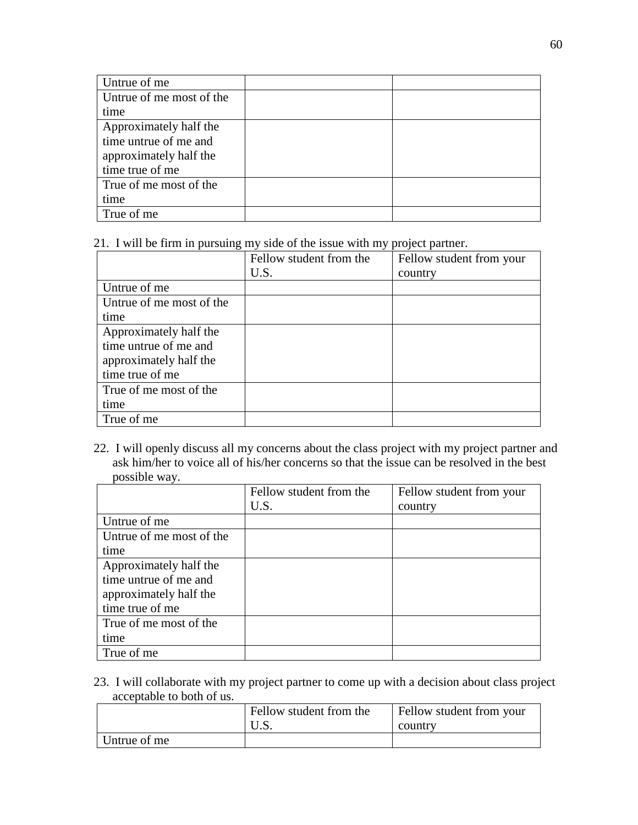| Untrue of me             |  |
|--------------------------|--|
| Untrue of me most of the |  |
| time                     |  |
| Approximately half the   |  |
| time untrue of me and    |  |
| approximately half the   |  |
| time true of me          |  |
| True of me most of the   |  |
| time                     |  |
| True of me               |  |

21. I will be firm in pursuing my side of the issue with my project partner.

|                          | Fellow student from the | Fellow student from your |  |
|--------------------------|-------------------------|--------------------------|--|
|                          | U.S.                    | country                  |  |
| Untrue of me             |                         |                          |  |
| Untrue of me most of the |                         |                          |  |
| time                     |                         |                          |  |
| Approximately half the   |                         |                          |  |
| time untrue of me and    |                         |                          |  |
| approximately half the   |                         |                          |  |
| time true of me          |                         |                          |  |
| True of me most of the   |                         |                          |  |
| time                     |                         |                          |  |
| True of me               |                         |                          |  |

22. I will openly discuss all my concerns about the class project with my project partner and ask him/her to voice all of his/her concerns so that the issue can be resolved in the best possible way.

|                          | Fellow student from the | Fellow student from your |  |
|--------------------------|-------------------------|--------------------------|--|
|                          | U.S.                    | country                  |  |
| Untrue of me             |                         |                          |  |
| Untrue of me most of the |                         |                          |  |
| time                     |                         |                          |  |
| Approximately half the   |                         |                          |  |
| time untrue of me and    |                         |                          |  |
| approximately half the   |                         |                          |  |
| time true of me          |                         |                          |  |
| True of me most of the   |                         |                          |  |
| time                     |                         |                          |  |
| True of me               |                         |                          |  |

23. I will collaborate with my project partner to come up with a decision about class project acceptable to both of us.

|              | Fellow student from the<br>U.S. | Fellow student from your<br>country |  |
|--------------|---------------------------------|-------------------------------------|--|
| Untrue of me |                                 |                                     |  |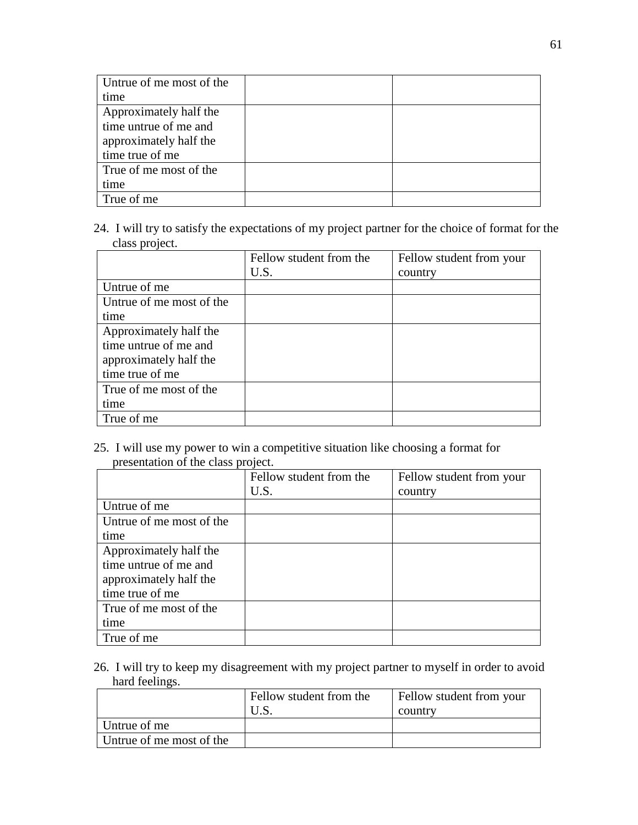| Untrue of me most of the |  |
|--------------------------|--|
| time                     |  |
| Approximately half the   |  |
| time untrue of me and    |  |
| approximately half the   |  |
| time true of me          |  |
| True of me most of the   |  |
| time                     |  |
| True of me               |  |

24. I will try to satisfy the expectations of my project partner for the choice of format for the class project.

|                          | Fellow student from the | Fellow student from your |
|--------------------------|-------------------------|--------------------------|
|                          | U.S.                    | country                  |
| Untrue of me             |                         |                          |
| Untrue of me most of the |                         |                          |
| time                     |                         |                          |
| Approximately half the   |                         |                          |
| time untrue of me and    |                         |                          |
| approximately half the   |                         |                          |
| time true of me          |                         |                          |
| True of me most of the   |                         |                          |
| time                     |                         |                          |
| True of me               |                         |                          |

25. I will use my power to win a competitive situation like choosing a format for presentation of the class project.

|                          | Fellow student from the | Fellow student from your |  |
|--------------------------|-------------------------|--------------------------|--|
|                          | U.S.                    | country                  |  |
| Untrue of me             |                         |                          |  |
| Untrue of me most of the |                         |                          |  |
| time                     |                         |                          |  |
| Approximately half the   |                         |                          |  |
| time untrue of me and    |                         |                          |  |
| approximately half the   |                         |                          |  |
| time true of me          |                         |                          |  |
| True of me most of the   |                         |                          |  |
| time                     |                         |                          |  |
| True of me               |                         |                          |  |

26. I will try to keep my disagreement with my project partner to myself in order to avoid hard feelings.

|                          | Fellow student from the | Fellow student from your<br>country |
|--------------------------|-------------------------|-------------------------------------|
| Untrue of me             |                         |                                     |
| Untrue of me most of the |                         |                                     |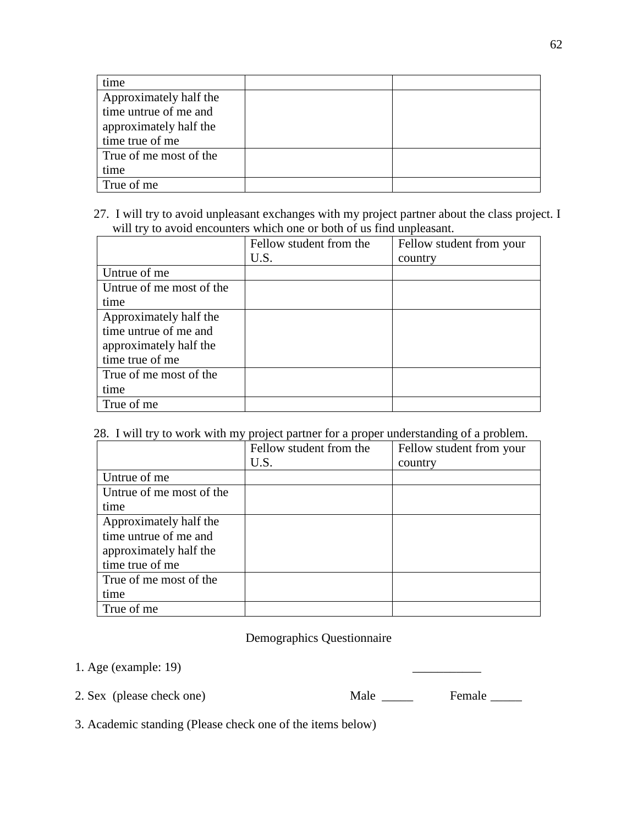| time                   |  |
|------------------------|--|
| Approximately half the |  |
| time untrue of me and  |  |
| approximately half the |  |
| time true of me        |  |
| True of me most of the |  |
| time                   |  |
| True of me             |  |

27. I will try to avoid unpleasant exchanges with my project partner about the class project. I will try to avoid encounters which one or both of us find unpleasant.

|                          | will a g to a give encounters which one of both of as find and leading. |                          |
|--------------------------|-------------------------------------------------------------------------|--------------------------|
|                          | Fellow student from the                                                 | Fellow student from your |
|                          | U.S.                                                                    | country                  |
| Untrue of me             |                                                                         |                          |
| Untrue of me most of the |                                                                         |                          |
| time                     |                                                                         |                          |
| Approximately half the   |                                                                         |                          |
| time untrue of me and    |                                                                         |                          |
| approximately half the   |                                                                         |                          |
| time true of me          |                                                                         |                          |
| True of me most of the   |                                                                         |                          |
| time                     |                                                                         |                          |
| True of me               |                                                                         |                          |

## 28. I will try to work with my project partner for a proper understanding of a problem.

|                          | Fellow student from the | Fellow student from your |
|--------------------------|-------------------------|--------------------------|
|                          | U.S.                    | country                  |
| Untrue of me             |                         |                          |
| Untrue of me most of the |                         |                          |
| time                     |                         |                          |
| Approximately half the   |                         |                          |
| time untrue of me and    |                         |                          |
| approximately half the   |                         |                          |
| time true of me          |                         |                          |
| True of me most of the   |                         |                          |
| time                     |                         |                          |
| True of me               |                         |                          |

## Demographics Questionnaire

1. Age (example: 19)

2. Sex (please check one) Male \_\_\_\_\_ Female \_\_\_\_\_

3. Academic standing (Please check one of the items below)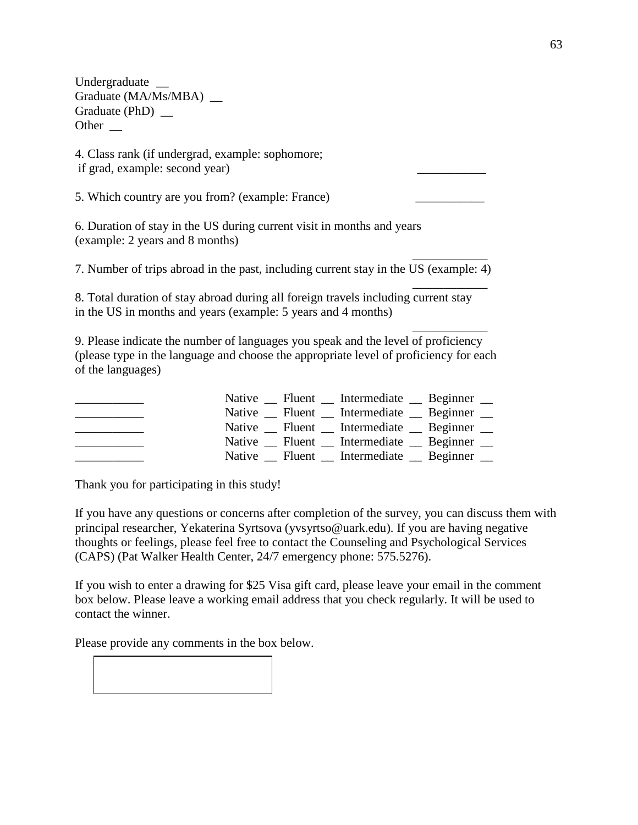Undergraduate \_\_ Graduate (MA/Ms/MBA) \_\_ Graduate (PhD) \_\_ Other \_\_

4. Class rank (if undergrad, example: sophomore; if grad, example: second year)

5. Which country are you from? (example: France)

6. Duration of stay in the US during current visit in months and years (example: 2 years and 8 months)

7. Number of trips abroad in the past, including current stay in the US (example: 4)

8. Total duration of stay abroad during all foreign travels including current stay in the US in months and years (example: 5 years and 4 months)

9. Please indicate the number of languages you speak and the level of proficiency (please type in the language and choose the appropriate level of proficiency for each of the languages)

|  | Native _ Fluent _ Intermediate _ Beginner _   |  |
|--|-----------------------------------------------|--|
|  | Native _ Fluent _ Intermediate _ Beginner _   |  |
|  | Native _ Fluent _ Intermediate _ Beginner _   |  |
|  | Native _ Fluent _ Intermediate _ Beginner _   |  |
|  | Native River Fluent has Intermediate Beginner |  |

Thank you for participating in this study!

If you have any questions or concerns after completion of the survey, you can discuss them with principal researcher, Yekaterina Syrtsova (yvsyrtso@uark.edu). If you are having negative thoughts or feelings, please feel free to contact the Counseling and Psychological Services (CAPS) (Pat Walker Health Center, 24/7 emergency phone: 575.5276).

If you wish to enter a drawing for \$25 Visa gift card, please leave your email in the comment box below. Please leave a working email address that you check regularly. It will be used to contact the winner.

Please provide any comments in the box below.



\_\_\_\_\_\_\_\_\_\_\_\_

\_\_\_\_\_\_\_\_\_\_\_\_

\_\_\_\_\_\_\_\_\_\_\_\_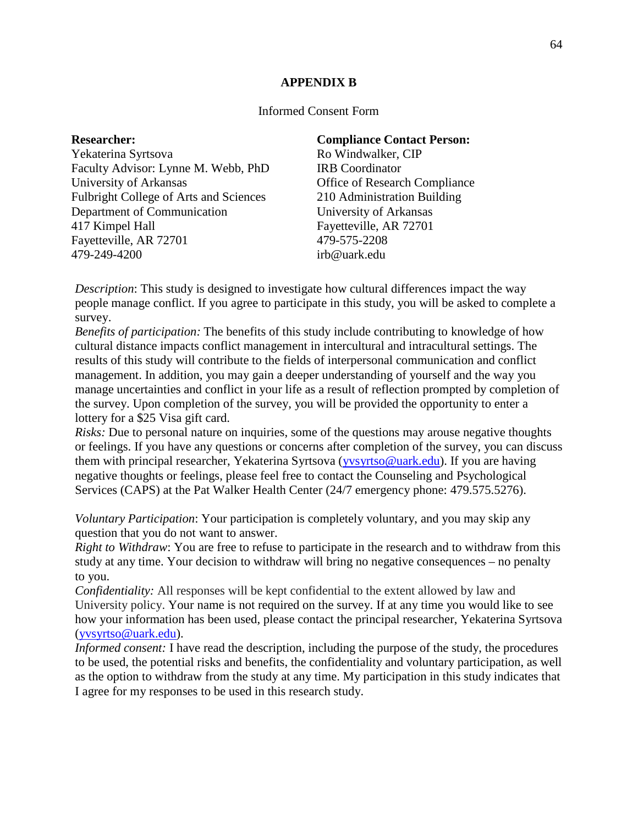## **APPENDIX B**

### Informed Consent Form

**Researcher:** Yekaterina Syrtsova Faculty Advisor: Lynne M. Webb, PhD University of Arkansas Fulbright College of Arts and Sciences Department of Communication 417 Kimpel Hall Fayetteville, AR 72701 479-249-4200

#### **Compliance Contact Person:**

Ro Windwalker, CIP IRB Coordinator Office of Research Compliance 210 Administration Building University of Arkansas Fayetteville, AR 72701 479-575-2208 irb@uark.edu

*Description*: This study is designed to investigate how cultural differences impact the way people manage conflict. If you agree to participate in this study, you will be asked to complete a survey.

*Benefits of participation:* The benefits of this study include contributing to knowledge of how cultural distance impacts conflict management in intercultural and intracultural settings. The results of this study will contribute to the fields of interpersonal communication and conflict management. In addition, you may gain a deeper understanding of yourself and the way you manage uncertainties and conflict in your life as a result of reflection prompted by completion of the survey. Upon completion of the survey, you will be provided the opportunity to enter a lottery for a \$25 Visa gift card.

*Risks:* Due to personal nature on inquiries, some of the questions may arouse negative thoughts or feelings. If you have any questions or concerns after completion of the survey, you can discuss them with principal researcher, Yekaterina Syrtsova [\(yvsyrtso@uark.edu\)](mailto:yvsyrtso@uark.edu). If you are having negative thoughts or feelings, please feel free to contact the Counseling and Psychological Services (CAPS) at the Pat Walker Health Center (24/7 emergency phone: 479.575.5276).

*Voluntary Participation*: Your participation is completely voluntary, and you may skip any question that you do not want to answer.

*Right to Withdraw*: You are free to refuse to participate in the research and to withdraw from this study at any time. Your decision to withdraw will bring no negative consequences – no penalty to you.

*Confidentiality:* All responses will be kept confidential to the extent allowed by law and University policy. Your name is not required on the survey. If at any time you would like to see how your information has been used, please contact the principal researcher, Yekaterina Syrtsova [\(yvsyrtso@uark.edu\)](mailto:yvsyrtso@uark.edu).

*Informed consent:* I have read the description, including the purpose of the study, the procedures to be used, the potential risks and benefits, the confidentiality and voluntary participation, as well as the option to withdraw from the study at any time. My participation in this study indicates that I agree for my responses to be used in this research study.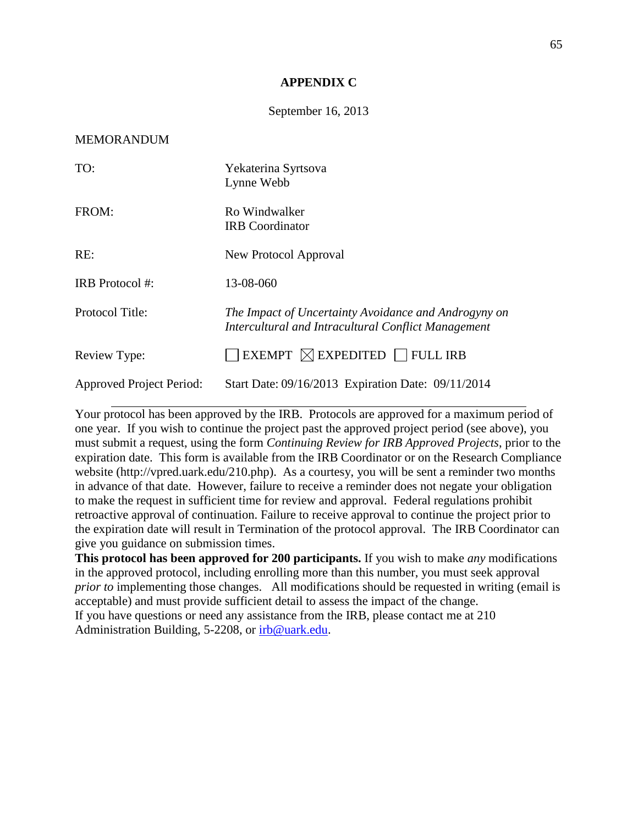### **APPENDIX C**

### September 16, 2013

#### MEMORANDUM

| TO:                             | Yekaterina Syrtsova<br>Lynne Webb                                                                           |
|---------------------------------|-------------------------------------------------------------------------------------------------------------|
| FROM:                           | Ro Windwalker<br><b>IRB</b> Coordinator                                                                     |
| RE:                             | New Protocol Approval                                                                                       |
| IRB Protocol #:                 | 13-08-060                                                                                                   |
| Protocol Title:                 | The Impact of Uncertainty Avoidance and Androgyny on<br>Intercultural and Intracultural Conflict Management |
| Review Type:                    | EXEMPT $\boxtimes$ EXPEDITED $\Box$ FULL IRB                                                                |
| <b>Approved Project Period:</b> | Start Date: 09/16/2013 Expiration Date: 09/11/2014                                                          |

Your protocol has been approved by the IRB. Protocols are approved for a maximum period of one year. If you wish to continue the project past the approved project period (see above), you must submit a request, using the form *Continuing Review for IRB Approved Projects*, prior to the expiration date. This form is available from the IRB Coordinator or on the Research Compliance website (http://vpred.uark.edu/210.php). As a courtesy, you will be sent a reminder two months in advance of that date. However, failure to receive a reminder does not negate your obligation to make the request in sufficient time for review and approval. Federal regulations prohibit retroactive approval of continuation. Failure to receive approval to continue the project prior to the expiration date will result in Termination of the protocol approval. The IRB Coordinator can give you guidance on submission times.

**This protocol has been approved for 200 participants.** If you wish to make *any* modifications in the approved protocol, including enrolling more than this number, you must seek approval *prior to* implementing those changes. All modifications should be requested in writing (email is acceptable) and must provide sufficient detail to assess the impact of the change. If you have questions or need any assistance from the IRB, please contact me at 210 Administration Building, 5-2208, or [irb@uark.edu.](mailto:irb@uark.edu)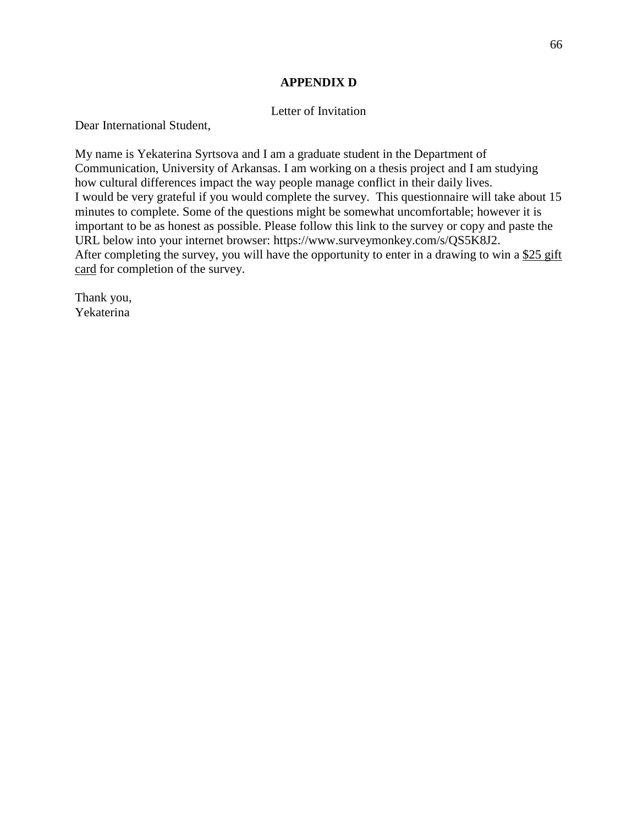### **APPENDIX D**

### Letter of Invitation

Dear International Student,

My name is Yekaterina Syrtsova and I am a graduate student in the Department of Communication, University of Arkansas. I am working on a thesis project and I am studying how cultural differences impact the way people manage conflict in their daily lives. I would be very grateful if you would complete the survey. This questionnaire will take about 15 minutes to complete. Some of the questions might be somewhat uncomfortable; however it is important to be as honest as possible. Please follow this link to the survey or copy and paste the URL below into your internet browser: https://www.surveymonkey.com/s/QS5K8J2. After completing the survey, you will have the opportunity to enter in a drawing to win a \$25 gift card for completion of the survey.

Thank you, Yekaterina